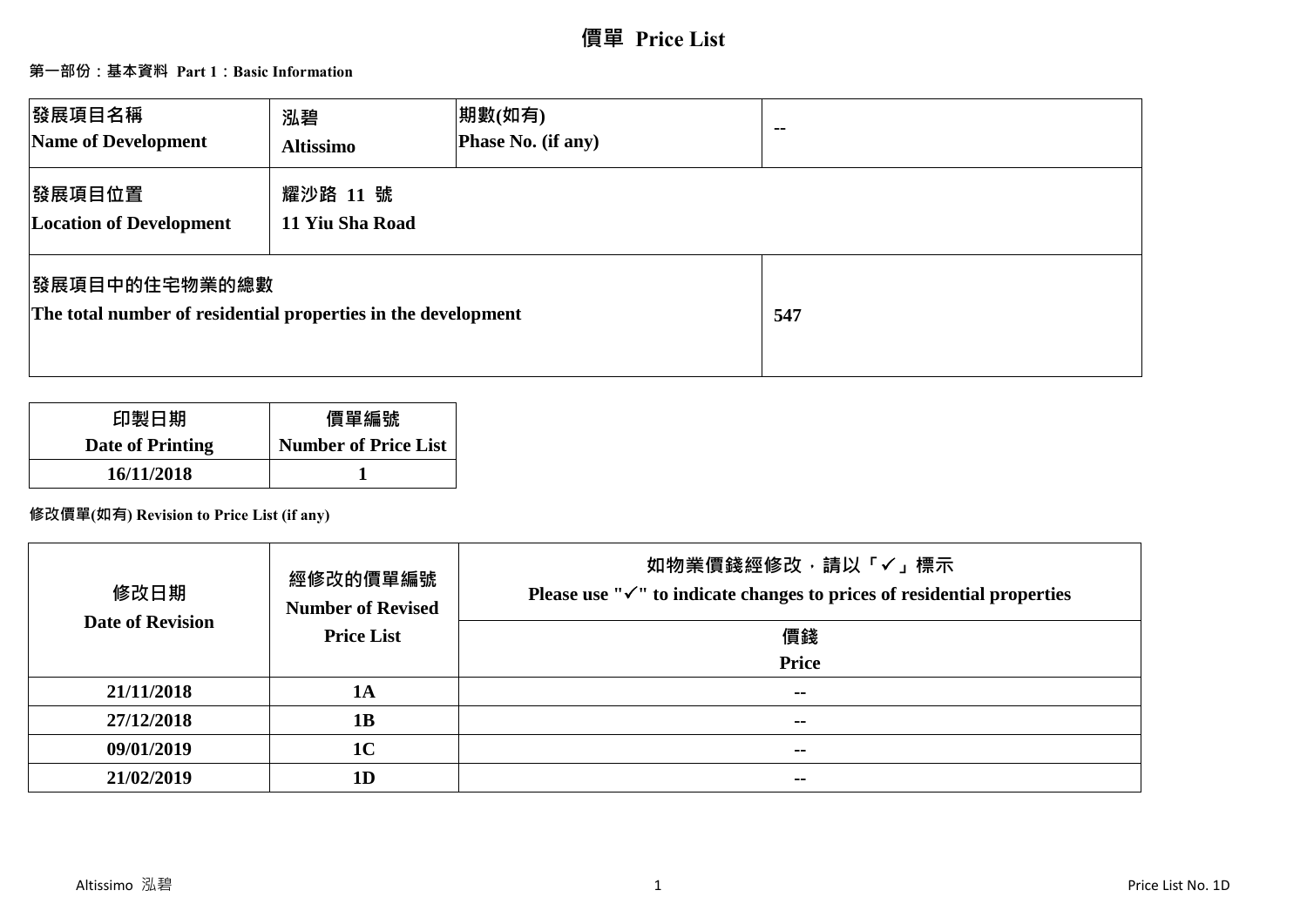# **價單 Price List**

### **第一部份:基本資料 Part 1:Basic Information**

| 發展項目名稱<br>Name of Development                                                          | 泓碧<br><b>Altissimo</b>      | 期數(如有)<br>Phase No. (if any) | $\sim$ $\sim$ |
|----------------------------------------------------------------------------------------|-----------------------------|------------------------------|---------------|
| 發展項目位置<br><b>Location of Development</b>                                               | 耀沙路 11 號<br>11 Yiu Sha Road |                              |               |
| <b> 發展項目中的住宅物業的總數</b><br>The total number of residential properties in the development |                             |                              | 547           |

| 印製日期                    | 價單編號                        |
|-------------------------|-----------------------------|
| <b>Date of Printing</b> | <b>Number of Price List</b> |
| 16/11/2018              |                             |

### **修改價單(如有) Revision to Price List (if any)**

| 修改日期                    | 經修改的價單編號<br><b>Number of Revised</b> | 如物業價錢經修改,請以「✔」標示<br>Please use " $\checkmark$ " to indicate changes to prices of residential properties |
|-------------------------|--------------------------------------|---------------------------------------------------------------------------------------------------------|
| <b>Date of Revision</b> | <b>Price List</b>                    | 價錢                                                                                                      |
|                         |                                      | <b>Price</b>                                                                                            |
| 21/11/2018              | <b>1A</b>                            | --                                                                                                      |
| 27/12/2018              | 1B                                   | $\sim$                                                                                                  |
| 09/01/2019              | 1 <sub>C</sub>                       | $- -$                                                                                                   |
| 21/02/2019              | 1 <sub>D</sub>                       | --                                                                                                      |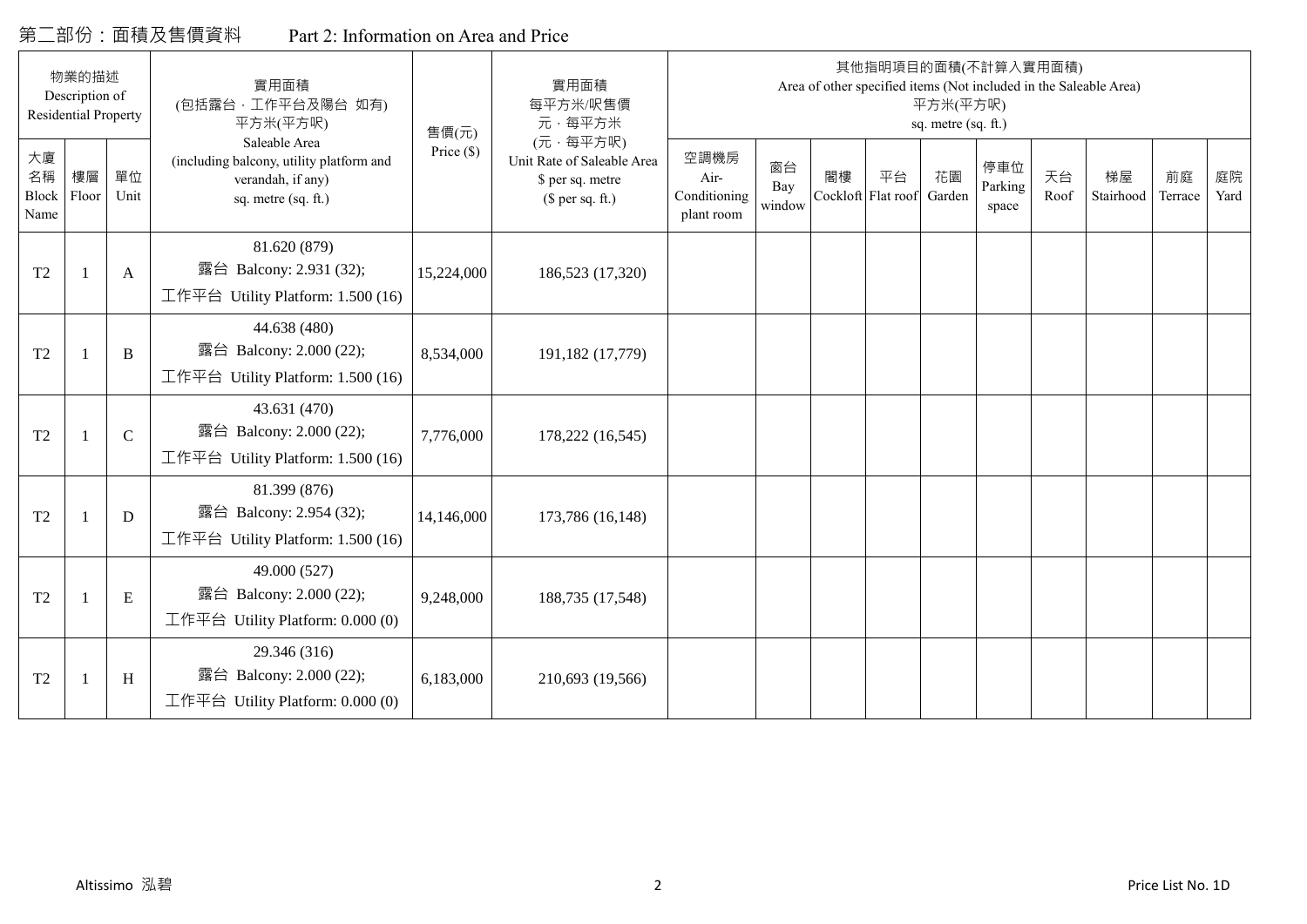## 第二部份:面積及售價資料 Part 2: Information on Area and Price

|                           | 物業的描述<br>Description of<br><b>Residential Property</b> |              | 實用面積<br>(包括露台,工作平台及陽台 如有)<br>平方米(平方呎)                                                                 | 售價(元)        | 實用面積<br>每平方米/呎售價<br>元·每平方米                                                     |                                            |                     |    |                          | 平方米(平方呎)<br>sq. metre (sq. ft.) | 其他指明項目的面積(不計算入實用面積)     |            | Area of other specified items (Not included in the Saleable Area) |               |            |
|---------------------------|--------------------------------------------------------|--------------|-------------------------------------------------------------------------------------------------------|--------------|--------------------------------------------------------------------------------|--------------------------------------------|---------------------|----|--------------------------|---------------------------------|-------------------------|------------|-------------------------------------------------------------------|---------------|------------|
| 大廈<br>名稱<br>Block<br>Name | 樓層<br>Floor                                            | 單位<br>Unit   | Saleable Area<br>(including balcony, utility platform and<br>verandah, if any)<br>sq. metre (sq. ft.) | Price $(\$)$ | (元·每平方呎)<br>Unit Rate of Saleable Area<br>\$ per sq. metre<br>(\$ per sq. ft.) | 空調機房<br>Air-<br>Conditioning<br>plant room | 窗台<br>Bay<br>window | 閣樓 | 平台<br>Cockloft Flat roof | 花園<br>Garden                    | 停車位<br>Parking<br>space | 天台<br>Roof | 梯屋<br>Stairhood                                                   | 前庭<br>Terrace | 庭院<br>Yard |
| T <sub>2</sub>            |                                                        | A            | 81.620 (879)<br>露台 Balcony: 2.931 (32);<br>工作平台 Utility Platform: 1.500 (16)                          | 15,224,000   | 186,523 (17,320)                                                               |                                            |                     |    |                          |                                 |                         |            |                                                                   |               |            |
| T <sub>2</sub>            |                                                        | B            | 44.638 (480)<br>露台 Balcony: 2.000 (22);<br>工作平台 Utility Platform: 1.500 (16)                          | 8,534,000    | 191,182 (17,779)                                                               |                                            |                     |    |                          |                                 |                         |            |                                                                   |               |            |
| T <sub>2</sub>            |                                                        | $\mathsf{C}$ | 43.631 (470)<br>露台 Balcony: 2.000 (22);<br>工作平台 Utility Platform: 1.500 (16)                          | 7,776,000    | 178,222 (16,545)                                                               |                                            |                     |    |                          |                                 |                         |            |                                                                   |               |            |
| T <sub>2</sub>            |                                                        | D            | 81.399 (876)<br>露台 Balcony: 2.954 (32);<br>工作平台 Utility Platform: 1.500 (16)                          | 14,146,000   | 173,786 (16,148)                                                               |                                            |                     |    |                          |                                 |                         |            |                                                                   |               |            |
| T <sub>2</sub>            |                                                        | $\mathbf E$  | 49.000 (527)<br>露台 Balcony: 2.000 (22);<br>工作平台 Utility Platform: 0.000 (0)                           | 9,248,000    | 188,735 (17,548)                                                               |                                            |                     |    |                          |                                 |                         |            |                                                                   |               |            |
| T <sub>2</sub>            |                                                        | H            | 29.346 (316)<br>露台 Balcony: 2.000 (22);<br>工作平台 Utility Platform: 0.000 (0)                           | 6,183,000    | 210,693 (19,566)                                                               |                                            |                     |    |                          |                                 |                         |            |                                                                   |               |            |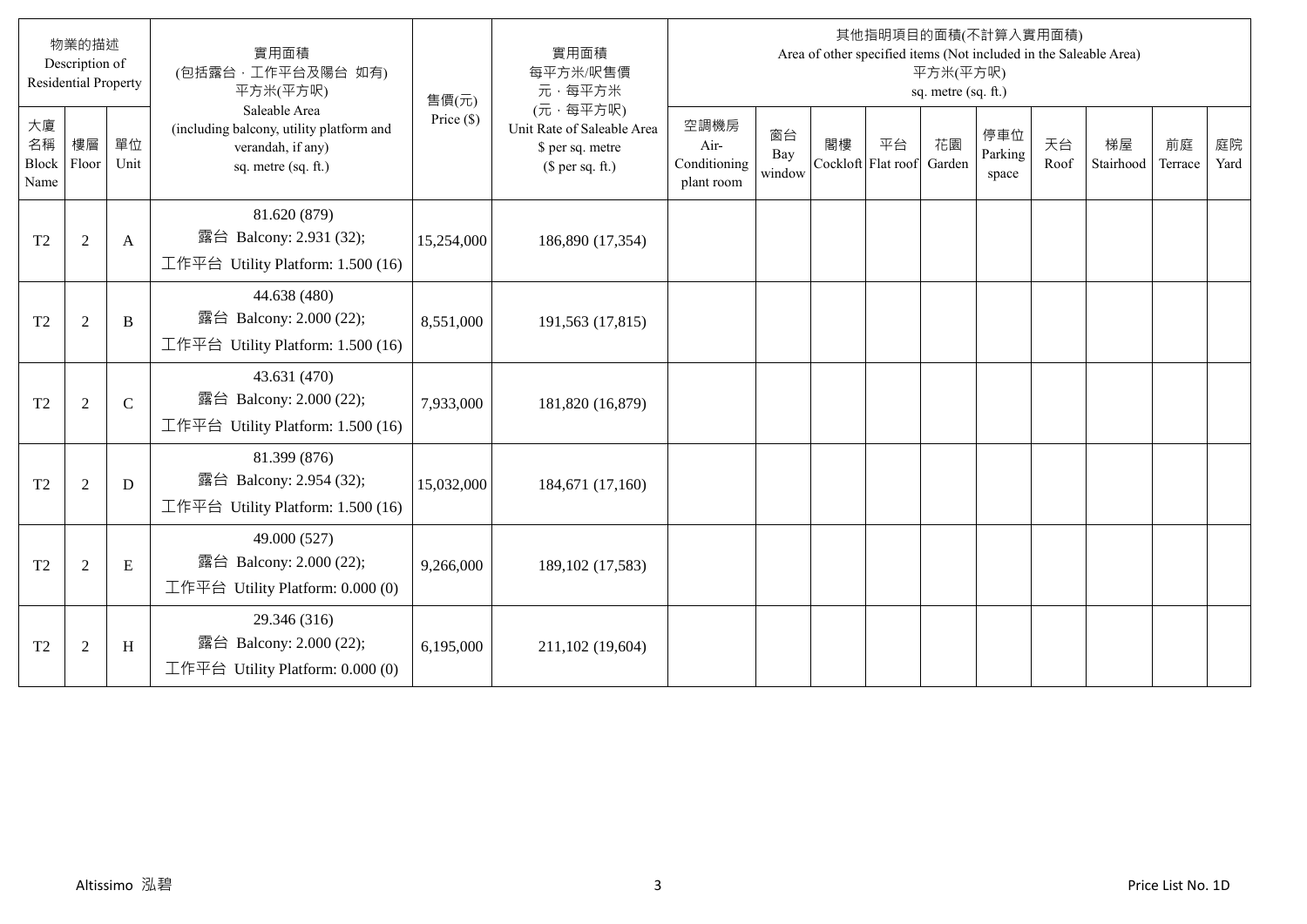|                                  | 物業的描述<br>Description of<br><b>Residential Property</b> |               | 實用面積<br>(包括露台,工作平台及陽台 如有)<br>平方米(平方呎)                                                                 | 售價(元)        | 實用面積<br>每平方米/呎售價<br>元·每平方米                                                     |                                            |                     |                          |    | 平方米(平方呎)<br>sq. metre (sq. ft.) | 其他指明項目的面積(不計算入實用面積)     |            | Area of other specified items (Not included in the Saleable Area) |               |            |
|----------------------------------|--------------------------------------------------------|---------------|-------------------------------------------------------------------------------------------------------|--------------|--------------------------------------------------------------------------------|--------------------------------------------|---------------------|--------------------------|----|---------------------------------|-------------------------|------------|-------------------------------------------------------------------|---------------|------------|
| 大廈<br>名稱<br><b>Block</b><br>Name | 樓層<br>Floor                                            | 單位<br>Unit    | Saleable Area<br>(including balcony, utility platform and<br>verandah, if any)<br>sq. metre (sq. ft.) | Price $(\$)$ | (元·每平方呎)<br>Unit Rate of Saleable Area<br>\$ per sq. metre<br>$$$ per sq. ft.) | 空調機房<br>Air-<br>Conditioning<br>plant room | 窗台<br>Bay<br>window | 閣樓<br>Cockloft Flat roof | 平台 | 花園<br>Garden                    | 停車位<br>Parking<br>space | 天台<br>Roof | 梯屋<br>Stairhood                                                   | 前庭<br>Terrace | 庭院<br>Yard |
| T <sub>2</sub>                   | $\overline{2}$                                         | A             | 81.620 (879)<br>露台 Balcony: 2.931 (32);<br>工作平台 Utility Platform: 1.500 (16)                          | 15,254,000   | 186,890 (17,354)                                                               |                                            |                     |                          |    |                                 |                         |            |                                                                   |               |            |
| T <sub>2</sub>                   | $\overline{2}$                                         | B             | 44.638 (480)<br>露台 Balcony: 2.000 (22);<br>工作平台 Utility Platform: 1.500 (16)                          | 8,551,000    | 191,563 (17,815)                                                               |                                            |                     |                          |    |                                 |                         |            |                                                                   |               |            |
| T <sub>2</sub>                   | $\overline{2}$                                         | $\mathcal{C}$ | 43.631 (470)<br>露台 Balcony: 2.000 (22);<br>工作平台 Utility Platform: 1.500 (16)                          | 7,933,000    | 181,820 (16,879)                                                               |                                            |                     |                          |    |                                 |                         |            |                                                                   |               |            |
| T <sub>2</sub>                   | $\overline{2}$                                         | D             | 81.399 (876)<br>露台 Balcony: 2.954 (32);<br>工作平台 Utility Platform: 1.500 (16)                          | 15,032,000   | 184,671 (17,160)                                                               |                                            |                     |                          |    |                                 |                         |            |                                                                   |               |            |
| T <sub>2</sub>                   | $\overline{2}$                                         | E             | 49.000 (527)<br>露台 Balcony: 2.000 (22);<br>工作平台 Utility Platform: $0.000(0)$                          | 9,266,000    | 189, 102 (17, 583)                                                             |                                            |                     |                          |    |                                 |                         |            |                                                                   |               |            |
| T <sub>2</sub>                   | $\overline{2}$                                         | H             | 29.346 (316)<br>露台 Balcony: 2.000 (22);<br>工作平台 Utility Platform: 0.000 (0)                           | 6,195,000    | 211,102 (19,604)                                                               |                                            |                     |                          |    |                                 |                         |            |                                                                   |               |            |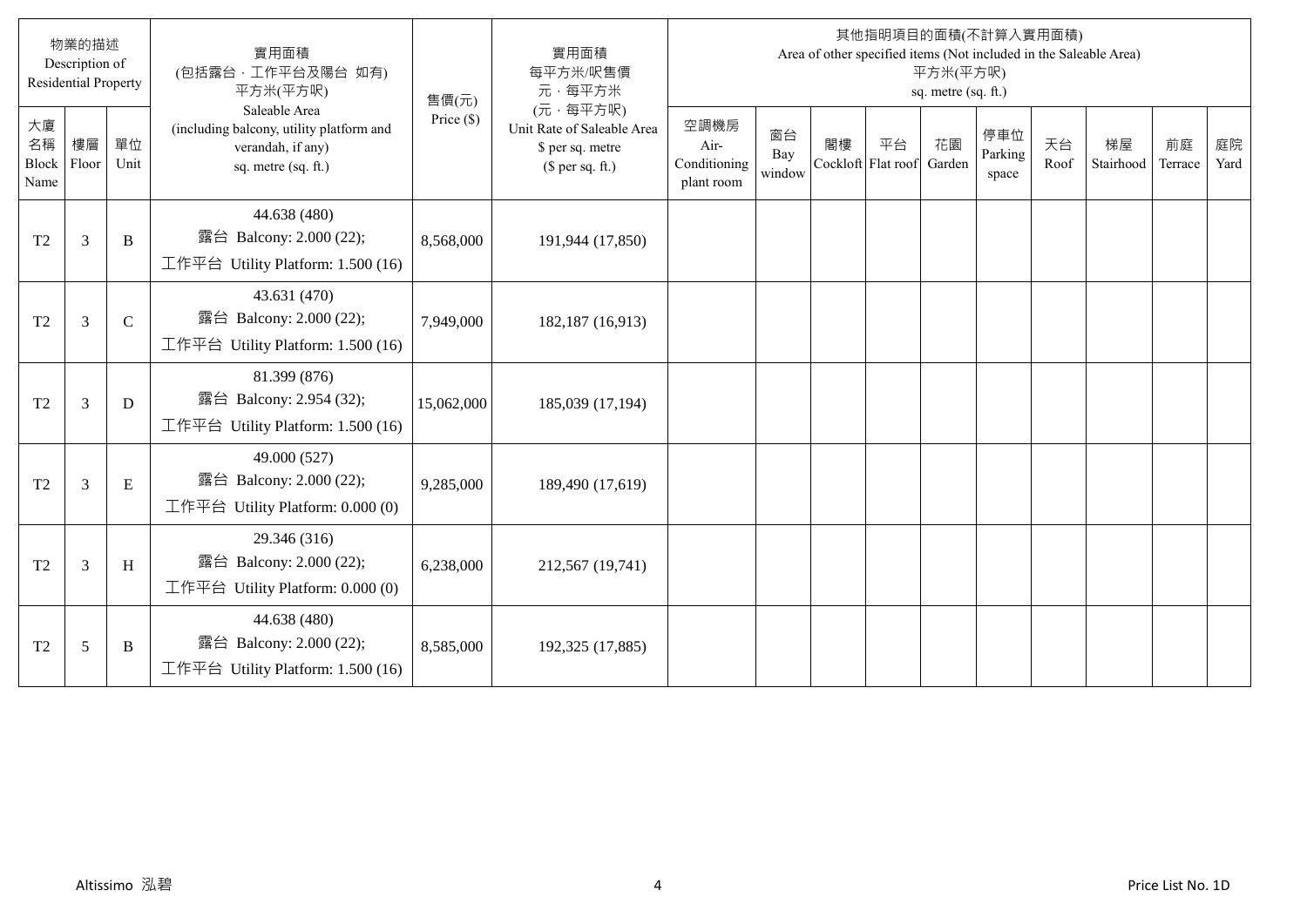|                           | 物業的描述<br>Description of<br><b>Residential Property</b> |               | 實用面積<br>(包括露台,工作平台及陽台 如有)<br>平方米(平方呎)                                                                 | 售價(元)        | 實用面積<br>每平方米/呎售價<br>元·每平方米                                                     |                                            |                     |                          |    | 平方米(平方呎)<br>sq. metre (sq. ft.) | 其他指明項目的面積(不計算入實用面積)     |            | Area of other specified items (Not included in the Saleable Area) |               |            |
|---------------------------|--------------------------------------------------------|---------------|-------------------------------------------------------------------------------------------------------|--------------|--------------------------------------------------------------------------------|--------------------------------------------|---------------------|--------------------------|----|---------------------------------|-------------------------|------------|-------------------------------------------------------------------|---------------|------------|
| 大廈<br>名稱<br>Block<br>Name | 樓層<br>Floor                                            | 單位<br>Unit    | Saleable Area<br>(including balcony, utility platform and<br>verandah, if any)<br>sq. metre (sq. ft.) | Price $(\$)$ | (元·每平方呎)<br>Unit Rate of Saleable Area<br>\$ per sq. metre<br>$$$ per sq. ft.) | 空調機房<br>Air-<br>Conditioning<br>plant room | 窗台<br>Bay<br>window | 閣樓<br>Cockloft Flat roof | 平台 | 花園<br>Garden                    | 停車位<br>Parking<br>space | 天台<br>Roof | 梯屋<br>Stairhood                                                   | 前庭<br>Terrace | 庭院<br>Yard |
| T <sub>2</sub>            | 3                                                      | B             | 44.638 (480)<br>露台 Balcony: 2.000 (22);<br>工作平台 Utility Platform: $1.500(16)$                         | 8,568,000    | 191,944 (17,850)                                                               |                                            |                     |                          |    |                                 |                         |            |                                                                   |               |            |
| T <sub>2</sub>            | 3                                                      | $\mathcal{C}$ | 43.631 (470)<br>露台 Balcony: 2.000 (22);<br>工作平台 Utility Platform: 1.500 (16)                          | 7,949,000    | 182,187 (16,913)                                                               |                                            |                     |                          |    |                                 |                         |            |                                                                   |               |            |
| T <sub>2</sub>            | 3                                                      | D             | 81.399 (876)<br>露台 Balcony: 2.954 (32);<br>工作平台 Utility Platform: $1.500(16)$                         | 15,062,000   | 185,039 (17,194)                                                               |                                            |                     |                          |    |                                 |                         |            |                                                                   |               |            |
| T <sub>2</sub>            | 3                                                      | ${\bf E}$     | 49.000 (527)<br>露台 Balcony: 2.000 (22);<br>工作平台 Utility Platform: $0.000(0)$                          | 9,285,000    | 189,490 (17,619)                                                               |                                            |                     |                          |    |                                 |                         |            |                                                                   |               |            |
| T <sub>2</sub>            | 3                                                      | H             | 29.346 (316)<br>露台 Balcony: 2.000 (22);<br>工作平台 Utility Platform: $0.000(0)$                          | 6,238,000    | 212,567 (19,741)                                                               |                                            |                     |                          |    |                                 |                         |            |                                                                   |               |            |
| T <sub>2</sub>            | 5                                                      | B             | 44.638 (480)<br>露台 Balcony: 2.000 (22);<br>工作平台 Utility Platform: $1.500(16)$                         | 8,585,000    | 192,325 (17,885)                                                               |                                            |                     |                          |    |                                 |                         |            |                                                                   |               |            |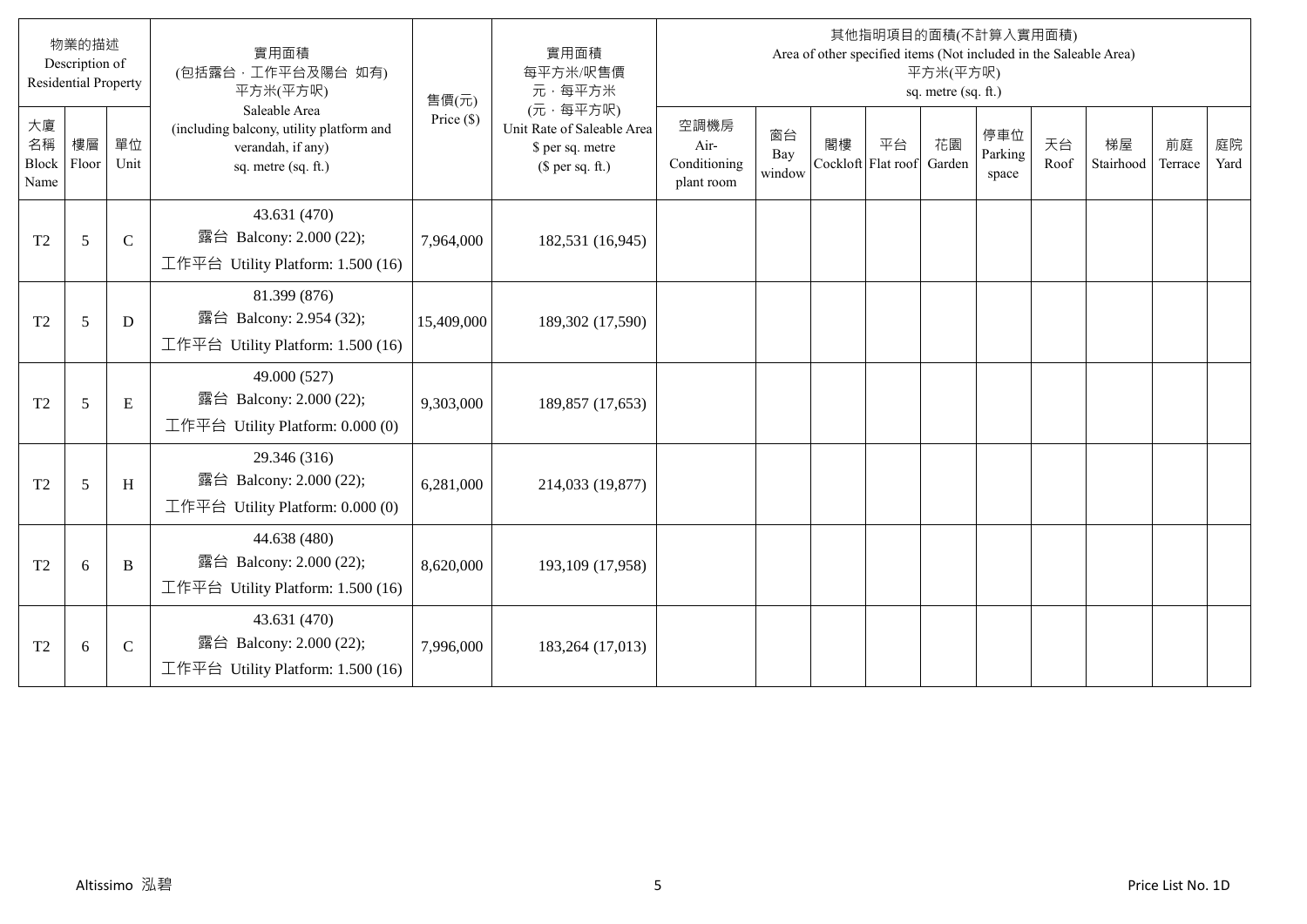|                                  | 物業的描述<br>Description of<br><b>Residential Property</b> |             | 實用面積<br>(包括露台,工作平台及陽台 如有)<br>平方米(平方呎)                                                                 | 售價(元)        | 實用面積<br>每平方米/呎售價<br>元·每平方米                                                     |                                            |                     |                          |    | 平方米(平方呎)<br>sq. metre (sq. ft.) | 其他指明項目的面積(不計算入實用面積)<br>Area of other specified items (Not included in the Saleable Area) |            |                 |               |            |
|----------------------------------|--------------------------------------------------------|-------------|-------------------------------------------------------------------------------------------------------|--------------|--------------------------------------------------------------------------------|--------------------------------------------|---------------------|--------------------------|----|---------------------------------|------------------------------------------------------------------------------------------|------------|-----------------|---------------|------------|
| 大廈<br>名稱<br><b>Block</b><br>Name | 樓層<br>Floor                                            | 單位<br>Unit  | Saleable Area<br>(including balcony, utility platform and<br>verandah, if any)<br>sq. metre (sq. ft.) | Price $(\$)$ | (元·每平方呎)<br>Unit Rate of Saleable Area<br>\$ per sq. metre<br>(\$ per sq. ft.) | 空調機房<br>Air-<br>Conditioning<br>plant room | 窗台<br>Bay<br>window | 閣樓<br>Cockloft Flat roof | 平台 | 花園<br>Garden                    | 停車位<br>Parking<br>space                                                                  | 天台<br>Roof | 梯屋<br>Stairhood | 前庭<br>Terrace | 庭院<br>Yard |
| T <sub>2</sub>                   | 5                                                      | $\mathbf C$ | 43.631 (470)<br>露台 Balcony: 2.000 (22);<br>工作平台 Utility Platform: 1.500 (16)                          | 7,964,000    | 182,531 (16,945)                                                               |                                            |                     |                          |    |                                 |                                                                                          |            |                 |               |            |
| T <sub>2</sub>                   | 5                                                      | D           | 81.399 (876)<br>露台 Balcony: 2.954 (32);<br>工作平台 Utility Platform: 1.500 (16)                          | 15,409,000   | 189,302 (17,590)                                                               |                                            |                     |                          |    |                                 |                                                                                          |            |                 |               |            |
| T <sub>2</sub>                   | 5                                                      | E           | 49.000 (527)<br>露台 Balcony: 2.000 (22);<br>工作平台 Utility Platform: $0.000(0)$                          | 9,303,000    | 189,857 (17,653)                                                               |                                            |                     |                          |    |                                 |                                                                                          |            |                 |               |            |
| T <sub>2</sub>                   | 5                                                      | H           | 29.346 (316)<br>露台 Balcony: 2.000 (22);<br>工作平台 Utility Platform: 0.000 (0)                           | 6,281,000    | 214,033 (19,877)                                                               |                                            |                     |                          |    |                                 |                                                                                          |            |                 |               |            |
| T <sub>2</sub>                   | 6                                                      | B           | 44.638 (480)<br>露台 Balcony: 2.000 (22);<br>工作平台 Utility Platform: 1.500 (16)                          | 8,620,000    | 193,109 (17,958)                                                               |                                            |                     |                          |    |                                 |                                                                                          |            |                 |               |            |
| T <sub>2</sub>                   | 6                                                      | $\mathbf C$ | 43.631 (470)<br>露台 Balcony: 2.000 (22);<br>工作平台 Utility Platform: 1.500 (16)                          | 7,996,000    | 183,264 (17,013)                                                               |                                            |                     |                          |    |                                 |                                                                                          |            |                 |               |            |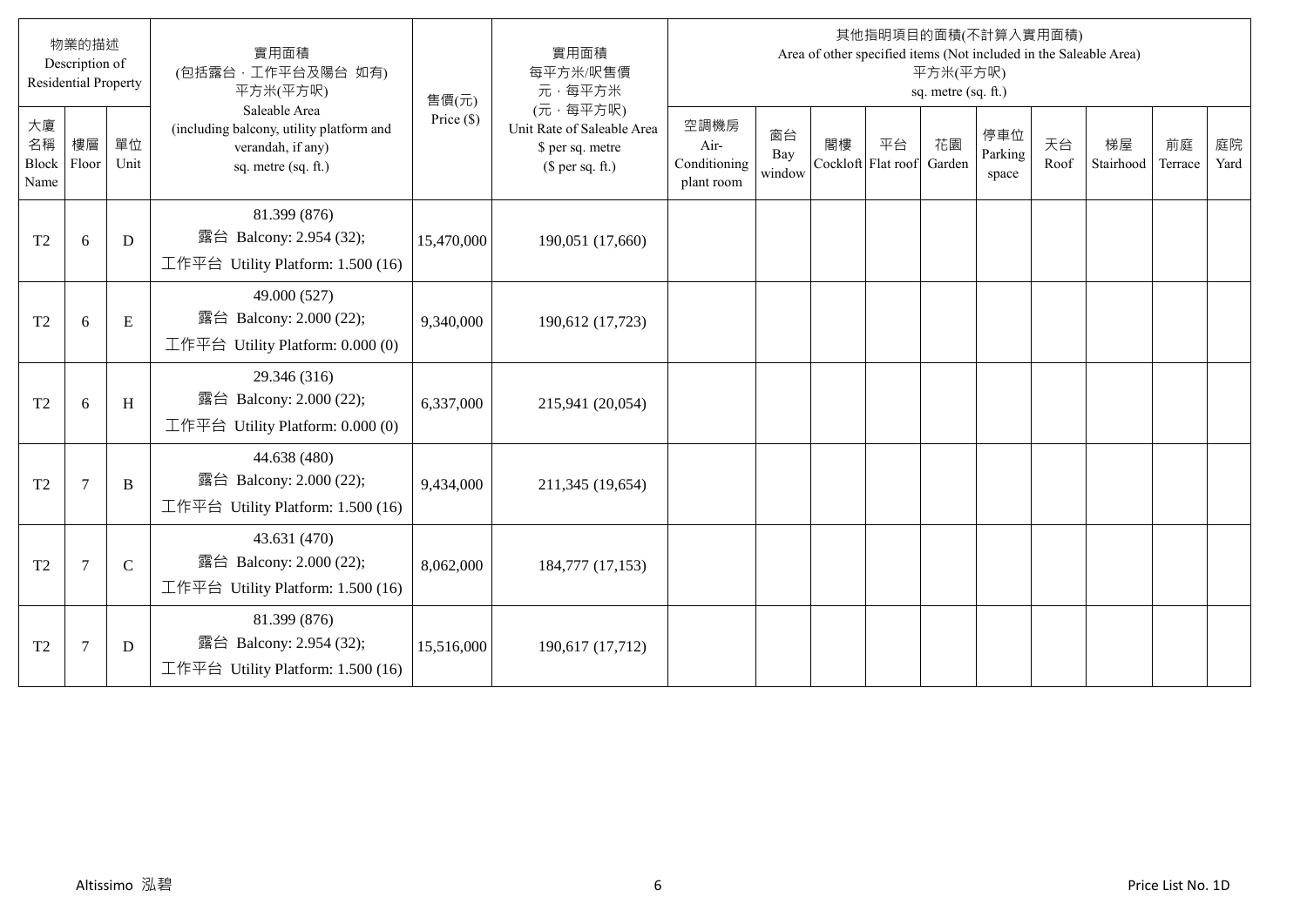|                           | 物業的描述<br>Description of<br><b>Residential Property</b> |              | 實用面積<br>(包括露台,工作平台及陽台 如有)<br>平方米(平方呎)                                                                 | 售價(元)        | 實用面積<br>每平方米/呎售價<br>元·每平方米                                                     |                                            |                     |                          |    | 平方米(平方呎)<br>sq. metre (sq. ft.) | 其他指明項目的面積(不計算入實用面積)     |            | Area of other specified items (Not included in the Saleable Area) |               |            |
|---------------------------|--------------------------------------------------------|--------------|-------------------------------------------------------------------------------------------------------|--------------|--------------------------------------------------------------------------------|--------------------------------------------|---------------------|--------------------------|----|---------------------------------|-------------------------|------------|-------------------------------------------------------------------|---------------|------------|
| 大廈<br>名稱<br>Block<br>Name | 樓層<br>Floor                                            | 單位<br>Unit   | Saleable Area<br>(including balcony, utility platform and<br>verandah, if any)<br>sq. metre (sq. ft.) | Price $(\$)$ | (元·每平方呎)<br>Unit Rate of Saleable Area<br>\$ per sq. metre<br>$$$ per sq. ft.) | 空調機房<br>Air-<br>Conditioning<br>plant room | 窗台<br>Bay<br>window | 閣樓<br>Cockloft Flat roof | 平台 | 花園<br>Garden                    | 停車位<br>Parking<br>space | 天台<br>Roof | 梯屋<br>Stairhood                                                   | 前庭<br>Terrace | 庭院<br>Yard |
| T <sub>2</sub>            | 6                                                      | D            | 81.399 (876)<br>露台 Balcony: 2.954 (32);<br>工作平台 Utility Platform: $1.500(16)$                         | 15,470,000   | 190,051 (17,660)                                                               |                                            |                     |                          |    |                                 |                         |            |                                                                   |               |            |
| T <sub>2</sub>            | 6                                                      | E            | 49.000 (527)<br>露台 Balcony: 2.000 (22);<br>工作平台 Utility Platform: 0.000 (0)                           | 9,340,000    | 190,612 (17,723)                                                               |                                            |                     |                          |    |                                 |                         |            |                                                                   |               |            |
| T <sub>2</sub>            | 6                                                      | H            | 29.346 (316)<br>露台 Balcony: 2.000 (22);<br>工作平台 Utility Platform: $0.000(0)$                          | 6,337,000    | 215,941 (20,054)                                                               |                                            |                     |                          |    |                                 |                         |            |                                                                   |               |            |
| T <sub>2</sub>            | $7\phantom{.0}$                                        | B            | 44.638 (480)<br>露台 Balcony: 2.000 (22);<br>工作平台 Utility Platform: 1.500 (16)                          | 9,434,000    | 211,345 (19,654)                                                               |                                            |                     |                          |    |                                 |                         |            |                                                                   |               |            |
| T <sub>2</sub>            | $7\phantom{.0}$                                        | $\mathsf{C}$ | 43.631 (470)<br>露台 Balcony: 2.000 (22);<br>工作平台 Utility Platform: 1.500 (16)                          | 8,062,000    | 184,777 (17,153)                                                               |                                            |                     |                          |    |                                 |                         |            |                                                                   |               |            |
| T2                        | $\overline{7}$                                         | D            | 81.399 (876)<br>露台 Balcony: 2.954 (32);<br>工作平台 Utility Platform: $1.500(16)$                         | 15,516,000   | 190,617 (17,712)                                                               |                                            |                     |                          |    |                                 |                         |            |                                                                   |               |            |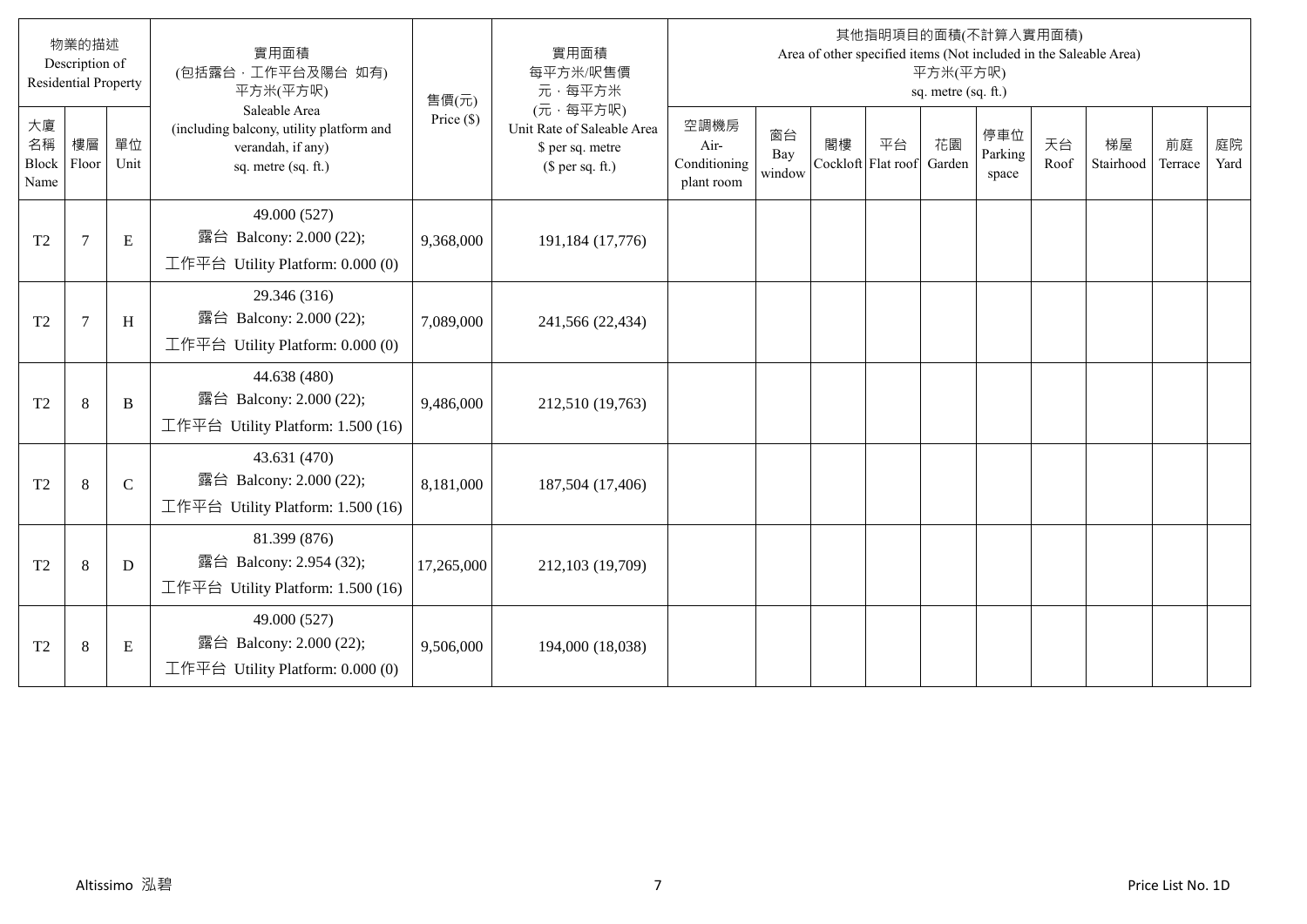|                                  | 物業的描述<br>Description of<br><b>Residential Property</b> |               | 實用面積<br>(包括露台,工作平台及陽台 如有)<br>平方米(平方呎)                                                                 | 售價(元)        | 實用面積<br>每平方米/呎售價<br>元·每平方米                                                     |                                            |                     |                          |    | 平方米(平方呎)<br>sq. metre (sq. ft.) | 其他指明項目的面積(不計算入實用面積)     |            | Area of other specified items (Not included in the Saleable Area) |               |            |
|----------------------------------|--------------------------------------------------------|---------------|-------------------------------------------------------------------------------------------------------|--------------|--------------------------------------------------------------------------------|--------------------------------------------|---------------------|--------------------------|----|---------------------------------|-------------------------|------------|-------------------------------------------------------------------|---------------|------------|
| 大廈<br>名稱<br><b>Block</b><br>Name | 樓層<br>Floor                                            | 單位<br>Unit    | Saleable Area<br>(including balcony, utility platform and<br>verandah, if any)<br>sq. metre (sq. ft.) | Price $(\$)$ | (元·每平方呎)<br>Unit Rate of Saleable Area<br>\$ per sq. metre<br>$$$ per sq. ft.) | 空調機房<br>Air-<br>Conditioning<br>plant room | 窗台<br>Bay<br>window | 閣樓<br>Cockloft Flat roof | 平台 | 花園<br>Garden                    | 停車位<br>Parking<br>space | 天台<br>Roof | 梯屋<br>Stairhood                                                   | 前庭<br>Terrace | 庭院<br>Yard |
| T <sub>2</sub>                   | $\overline{7}$                                         | E             | 49.000 (527)<br>露台 Balcony: 2.000 (22);<br>工作平台 Utility Platform: 0.000 (0)                           | 9,368,000    | 191,184 (17,776)                                                               |                                            |                     |                          |    |                                 |                         |            |                                                                   |               |            |
| T <sub>2</sub>                   | 7                                                      | H             | 29.346 (316)<br>露台 Balcony: 2.000 (22);<br>工作平台 Utility Platform: 0.000 (0)                           | 7,089,000    | 241,566 (22,434)                                                               |                                            |                     |                          |    |                                 |                         |            |                                                                   |               |            |
| T <sub>2</sub>                   | $\,8\,$                                                | B             | 44.638 (480)<br>露台 Balcony: 2.000 (22);<br>工作平台 Utility Platform: 1.500 (16)                          | 9,486,000    | 212,510 (19,763)                                                               |                                            |                     |                          |    |                                 |                         |            |                                                                   |               |            |
| T <sub>2</sub>                   | 8                                                      | $\mathcal{C}$ | 43.631 (470)<br>露台 Balcony: 2.000 (22);<br>工作平台 Utility Platform: $1.500(16)$                         | 8,181,000    | 187,504 (17,406)                                                               |                                            |                     |                          |    |                                 |                         |            |                                                                   |               |            |
| T <sub>2</sub>                   | 8                                                      | D             | 81.399 (876)<br>露台 Balcony: 2.954 (32);<br>工作平台 Utility Platform: 1.500 (16)                          | 17,265,000   | 212,103 (19,709)                                                               |                                            |                     |                          |    |                                 |                         |            |                                                                   |               |            |
| T <sub>2</sub>                   | $\,8\,$                                                | E             | 49.000 (527)<br>露台 Balcony: 2.000 (22);<br>工作平台 Utility Platform: 0.000 (0)                           | 9,506,000    | 194,000 (18,038)                                                               |                                            |                     |                          |    |                                 |                         |            |                                                                   |               |            |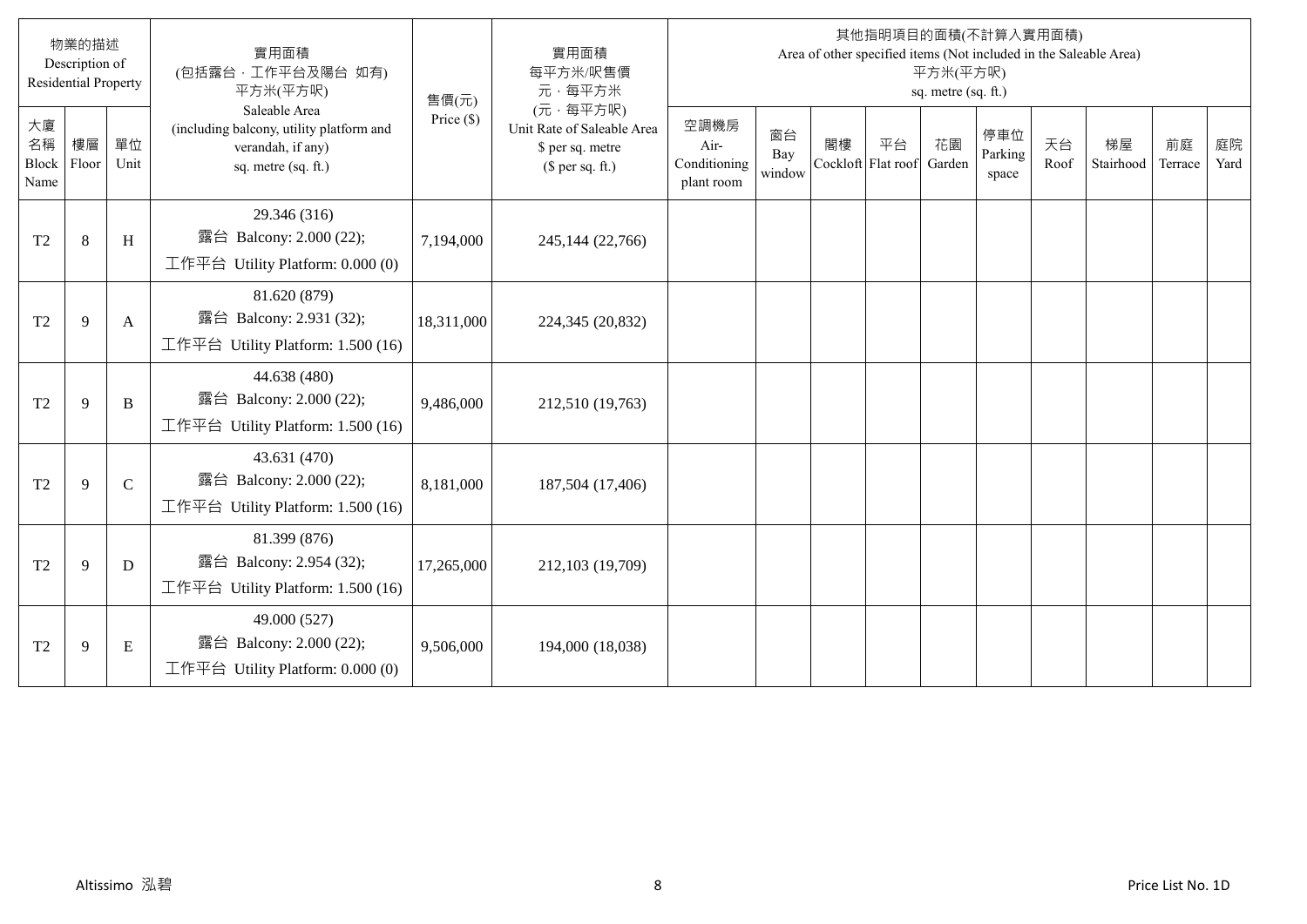|                           | 物業的描述<br>Description of<br><b>Residential Property</b> |              | 實用面積<br>(包括露台,工作平台及陽台 如有)<br>平方米(平方呎)                                                                 | 售價(元)        | 實用面積<br>每平方米/呎售價<br>元·每平方米                                                     |                                            |                     |                          |    | 平方米(平方呎)<br>sq. metre (sq. ft.) | 其他指明項目的面積(不計算入實用面積)     |            | Area of other specified items (Not included in the Saleable Area) |               |            |
|---------------------------|--------------------------------------------------------|--------------|-------------------------------------------------------------------------------------------------------|--------------|--------------------------------------------------------------------------------|--------------------------------------------|---------------------|--------------------------|----|---------------------------------|-------------------------|------------|-------------------------------------------------------------------|---------------|------------|
| 大廈<br>名稱<br>Block<br>Name | 樓層<br>Floor                                            | 單位<br>Unit   | Saleable Area<br>(including balcony, utility platform and<br>verandah, if any)<br>sq. metre (sq. ft.) | Price $(\$)$ | (元·每平方呎)<br>Unit Rate of Saleable Area<br>\$ per sq. metre<br>$$$ per sq. ft.) | 空調機房<br>Air-<br>Conditioning<br>plant room | 窗台<br>Bay<br>window | 閣樓<br>Cockloft Flat roof | 平台 | 花園<br>Garden                    | 停車位<br>Parking<br>space | 天台<br>Roof | 梯屋<br>Stairhood                                                   | 前庭<br>Terrace | 庭院<br>Yard |
| T <sub>2</sub>            | 8                                                      | H            | 29.346 (316)<br>露台 Balcony: 2.000 (22);<br>工作平台 Utility Platform: $0.000(0)$                          | 7,194,000    | 245,144 (22,766)                                                               |                                            |                     |                          |    |                                 |                         |            |                                                                   |               |            |
| T <sub>2</sub>            | 9                                                      | A            | 81.620 (879)<br>露台 Balcony: 2.931 (32);<br>工作平台 Utility Platform: 1.500 (16)                          | 18,311,000   | 224,345 (20,832)                                                               |                                            |                     |                          |    |                                 |                         |            |                                                                   |               |            |
| T <sub>2</sub>            | 9                                                      | B            | 44.638 (480)<br>露台 Balcony: 2.000 (22);<br>工作平台 Utility Platform: $1.500(16)$                         | 9,486,000    | 212,510 (19,763)                                                               |                                            |                     |                          |    |                                 |                         |            |                                                                   |               |            |
| T <sub>2</sub>            | 9                                                      | $\mathsf{C}$ | 43.631 (470)<br>露台 Balcony: 2.000 (22);<br>工作平台 Utility Platform: $1.500(16)$                         | 8,181,000    | 187,504 (17,406)                                                               |                                            |                     |                          |    |                                 |                         |            |                                                                   |               |            |
| T <sub>2</sub>            | 9                                                      | D            | 81.399 (876)<br>露台 Balcony: 2.954 (32);<br>工作平台 Utility Platform: 1.500 (16)                          | 17,265,000   | 212,103 (19,709)                                                               |                                            |                     |                          |    |                                 |                         |            |                                                                   |               |            |
| T <sub>2</sub>            | 9                                                      | E            | 49.000 (527)<br>露台 Balcony: 2.000 (22);<br>工作平台 Utility Platform: $0.000(0)$                          | 9,506,000    | 194,000 (18,038)                                                               |                                            |                     |                          |    |                                 |                         |            |                                                                   |               |            |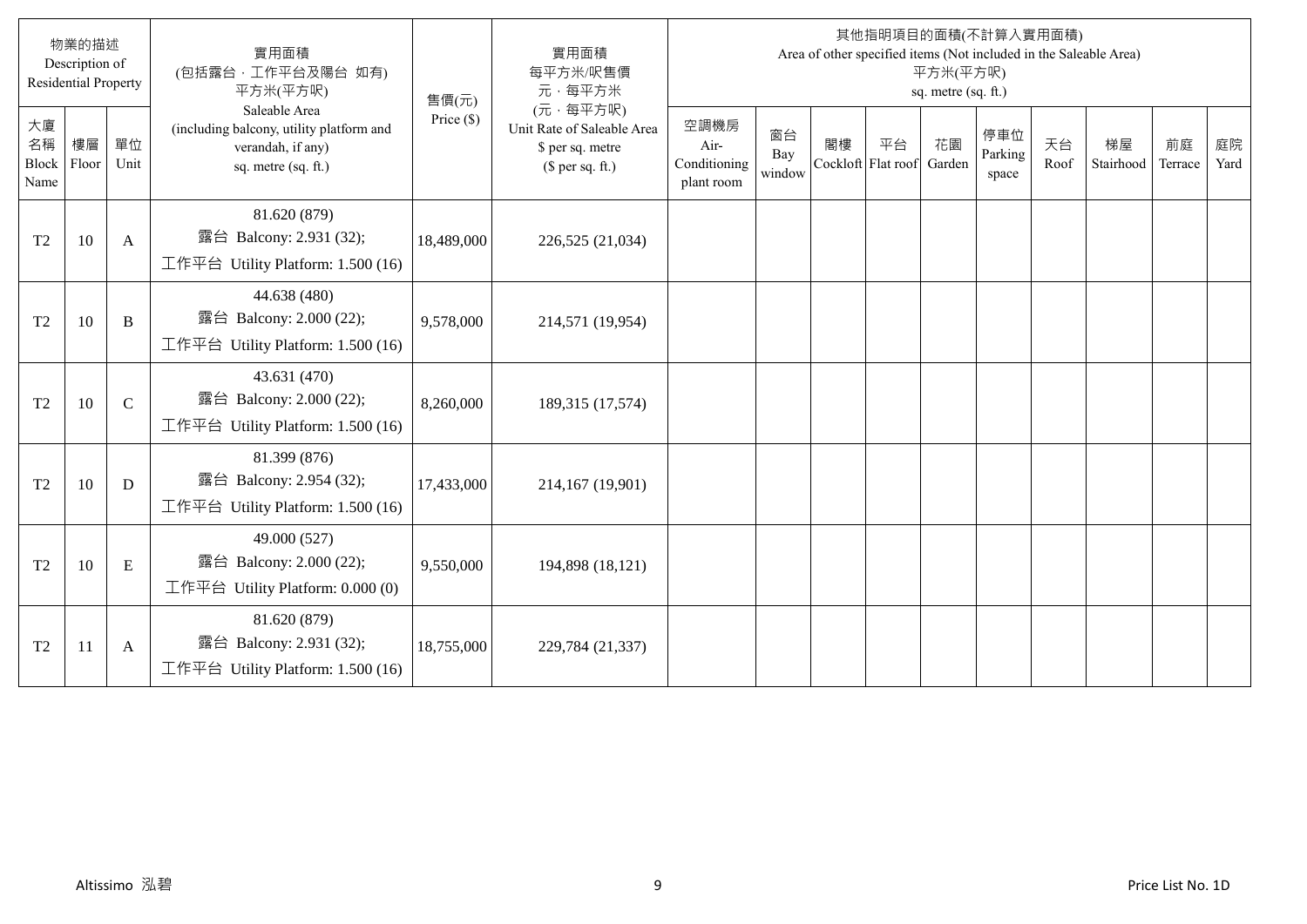|                                  | 物業的描述<br>Description of<br><b>Residential Property</b> |               | 實用面積<br>(包括露台,工作平台及陽台 如有)<br>平方米(平方呎)                                                                 | 售價(元)        | 實用面積<br>每平方米/呎售價<br>元·每平方米                                                     |                                            |                     |                          |    | 平方米(平方呎)<br>sq. metre (sq. ft.) | 其他指明項目的面積(不計算入實用面積)     |            | Area of other specified items (Not included in the Saleable Area) |               |            |
|----------------------------------|--------------------------------------------------------|---------------|-------------------------------------------------------------------------------------------------------|--------------|--------------------------------------------------------------------------------|--------------------------------------------|---------------------|--------------------------|----|---------------------------------|-------------------------|------------|-------------------------------------------------------------------|---------------|------------|
| 大廈<br>名稱<br><b>Block</b><br>Name | 樓層<br>Floor                                            | 單位<br>Unit    | Saleable Area<br>(including balcony, utility platform and<br>verandah, if any)<br>sq. metre (sq. ft.) | Price $(\$)$ | (元·每平方呎)<br>Unit Rate of Saleable Area<br>\$ per sq. metre<br>$$$ per sq. ft.) | 空調機房<br>Air-<br>Conditioning<br>plant room | 窗台<br>Bay<br>window | 閣樓<br>Cockloft Flat roof | 平台 | 花園<br>Garden                    | 停車位<br>Parking<br>space | 天台<br>Roof | 梯屋<br>Stairhood                                                   | 前庭<br>Terrace | 庭院<br>Yard |
| T <sub>2</sub>                   | 10                                                     | A             | 81.620 (879)<br>露台 Balcony: 2.931 (32);<br>工作平台 Utility Platform: 1.500 (16)                          | 18,489,000   | 226,525 (21,034)                                                               |                                            |                     |                          |    |                                 |                         |            |                                                                   |               |            |
| T <sub>2</sub>                   | 10                                                     | B             | 44.638 (480)<br>露台 Balcony: 2.000 (22);<br>工作平台 Utility Platform: 1.500 (16)                          | 9,578,000    | 214,571 (19,954)                                                               |                                            |                     |                          |    |                                 |                         |            |                                                                   |               |            |
| T <sub>2</sub>                   | 10                                                     | $\mathcal{C}$ | 43.631 (470)<br>露台 Balcony: 2.000 (22);<br>工作平台 Utility Platform: 1.500 (16)                          | 8,260,000    | 189,315 (17,574)                                                               |                                            |                     |                          |    |                                 |                         |            |                                                                   |               |            |
| T <sub>2</sub>                   | 10                                                     | D             | 81.399 (876)<br>露台 Balcony: 2.954 (32);<br>工作平台 Utility Platform: 1.500 (16)                          | 17,433,000   | 214,167 (19,901)                                                               |                                            |                     |                          |    |                                 |                         |            |                                                                   |               |            |
| T <sub>2</sub>                   | 10                                                     | E             | 49.000 (527)<br>露台 Balcony: 2.000 (22);<br>工作平台 Utility Platform: 0.000 (0)                           | 9,550,000    | 194,898 (18,121)                                                               |                                            |                     |                          |    |                                 |                         |            |                                                                   |               |            |
| T <sub>2</sub>                   | 11                                                     | A             | 81.620 (879)<br>露台 Balcony: 2.931 (32);<br>工作平台 Utility Platform: 1.500 (16)                          | 18,755,000   | 229,784 (21,337)                                                               |                                            |                     |                          |    |                                 |                         |            |                                                                   |               |            |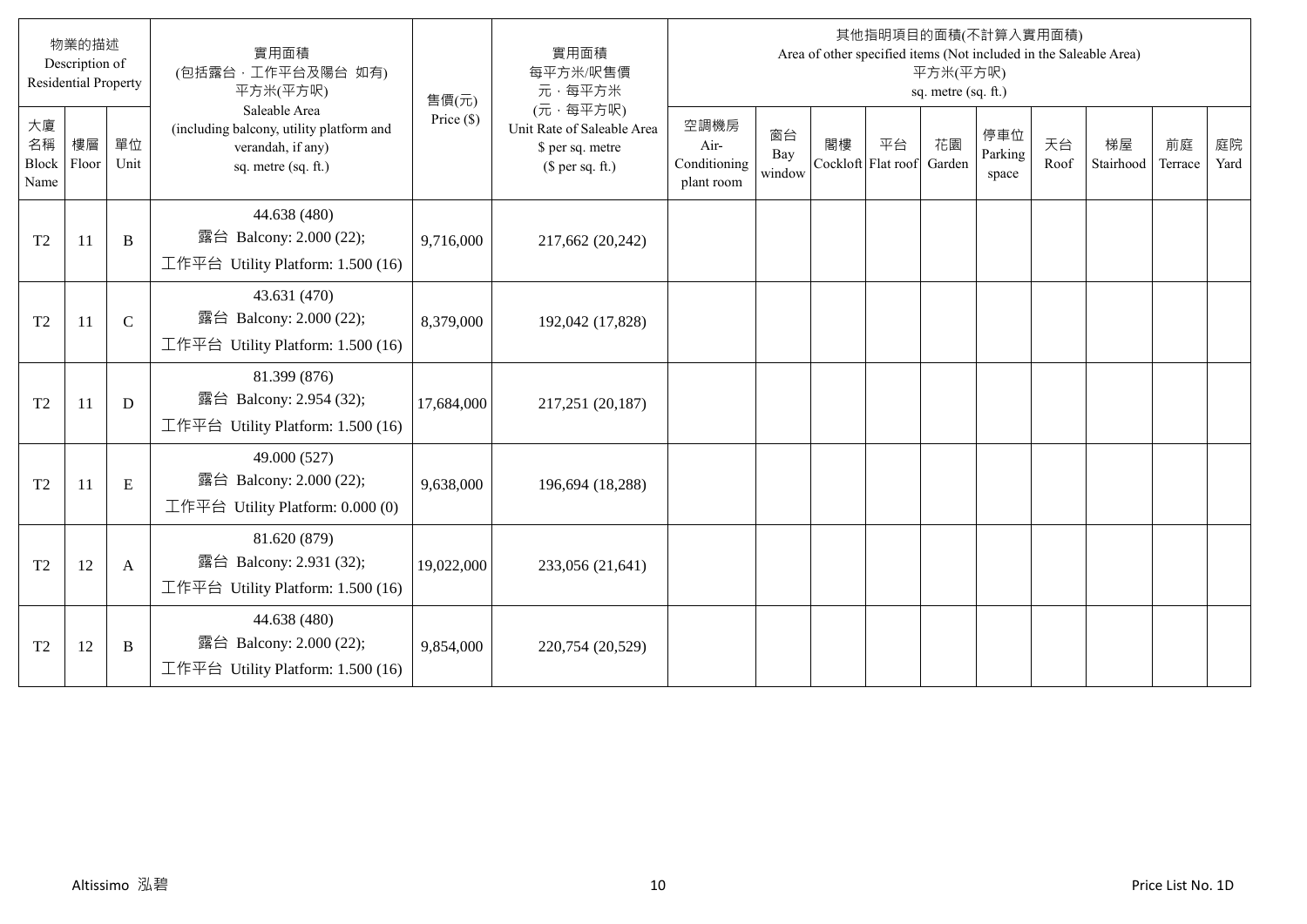|                                  | 物業的描述<br>Description of<br><b>Residential Property</b> |             | 實用面積<br>(包括露台,工作平台及陽台 如有)<br>平方米(平方呎)                                                                 | 售價(元)        | 實用面積<br>每平方米/呎售價<br>元·每平方米                                                     |                                            |                     |                          |    | 平方米(平方呎)<br>sq. metre (sq. ft.) | 其他指明項目的面積(不計算入實用面積)     |            | Area of other specified items (Not included in the Saleable Area) |               |            |
|----------------------------------|--------------------------------------------------------|-------------|-------------------------------------------------------------------------------------------------------|--------------|--------------------------------------------------------------------------------|--------------------------------------------|---------------------|--------------------------|----|---------------------------------|-------------------------|------------|-------------------------------------------------------------------|---------------|------------|
| 大廈<br>名稱<br><b>Block</b><br>Name | 樓層<br>Floor                                            | 單位<br>Unit  | Saleable Area<br>(including balcony, utility platform and<br>verandah, if any)<br>sq. metre (sq. ft.) | Price $(\$)$ | (元·每平方呎)<br>Unit Rate of Saleable Area<br>\$ per sq. metre<br>$$$ per sq. ft.) | 空調機房<br>Air-<br>Conditioning<br>plant room | 窗台<br>Bay<br>window | 閣樓<br>Cockloft Flat roof | 平台 | 花園<br>Garden                    | 停車位<br>Parking<br>space | 天台<br>Roof | 梯屋<br>Stairhood                                                   | 前庭<br>Terrace | 庭院<br>Yard |
| T <sub>2</sub>                   | 11                                                     | B           | 44.638 (480)<br>露台 Balcony: 2.000 (22);<br>工作平台 Utility Platform: 1.500 (16)                          | 9,716,000    | 217,662 (20,242)                                                               |                                            |                     |                          |    |                                 |                         |            |                                                                   |               |            |
| T <sub>2</sub>                   | <sup>11</sup>                                          | $\mathbf C$ | 43.631 (470)<br>露台 Balcony: 2.000 (22);<br>工作平台 Utility Platform: 1.500 (16)                          | 8,379,000    | 192,042 (17,828)                                                               |                                            |                     |                          |    |                                 |                         |            |                                                                   |               |            |
| T <sub>2</sub>                   | 11                                                     | D           | 81.399 (876)<br>露台 Balcony: 2.954 (32);<br>工作平台 Utility Platform: 1.500 (16)                          | 17,684,000   | 217,251 (20,187)                                                               |                                            |                     |                          |    |                                 |                         |            |                                                                   |               |            |
| T <sub>2</sub>                   | 11                                                     | E           | 49.000 (527)<br>露台 Balcony: 2.000 (22);<br>工作平台 Utility Platform: 0.000 (0)                           | 9,638,000    | 196,694 (18,288)                                                               |                                            |                     |                          |    |                                 |                         |            |                                                                   |               |            |
| T <sub>2</sub>                   | 12                                                     | A           | 81.620 (879)<br>露台 Balcony: 2.931 (32);<br>工作平台 Utility Platform: 1.500 (16)                          | 19,022,000   | 233,056 (21,641)                                                               |                                            |                     |                          |    |                                 |                         |            |                                                                   |               |            |
| T <sub>2</sub>                   | 12                                                     | B           | 44.638 (480)<br>露台 Balcony: 2.000 (22);<br>工作平台 Utility Platform: $1.500(16)$                         | 9,854,000    | 220,754 (20,529)                                                               |                                            |                     |                          |    |                                 |                         |            |                                                                   |               |            |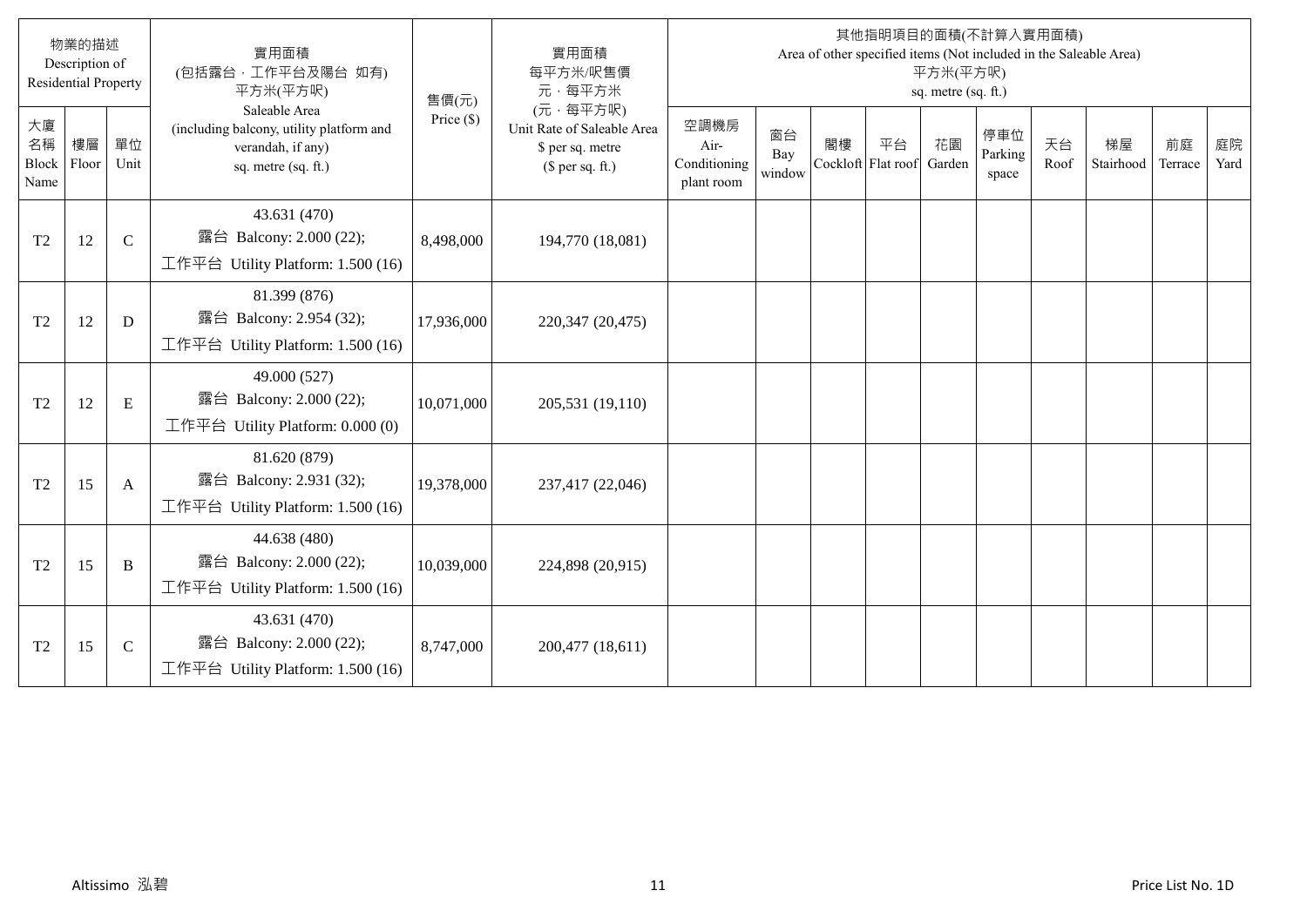|                                  | 物業的描述<br>Description of<br><b>Residential Property</b> |             | 實用面積<br>(包括露台,工作平台及陽台 如有)<br>平方米(平方呎)                                                                 | 售價(元)        | 實用面積<br>每平方米/呎售價<br>元·每平方米                                                     |                                            |                     |                          |    | 平方米(平方呎)<br>sq. metre (sq. ft.) | 其他指明項目的面積(不計算入實用面積)     |            | Area of other specified items (Not included in the Saleable Area) |               |            |
|----------------------------------|--------------------------------------------------------|-------------|-------------------------------------------------------------------------------------------------------|--------------|--------------------------------------------------------------------------------|--------------------------------------------|---------------------|--------------------------|----|---------------------------------|-------------------------|------------|-------------------------------------------------------------------|---------------|------------|
| 大廈<br>名稱<br><b>Block</b><br>Name | 樓層<br>Floor                                            | 單位<br>Unit  | Saleable Area<br>(including balcony, utility platform and<br>verandah, if any)<br>sq. metre (sq. ft.) | Price $(\$)$ | (元·每平方呎)<br>Unit Rate of Saleable Area<br>\$ per sq. metre<br>$$$ per sq. ft.) | 空調機房<br>Air-<br>Conditioning<br>plant room | 窗台<br>Bay<br>window | 閣樓<br>Cockloft Flat roof | 平台 | 花園<br>Garden                    | 停車位<br>Parking<br>space | 天台<br>Roof | 梯屋<br>Stairhood                                                   | 前庭<br>Terrace | 庭院<br>Yard |
| T <sub>2</sub>                   | 12                                                     | $\mathbf C$ | 43.631 (470)<br>露台 Balcony: 2.000 (22);<br>工作平台 Utility Platform: 1.500 (16)                          | 8,498,000    | 194,770 (18,081)                                                               |                                            |                     |                          |    |                                 |                         |            |                                                                   |               |            |
| T <sub>2</sub>                   | 12                                                     | D           | 81.399 (876)<br>露台 Balcony: 2.954 (32);<br>工作平台 Utility Platform: 1.500 (16)                          | 17,936,000   | 220,347 (20,475)                                                               |                                            |                     |                          |    |                                 |                         |            |                                                                   |               |            |
| T <sub>2</sub>                   | 12                                                     | E           | 49.000 (527)<br>露台 Balcony: 2.000 (22);<br>工作平台 Utility Platform: $0.000(0)$                          | 10,071,000   | 205,531 (19,110)                                                               |                                            |                     |                          |    |                                 |                         |            |                                                                   |               |            |
| T <sub>2</sub>                   | 15                                                     | A           | 81.620 (879)<br>露台 Balcony: 2.931 (32);<br>工作平台 Utility Platform: $1.500(16)$                         | 19,378,000   | 237,417 (22,046)                                                               |                                            |                     |                          |    |                                 |                         |            |                                                                   |               |            |
| T <sub>2</sub>                   | 15                                                     | B           | 44.638 (480)<br>露台 Balcony: 2.000 (22);<br>工作平台 Utility Platform: $1.500(16)$                         | 10,039,000   | 224,898 (20,915)                                                               |                                            |                     |                          |    |                                 |                         |            |                                                                   |               |            |
| T <sub>2</sub>                   | 15                                                     | $\mathbf C$ | 43.631 (470)<br>露台 Balcony: 2.000 (22);<br>工作平台 Utility Platform: $1.500(16)$                         | 8,747,000    | 200,477 (18,611)                                                               |                                            |                     |                          |    |                                 |                         |            |                                                                   |               |            |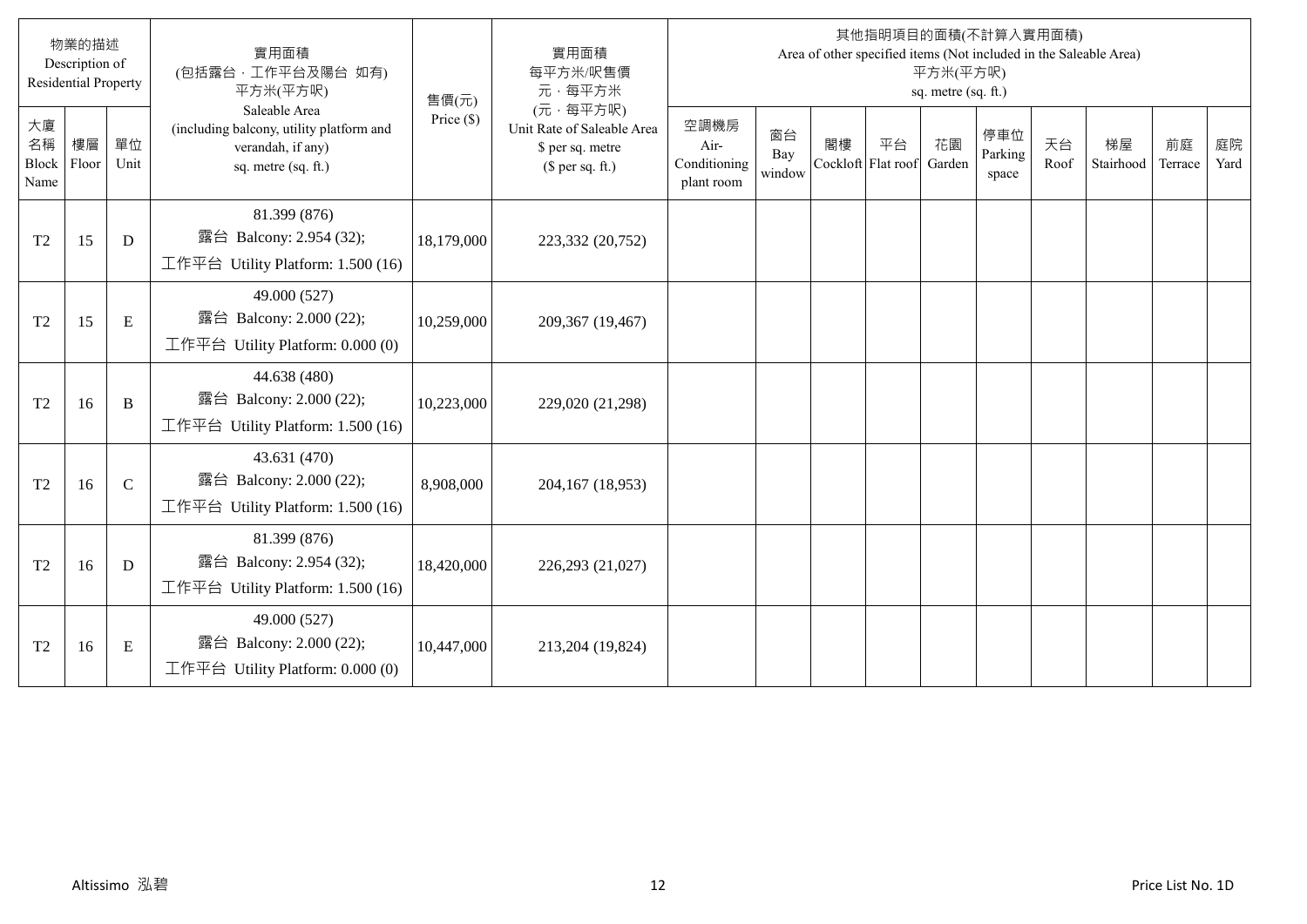|                                  | 物業的描述<br>Description of<br><b>Residential Property</b> |               | 實用面積<br>(包括露台,工作平台及陽台 如有)<br>平方米(平方呎)                                                                 | 售價(元)        | 實用面積<br>每平方米/呎售價<br>元·每平方米                                                     |                                            |                     |                          |    | 平方米(平方呎)<br>sq. metre (sq. ft.) | 其他指明項目的面積(不計算入實用面積)     |            | Area of other specified items (Not included in the Saleable Area) |               |            |
|----------------------------------|--------------------------------------------------------|---------------|-------------------------------------------------------------------------------------------------------|--------------|--------------------------------------------------------------------------------|--------------------------------------------|---------------------|--------------------------|----|---------------------------------|-------------------------|------------|-------------------------------------------------------------------|---------------|------------|
| 大廈<br>名稱<br><b>Block</b><br>Name | 樓層<br>Floor                                            | 單位<br>Unit    | Saleable Area<br>(including balcony, utility platform and<br>verandah, if any)<br>sq. metre (sq. ft.) | Price $(\$)$ | (元·每平方呎)<br>Unit Rate of Saleable Area<br>\$ per sq. metre<br>$$$ per sq. ft.) | 空調機房<br>Air-<br>Conditioning<br>plant room | 窗台<br>Bay<br>window | 閣樓<br>Cockloft Flat roof | 平台 | 花園<br>Garden                    | 停車位<br>Parking<br>space | 天台<br>Roof | 梯屋<br>Stairhood                                                   | 前庭<br>Terrace | 庭院<br>Yard |
| T <sub>2</sub>                   | 15                                                     | D             | 81.399 (876)<br>露台 Balcony: 2.954 (32);<br>工作平台 Utility Platform: 1.500 (16)                          | 18,179,000   | 223,332 (20,752)                                                               |                                            |                     |                          |    |                                 |                         |            |                                                                   |               |            |
| T <sub>2</sub>                   | 15                                                     | E             | 49.000 (527)<br>露台 Balcony: 2.000 (22);<br>工作平台 Utility Platform: 0.000 (0)                           | 10,259,000   | 209,367 (19,467)                                                               |                                            |                     |                          |    |                                 |                         |            |                                                                   |               |            |
| T <sub>2</sub>                   | 16                                                     | B             | 44.638 (480)<br>露台 Balcony: 2.000 (22);<br>工作平台 Utility Platform: 1.500 (16)                          | 10,223,000   | 229,020 (21,298)                                                               |                                            |                     |                          |    |                                 |                         |            |                                                                   |               |            |
| T <sub>2</sub>                   | 16                                                     | $\mathcal{C}$ | 43.631 (470)<br>露台 Balcony: 2.000 (22);<br>工作平台 Utility Platform: $1.500(16)$                         | 8,908,000    | 204,167 (18,953)                                                               |                                            |                     |                          |    |                                 |                         |            |                                                                   |               |            |
| T <sub>2</sub>                   | 16                                                     | D             | 81.399 (876)<br>露台 Balcony: 2.954 (32);<br>工作平台 Utility Platform: 1.500 (16)                          | 18,420,000   | 226,293 (21,027)                                                               |                                            |                     |                          |    |                                 |                         |            |                                                                   |               |            |
| T <sub>2</sub>                   | 16                                                     | E             | 49.000 (527)<br>露台 Balcony: 2.000 (22);<br>工作平台 Utility Platform: 0.000 (0)                           | 10,447,000   | 213,204 (19,824)                                                               |                                            |                     |                          |    |                                 |                         |            |                                                                   |               |            |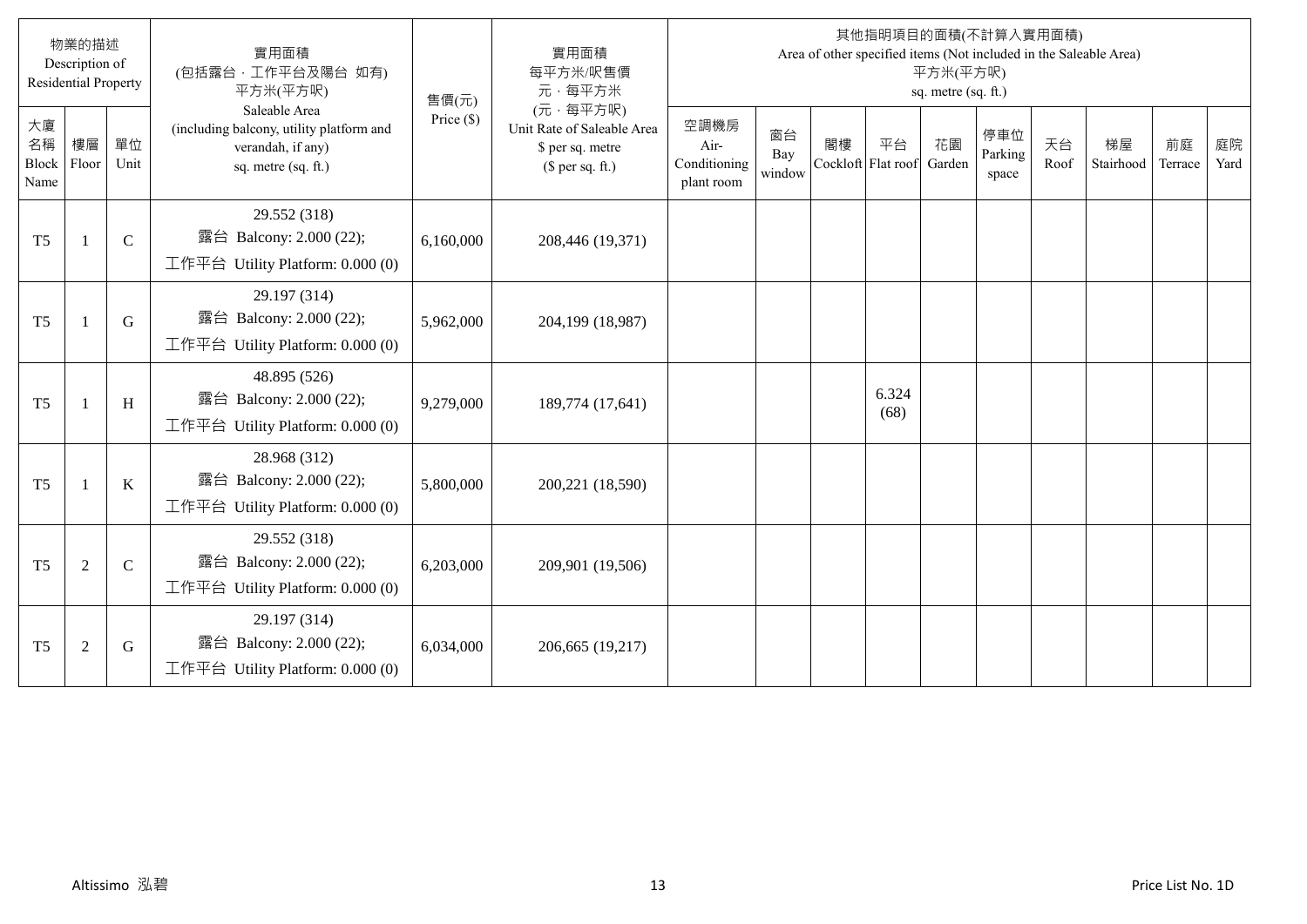|                           | 物業的描述<br>Description of<br><b>Residential Property</b> |               | 實用面積<br>(包括露台, 工作平台及陽台 如有)<br>平方米(平方呎)                                                                | 售價(元)        | 實用面積<br>每平方米/呎售價<br>元·每平方米                                                     |                                            |                     |    |                          | 平方米(平方呎)<br>sq. metre (sq. ft.) | 其他指明項目的面積(不計算入實用面積)     |            | Area of other specified items (Not included in the Saleable Area) |               |            |
|---------------------------|--------------------------------------------------------|---------------|-------------------------------------------------------------------------------------------------------|--------------|--------------------------------------------------------------------------------|--------------------------------------------|---------------------|----|--------------------------|---------------------------------|-------------------------|------------|-------------------------------------------------------------------|---------------|------------|
| 大廈<br>名稱<br>Block<br>Name | 樓層<br>Floor                                            | 單位<br>Unit    | Saleable Area<br>(including balcony, utility platform and<br>verandah, if any)<br>sq. metre (sq. ft.) | Price $(\$)$ | (元·每平方呎)<br>Unit Rate of Saleable Area<br>\$ per sq. metre<br>$$$ per sq. ft.) | 空調機房<br>Air-<br>Conditioning<br>plant room | 窗台<br>Bay<br>window | 閣樓 | 平台<br>Cockloft Flat roof | 花園<br>Garden                    | 停車位<br>Parking<br>space | 天台<br>Roof | 梯屋<br>Stairhood                                                   | 前庭<br>Terrace | 庭院<br>Yard |
| T <sub>5</sub>            | -1                                                     | $\mathbf C$   | 29.552 (318)<br>露台 Balcony: 2.000 (22);<br>工作平台 Utility Platform: 0.000 (0)                           | 6,160,000    | 208,446 (19,371)                                                               |                                            |                     |    |                          |                                 |                         |            |                                                                   |               |            |
| T <sub>5</sub>            | $\mathbf{1}$                                           | G             | 29.197 (314)<br>露台 Balcony: 2.000 (22);<br>工作平台 Utility Platform: 0.000 (0)                           | 5,962,000    | 204,199 (18,987)                                                               |                                            |                     |    |                          |                                 |                         |            |                                                                   |               |            |
| T <sub>5</sub>            | -1                                                     | H             | 48.895 (526)<br>露台 Balcony: 2.000 (22);<br>工作平台 Utility Platform: $0.000(0)$                          | 9,279,000    | 189,774 (17,641)                                                               |                                            |                     |    | 6.324<br>(68)            |                                 |                         |            |                                                                   |               |            |
| T <sub>5</sub>            | $\mathbf{1}$                                           | $\bf K$       | 28.968 (312)<br>露台 Balcony: 2.000 (22);<br>工作平台 Utility Platform: $0.000(0)$                          | 5,800,000    | 200,221 (18,590)                                                               |                                            |                     |    |                          |                                 |                         |            |                                                                   |               |            |
| T <sub>5</sub>            | $\overline{2}$                                         | $\mathcal{C}$ | 29.552 (318)<br>露台 Balcony: 2.000 (22);<br>工作平台 Utility Platform: 0.000 (0)                           | 6,203,000    | 209,901 (19,506)                                                               |                                            |                     |    |                          |                                 |                         |            |                                                                   |               |            |
| T <sub>5</sub>            | $\overline{2}$                                         | G             | 29.197 (314)<br>露台 Balcony: 2.000 (22);<br>工作平台 Utility Platform: 0.000 (0)                           | 6,034,000    | 206,665 (19,217)                                                               |                                            |                     |    |                          |                                 |                         |            |                                                                   |               |            |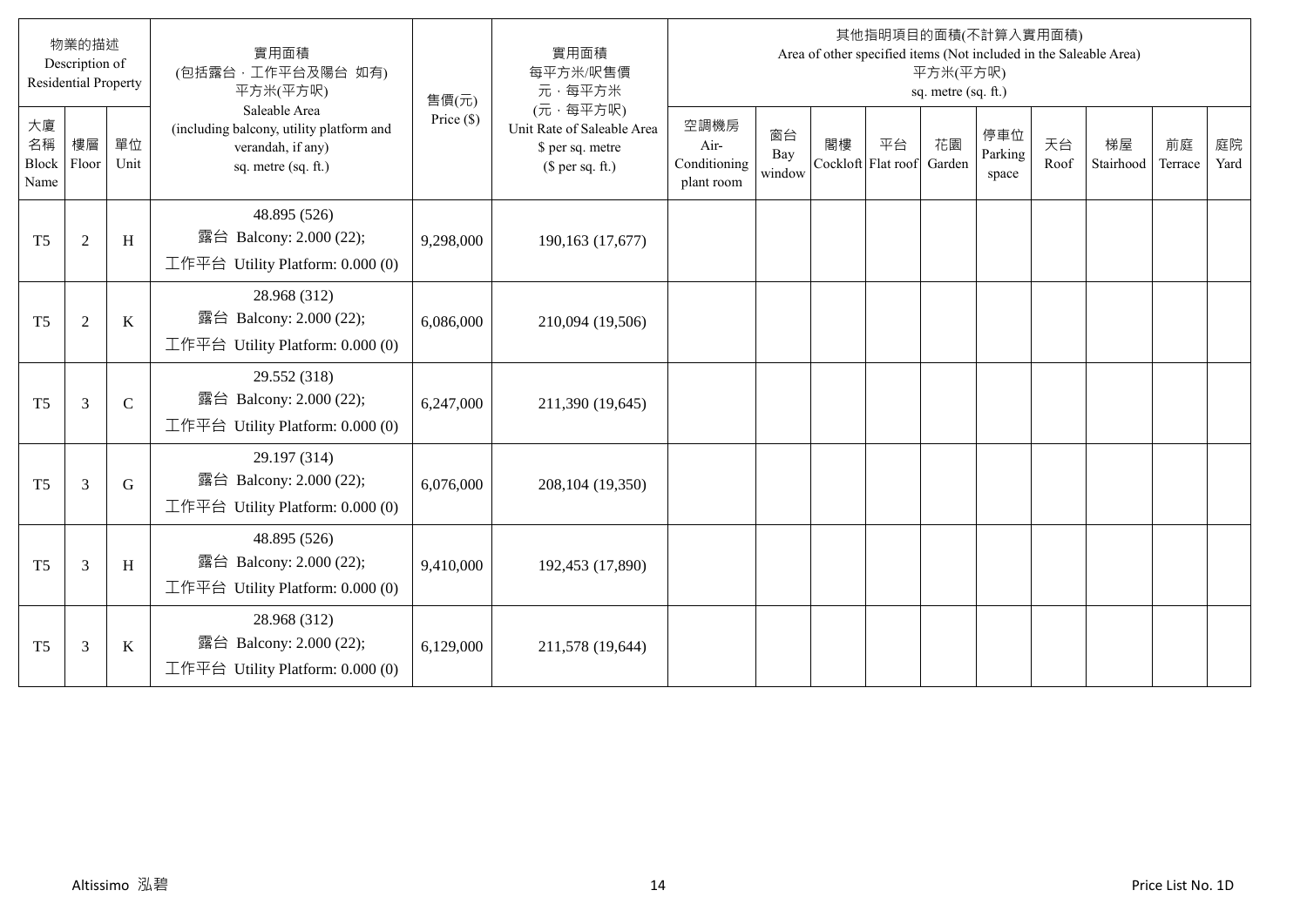|                           | 物業的描述<br>Description of<br><b>Residential Property</b> |               | 實用面積<br>(包括露台,工作平台及陽台 如有)<br>平方米(平方呎)                                                                 | 售價(元)        | 實用面積<br>每平方米/呎售價<br>元·每平方米                                                     |                                            |                     |    |                          | 平方米(平方呎)<br>sq. metre (sq. ft.) | 其他指明項目的面積(不計算入實用面積)     |            | Area of other specified items (Not included in the Saleable Area) |               |            |
|---------------------------|--------------------------------------------------------|---------------|-------------------------------------------------------------------------------------------------------|--------------|--------------------------------------------------------------------------------|--------------------------------------------|---------------------|----|--------------------------|---------------------------------|-------------------------|------------|-------------------------------------------------------------------|---------------|------------|
| 大廈<br>名稱<br>Block<br>Name | 樓層<br>Floor                                            | 單位<br>Unit    | Saleable Area<br>(including balcony, utility platform and<br>verandah, if any)<br>sq. metre (sq. ft.) | Price $(\$)$ | (元·每平方呎)<br>Unit Rate of Saleable Area<br>\$ per sq. metre<br>$$$ per sq. ft.) | 空調機房<br>Air-<br>Conditioning<br>plant room | 窗台<br>Bay<br>window | 閣樓 | 平台<br>Cockloft Flat roof | 花園<br>Garden                    | 停車位<br>Parking<br>space | 天台<br>Roof | 梯屋<br>Stairhood                                                   | 前庭<br>Terrace | 庭院<br>Yard |
| T <sub>5</sub>            | $\overline{2}$                                         | H             | 48.895 (526)<br>露台 Balcony: 2.000 (22);<br>工作平台 Utility Platform: 0.000 (0)                           | 9,298,000    | 190,163 (17,677)                                                               |                                            |                     |    |                          |                                 |                         |            |                                                                   |               |            |
| T <sub>5</sub>            | $\overline{2}$                                         | $\bf K$       | 28.968 (312)<br>露台 Balcony: 2.000 (22);<br>工作平台 Utility Platform: 0.000 (0)                           | 6,086,000    | 210,094 (19,506)                                                               |                                            |                     |    |                          |                                 |                         |            |                                                                   |               |            |
| T <sub>5</sub>            | 3                                                      | $\mathcal{C}$ | 29.552 (318)<br>露台 Balcony: 2.000 (22);<br>工作平台 Utility Platform: 0.000 (0)                           | 6,247,000    | 211,390 (19,645)                                                               |                                            |                     |    |                          |                                 |                         |            |                                                                   |               |            |
| T <sub>5</sub>            | 3                                                      | G             | 29.197 (314)<br>露台 Balcony: 2.000 (22);<br>工作平台 Utility Platform: 0.000 (0)                           | 6,076,000    | 208,104 (19,350)                                                               |                                            |                     |    |                          |                                 |                         |            |                                                                   |               |            |
| T <sub>5</sub>            | 3                                                      | H             | 48.895 (526)<br>露台 Balcony: 2.000 (22);<br>工作平台 Utility Platform: 0.000 (0)                           | 9,410,000    | 192,453 (17,890)                                                               |                                            |                     |    |                          |                                 |                         |            |                                                                   |               |            |
| T <sub>5</sub>            | 3                                                      | $\rm K$       | 28.968 (312)<br>露台 Balcony: 2.000 (22);<br>工作平台 Utility Platform: 0.000 (0)                           | 6,129,000    | 211,578 (19,644)                                                               |                                            |                     |    |                          |                                 |                         |            |                                                                   |               |            |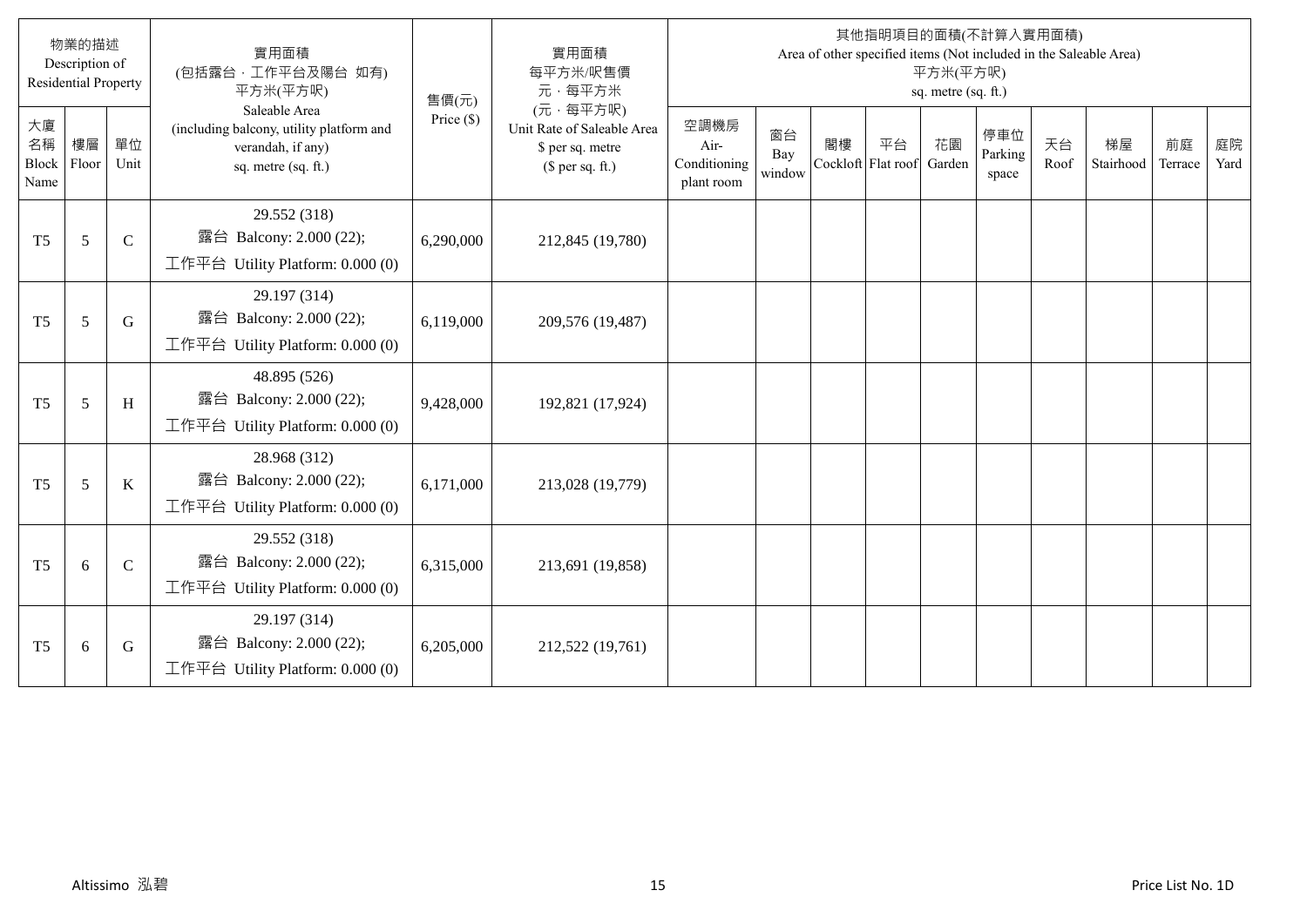|                           | 物業的描述<br>Description of<br><b>Residential Property</b> |             | 實用面積<br>(包括露台,工作平台及陽台 如有)<br>平方米(平方呎)                                                                 | 售價(元)        | 實用面積<br>每平方米/呎售價<br>元·每平方米                                                     |                                            |                     |                          |    | 平方米(平方呎)<br>sq. metre (sq. ft.) | 其他指明項目的面積(不計算入實用面積)     |            | Area of other specified items (Not included in the Saleable Area) |               |            |
|---------------------------|--------------------------------------------------------|-------------|-------------------------------------------------------------------------------------------------------|--------------|--------------------------------------------------------------------------------|--------------------------------------------|---------------------|--------------------------|----|---------------------------------|-------------------------|------------|-------------------------------------------------------------------|---------------|------------|
| 大廈<br>名稱<br>Block<br>Name | 樓層<br>Floor                                            | 單位<br>Unit  | Saleable Area<br>(including balcony, utility platform and<br>verandah, if any)<br>sq. metre (sq. ft.) | Price $(\$)$ | (元·每平方呎)<br>Unit Rate of Saleable Area<br>\$ per sq. metre<br>$$$ per sq. ft.) | 空調機房<br>Air-<br>Conditioning<br>plant room | 窗台<br>Bay<br>window | 閣樓<br>Cockloft Flat roof | 平台 | 花園<br>Garden                    | 停車位<br>Parking<br>space | 天台<br>Roof | 梯屋<br>Stairhood                                                   | 前庭<br>Terrace | 庭院<br>Yard |
| T <sub>5</sub>            | 5                                                      | $\mathbf C$ | 29.552 (318)<br>露台 Balcony: 2.000 (22);<br>工作平台 Utility Platform: 0.000 (0)                           | 6,290,000    | 212,845 (19,780)                                                               |                                            |                     |                          |    |                                 |                         |            |                                                                   |               |            |
| T <sub>5</sub>            | 5                                                      | G           | 29.197 (314)<br>露台 Balcony: 2.000 (22);<br>工作平台 Utility Platform: 0.000 (0)                           | 6,119,000    | 209,576 (19,487)                                                               |                                            |                     |                          |    |                                 |                         |            |                                                                   |               |            |
| T <sub>5</sub>            | 5                                                      | H           | 48.895 (526)<br>露台 Balcony: 2.000 (22);<br>工作平台 Utility Platform: $0.000(0)$                          | 9,428,000    | 192,821 (17,924)                                                               |                                            |                     |                          |    |                                 |                         |            |                                                                   |               |            |
| T <sub>5</sub>            | 5                                                      | $\bf K$     | 28.968 (312)<br>露台 Balcony: 2.000 (22);<br>工作平台 Utility Platform: $0.000(0)$                          | 6,171,000    | 213,028 (19,779)                                                               |                                            |                     |                          |    |                                 |                         |            |                                                                   |               |            |
| T <sub>5</sub>            | 6                                                      | $\mathbf C$ | 29.552 (318)<br>露台 Balcony: 2.000 (22);<br>工作平台 Utility Platform: $0.000(0)$                          | 6,315,000    | 213,691 (19,858)                                                               |                                            |                     |                          |    |                                 |                         |            |                                                                   |               |            |
| T <sub>5</sub>            | 6                                                      | G           | 29.197 (314)<br>露台 Balcony: 2.000 (22);<br>工作平台 Utility Platform: $0.000(0)$                          | 6,205,000    | 212,522 (19,761)                                                               |                                            |                     |                          |    |                                 |                         |            |                                                                   |               |            |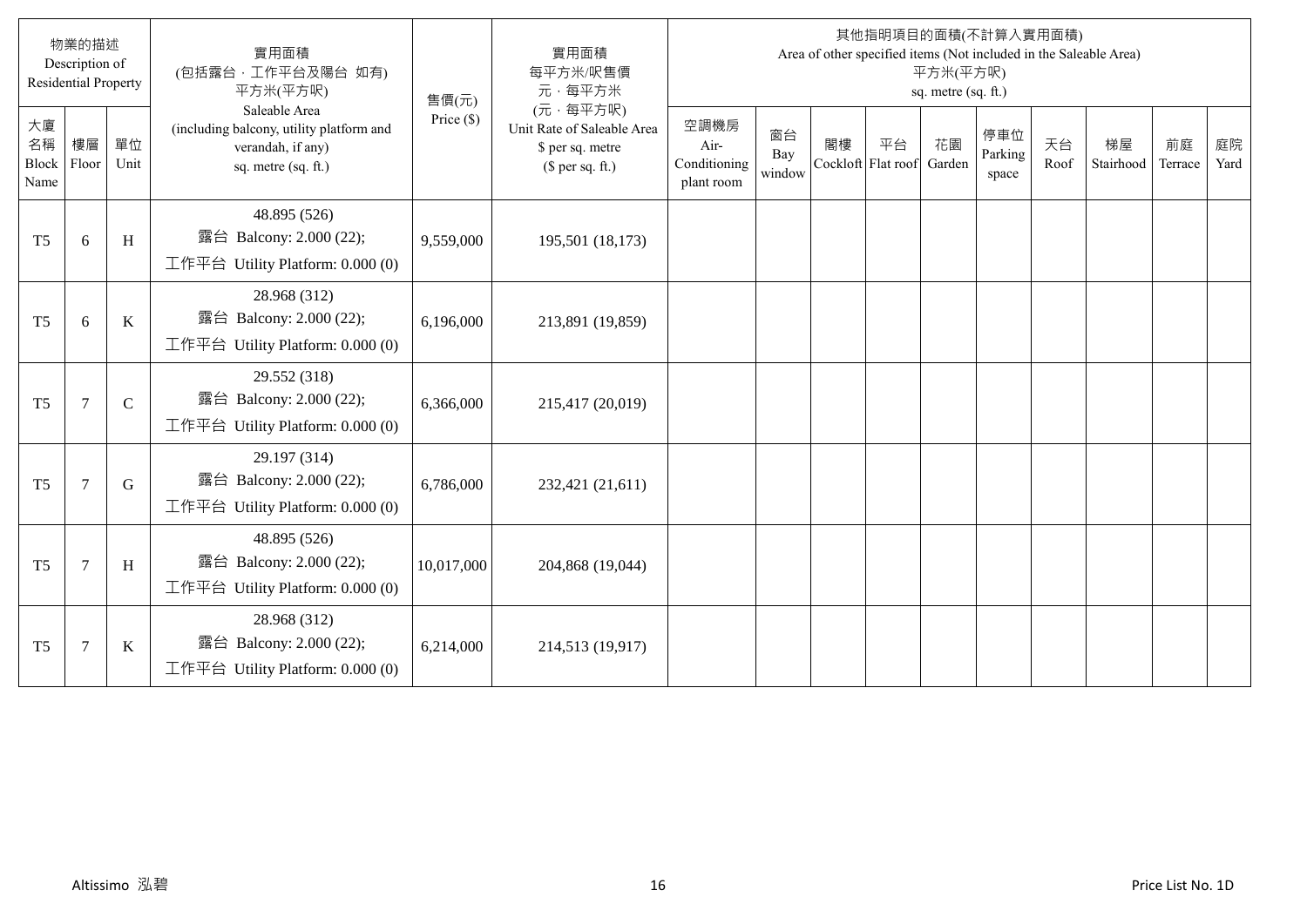|                           | 物業的描述<br>Description of<br><b>Residential Property</b> |               | 實用面積<br>(包括露台,工作平台及陽台 如有)<br>平方米(平方呎)                                                                 | 售價(元)        | 實用面積<br>每平方米/呎售價<br>元·每平方米                                                     |                                            |                     |    |                          | 平方米(平方呎)<br>sq. metre (sq. ft.) | 其他指明項目的面積(不計算入實用面積)     |            | Area of other specified items (Not included in the Saleable Area) |               |            |
|---------------------------|--------------------------------------------------------|---------------|-------------------------------------------------------------------------------------------------------|--------------|--------------------------------------------------------------------------------|--------------------------------------------|---------------------|----|--------------------------|---------------------------------|-------------------------|------------|-------------------------------------------------------------------|---------------|------------|
| 大廈<br>名稱<br>Block<br>Name | 樓層<br>Floor                                            | 單位<br>Unit    | Saleable Area<br>(including balcony, utility platform and<br>verandah, if any)<br>sq. metre (sq. ft.) | Price $(\$)$ | (元·每平方呎)<br>Unit Rate of Saleable Area<br>\$ per sq. metre<br>$$$ per sq. ft.) | 空調機房<br>Air-<br>Conditioning<br>plant room | 窗台<br>Bay<br>window | 閣樓 | 平台<br>Cockloft Flat roof | 花園<br>Garden                    | 停車位<br>Parking<br>space | 天台<br>Roof | 梯屋<br>Stairhood                                                   | 前庭<br>Terrace | 庭院<br>Yard |
| T <sub>5</sub>            | 6                                                      | H             | 48.895 (526)<br>露台 Balcony: 2.000 (22);<br>工作平台 Utility Platform: 0.000 (0)                           | 9,559,000    | 195,501 (18,173)                                                               |                                            |                     |    |                          |                                 |                         |            |                                                                   |               |            |
| T <sub>5</sub>            | 6                                                      | $\bf K$       | 28.968 (312)<br>露台 Balcony: 2.000 (22);<br>工作平台 Utility Platform: 0.000 (0)                           | 6,196,000    | 213,891 (19,859)                                                               |                                            |                     |    |                          |                                 |                         |            |                                                                   |               |            |
| T <sub>5</sub>            | 7                                                      | $\mathcal{C}$ | 29.552 (318)<br>露台 Balcony: 2.000 (22);<br>工作平台 Utility Platform: 0.000 (0)                           | 6,366,000    | 215,417 (20,019)                                                               |                                            |                     |    |                          |                                 |                         |            |                                                                   |               |            |
| T <sub>5</sub>            | 7                                                      | G             | 29.197 (314)<br>露台 Balcony: 2.000 (22);<br>工作平台 Utility Platform: 0.000 (0)                           | 6,786,000    | 232,421 (21,611)                                                               |                                            |                     |    |                          |                                 |                         |            |                                                                   |               |            |
| T <sub>5</sub>            | 7                                                      | H             | 48.895 (526)<br>露台 Balcony: 2.000 (22);<br>工作平台 Utility Platform: 0.000 (0)                           | 10,017,000   | 204,868 (19,044)                                                               |                                            |                     |    |                          |                                 |                         |            |                                                                   |               |            |
| T <sub>5</sub>            | $\tau$                                                 | $\rm K$       | 28.968 (312)<br>露台 Balcony: 2.000 (22);<br>工作平台 Utility Platform: 0.000 (0)                           | 6,214,000    | 214,513 (19,917)                                                               |                                            |                     |    |                          |                                 |                         |            |                                                                   |               |            |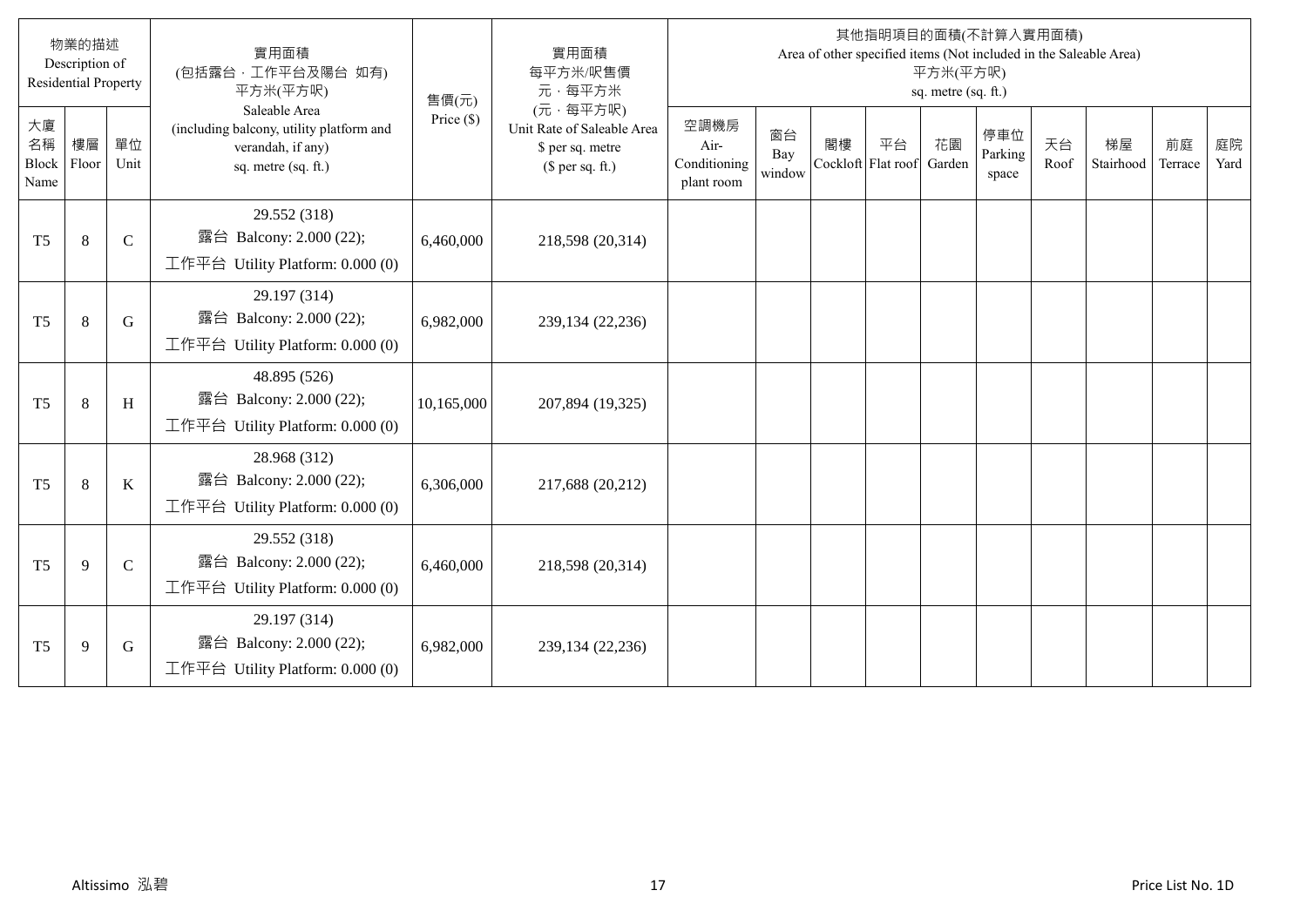|                           | 物業的描述<br>Description of<br><b>Residential Property</b> |              | 實用面積<br>(包括露台, 工作平台及陽台 如有)<br>平方米(平方呎)                                                                | 售價(元)        | 實用面積<br>每平方米/呎售價<br>元·每平方米                                                     |                                            |                     |    |                          | 平方米(平方呎)<br>sq. metre (sq. ft.) | 其他指明項目的面積(不計算入實用面積)     |            | Area of other specified items (Not included in the Saleable Area) |               |            |
|---------------------------|--------------------------------------------------------|--------------|-------------------------------------------------------------------------------------------------------|--------------|--------------------------------------------------------------------------------|--------------------------------------------|---------------------|----|--------------------------|---------------------------------|-------------------------|------------|-------------------------------------------------------------------|---------------|------------|
| 大廈<br>名稱<br>Block<br>Name | 樓層<br>Floor                                            | 單位<br>Unit   | Saleable Area<br>(including balcony, utility platform and<br>verandah, if any)<br>sq. metre (sq. ft.) | Price $(\$)$ | (元·每平方呎)<br>Unit Rate of Saleable Area<br>\$ per sq. metre<br>$$$ per sq. ft.) | 空調機房<br>Air-<br>Conditioning<br>plant room | 窗台<br>Bay<br>window | 閣樓 | 平台<br>Cockloft Flat roof | 花園<br>Garden                    | 停車位<br>Parking<br>space | 天台<br>Roof | 梯屋<br>Stairhood                                                   | 前庭<br>Terrace | 庭院<br>Yard |
| T <sub>5</sub>            | 8                                                      | $\mathbf C$  | 29.552 (318)<br>露台 Balcony: 2.000 (22);<br>工作平台 Utility Platform: 0.000 (0)                           | 6,460,000    | 218,598 (20,314)                                                               |                                            |                     |    |                          |                                 |                         |            |                                                                   |               |            |
| T <sub>5</sub>            | 8                                                      | G            | 29.197 (314)<br>露台 Balcony: 2.000 (22);<br>工作平台 Utility Platform: 0.000 (0)                           | 6,982,000    | 239,134 (22,236)                                                               |                                            |                     |    |                          |                                 |                         |            |                                                                   |               |            |
| T <sub>5</sub>            | 8                                                      | H            | 48.895 (526)<br>露台 Balcony: 2.000 (22);<br>工作平台 Utility Platform: $0.000(0)$                          | 10,165,000   | 207,894 (19,325)                                                               |                                            |                     |    |                          |                                 |                         |            |                                                                   |               |            |
| T <sub>5</sub>            | 8                                                      | $\bf K$      | 28.968 (312)<br>露台 Balcony: 2.000 (22);<br>工作平台 Utility Platform: $0.000(0)$                          | 6,306,000    | 217,688 (20,212)                                                               |                                            |                     |    |                          |                                 |                         |            |                                                                   |               |            |
| T <sub>5</sub>            | 9                                                      | $\mathsf{C}$ | 29.552 (318)<br>露台 Balcony: 2.000 (22);<br>工作平台 Utility Platform: 0.000 (0)                           | 6,460,000    | 218,598 (20,314)                                                               |                                            |                     |    |                          |                                 |                         |            |                                                                   |               |            |
| T <sub>5</sub>            | 9                                                      | G            | 29.197 (314)<br>露台 Balcony: 2.000 (22);<br>工作平台 Utility Platform: 0.000 (0)                           | 6,982,000    | 239,134 (22,236)                                                               |                                            |                     |    |                          |                                 |                         |            |                                                                   |               |            |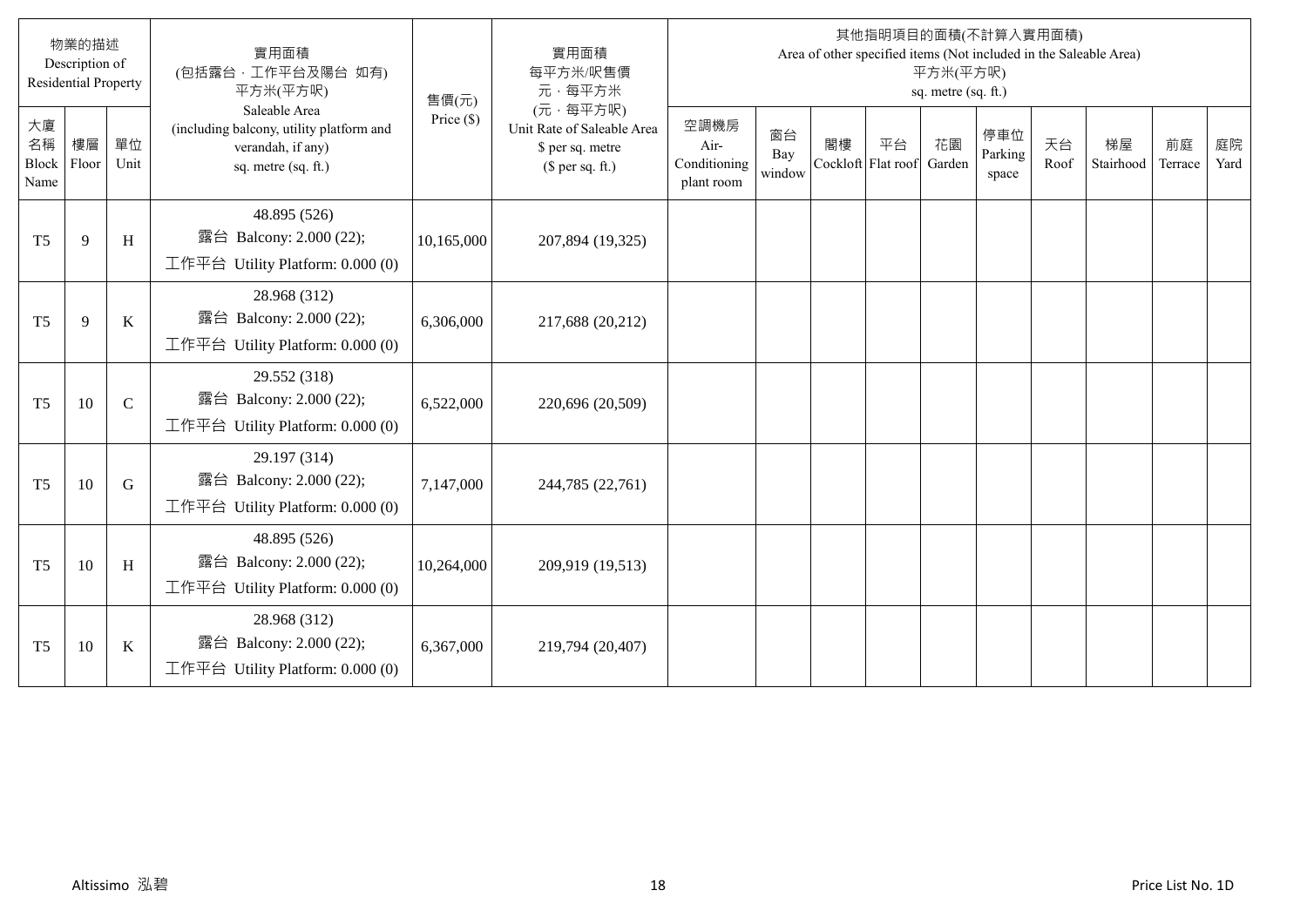|                           | 物業的描述<br>Description of<br><b>Residential Property</b> |             | 實用面積<br>(包括露台·工作平台及陽台 如有)<br>平方米(平方呎)                                                                 | 售價(元)        | 實用面積<br>每平方米/呎售價<br>元·每平方米                                                     |                                            |                     |    |                          | 平方米(平方呎)<br>sq. metre (sq. ft.) | 其他指明項目的面積(不計算入實用面積)     |            | Area of other specified items (Not included in the Saleable Area) |               |            |
|---------------------------|--------------------------------------------------------|-------------|-------------------------------------------------------------------------------------------------------|--------------|--------------------------------------------------------------------------------|--------------------------------------------|---------------------|----|--------------------------|---------------------------------|-------------------------|------------|-------------------------------------------------------------------|---------------|------------|
| 大廈<br>名稱<br>Block<br>Name | 樓層<br>Floor                                            | 單位<br>Unit  | Saleable Area<br>(including balcony, utility platform and<br>verandah, if any)<br>sq. metre (sq. ft.) | Price $(\$)$ | (元·每平方呎)<br>Unit Rate of Saleable Area<br>\$ per sq. metre<br>$$$ per sq. ft.) | 空調機房<br>Air-<br>Conditioning<br>plant room | 窗台<br>Bay<br>window | 閣樓 | 平台<br>Cockloft Flat roof | 花園<br>Garden                    | 停車位<br>Parking<br>space | 天台<br>Roof | 梯屋<br>Stairhood                                                   | 前庭<br>Terrace | 庭院<br>Yard |
| T <sub>5</sub>            | $\mathbf{Q}$                                           | H           | 48.895 (526)<br>露台 Balcony: 2.000 (22);<br>工作平台 Utility Platform: 0.000 (0)                           | 10,165,000   | 207,894 (19,325)                                                               |                                            |                     |    |                          |                                 |                         |            |                                                                   |               |            |
| T <sub>5</sub>            | 9                                                      | $\bf K$     | 28.968 (312)<br>露台 Balcony: 2.000 (22);<br>工作平台 Utility Platform: 0.000 (0)                           | 6,306,000    | 217,688 (20,212)                                                               |                                            |                     |    |                          |                                 |                         |            |                                                                   |               |            |
| T <sub>5</sub>            | 10                                                     | $\mathbf C$ | 29.552 (318)<br>露台 Balcony: 2.000 (22);<br>工作平台 Utility Platform: $0.000(0)$                          | 6,522,000    | 220,696 (20,509)                                                               |                                            |                     |    |                          |                                 |                         |            |                                                                   |               |            |
| T <sub>5</sub>            | 10                                                     | $\mathbf G$ | 29.197 (314)<br>露台 Balcony: 2.000 (22);<br>工作平台 Utility Platform: 0.000 (0)                           | 7,147,000    | 244,785 (22,761)                                                               |                                            |                     |    |                          |                                 |                         |            |                                                                   |               |            |
| T <sub>5</sub>            | 10                                                     | H           | 48.895 (526)<br>露台 Balcony: 2.000 (22);<br>工作平台 Utility Platform: 0.000 (0)                           | 10,264,000   | 209,919 (19,513)                                                               |                                            |                     |    |                          |                                 |                         |            |                                                                   |               |            |
| T <sub>5</sub>            | 10                                                     | $\bf K$     | 28.968 (312)<br>露台 Balcony: 2.000 (22);<br>工作平台 Utility Platform: 0.000 (0)                           | 6,367,000    | 219,794 (20,407)                                                               |                                            |                     |    |                          |                                 |                         |            |                                                                   |               |            |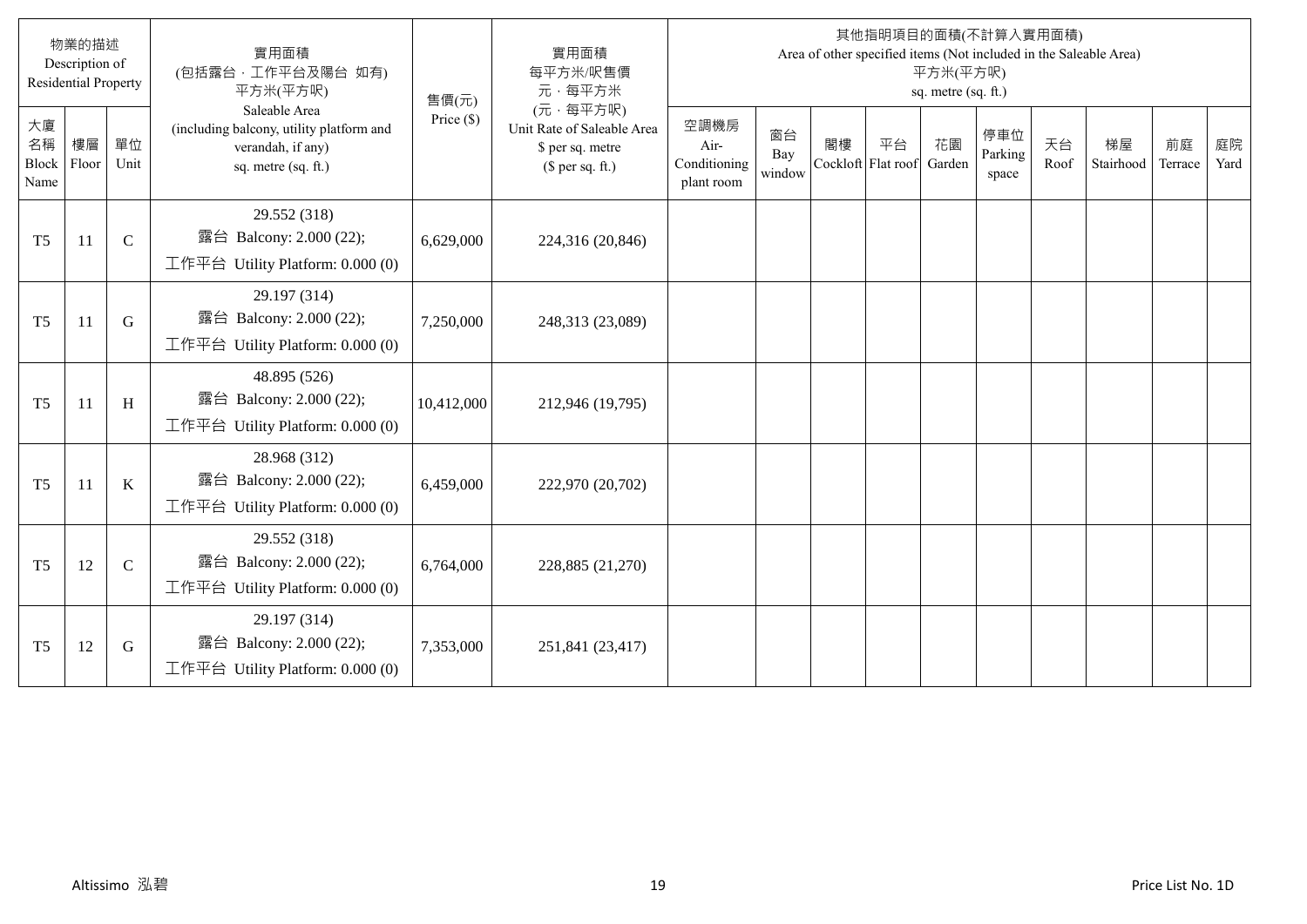|                           | 物業的描述<br>Description of<br><b>Residential Property</b> |              | 實用面積<br>(包括露台·工作平台及陽台 如有)<br>平方米(平方呎)                                                                 | 售價(元)        | 實用面積<br>每平方米/呎售價<br>元·每平方米                                                     |                                            |                     |    |                          | 平方米(平方呎)<br>sq. metre (sq. ft.) | 其他指明項目的面積(不計算入實用面積)     |            | Area of other specified items (Not included in the Saleable Area) |               |            |
|---------------------------|--------------------------------------------------------|--------------|-------------------------------------------------------------------------------------------------------|--------------|--------------------------------------------------------------------------------|--------------------------------------------|---------------------|----|--------------------------|---------------------------------|-------------------------|------------|-------------------------------------------------------------------|---------------|------------|
| 大廈<br>名稱<br>Block<br>Name | 樓層<br>Floor                                            | 單位<br>Unit   | Saleable Area<br>(including balcony, utility platform and<br>verandah, if any)<br>sq. metre (sq. ft.) | Price $(\$)$ | (元·每平方呎)<br>Unit Rate of Saleable Area<br>\$ per sq. metre<br>$$$ per sq. ft.) | 空調機房<br>Air-<br>Conditioning<br>plant room | 窗台<br>Bay<br>window | 閣樓 | 平台<br>Cockloft Flat roof | 花園<br>Garden                    | 停車位<br>Parking<br>space | 天台<br>Roof | 梯屋<br>Stairhood                                                   | 前庭<br>Terrace | 庭院<br>Yard |
| T <sub>5</sub>            | 11                                                     | $\mathbf C$  | 29.552 (318)<br>露台 Balcony: 2.000 (22);<br>工作平台 Utility Platform: 0.000 (0)                           | 6,629,000    | 224,316 (20,846)                                                               |                                            |                     |    |                          |                                 |                         |            |                                                                   |               |            |
| T <sub>5</sub>            | 11                                                     | G            | 29.197 (314)<br>露台 Balcony: 2.000 (22);<br>工作平台 Utility Platform: 0.000 (0)                           | 7,250,000    | 248,313 (23,089)                                                               |                                            |                     |    |                          |                                 |                         |            |                                                                   |               |            |
| T <sub>5</sub>            | <sup>11</sup>                                          | H            | 48.895 (526)<br>露台 Balcony: 2.000 (22);<br>工作平台 Utility Platform: $0.000(0)$                          | 10,412,000   | 212,946 (19,795)                                                               |                                            |                     |    |                          |                                 |                         |            |                                                                   |               |            |
| T <sub>5</sub>            | 11                                                     | $\bf K$      | 28.968 (312)<br>露台 Balcony: 2.000 (22);<br>工作平台 Utility Platform: $0.000(0)$                          | 6,459,000    | 222,970 (20,702)                                                               |                                            |                     |    |                          |                                 |                         |            |                                                                   |               |            |
| T <sub>5</sub>            | 12                                                     | $\mathsf{C}$ | 29.552 (318)<br>露台 Balcony: 2.000 (22);<br>工作平台 Utility Platform: 0.000 (0)                           | 6,764,000    | 228,885 (21,270)                                                               |                                            |                     |    |                          |                                 |                         |            |                                                                   |               |            |
| T <sub>5</sub>            | 12                                                     | G            | 29.197 (314)<br>露台 Balcony: 2.000 (22);<br>工作平台 Utility Platform: 0.000 (0)                           | 7,353,000    | 251,841 (23,417)                                                               |                                            |                     |    |                          |                                 |                         |            |                                                                   |               |            |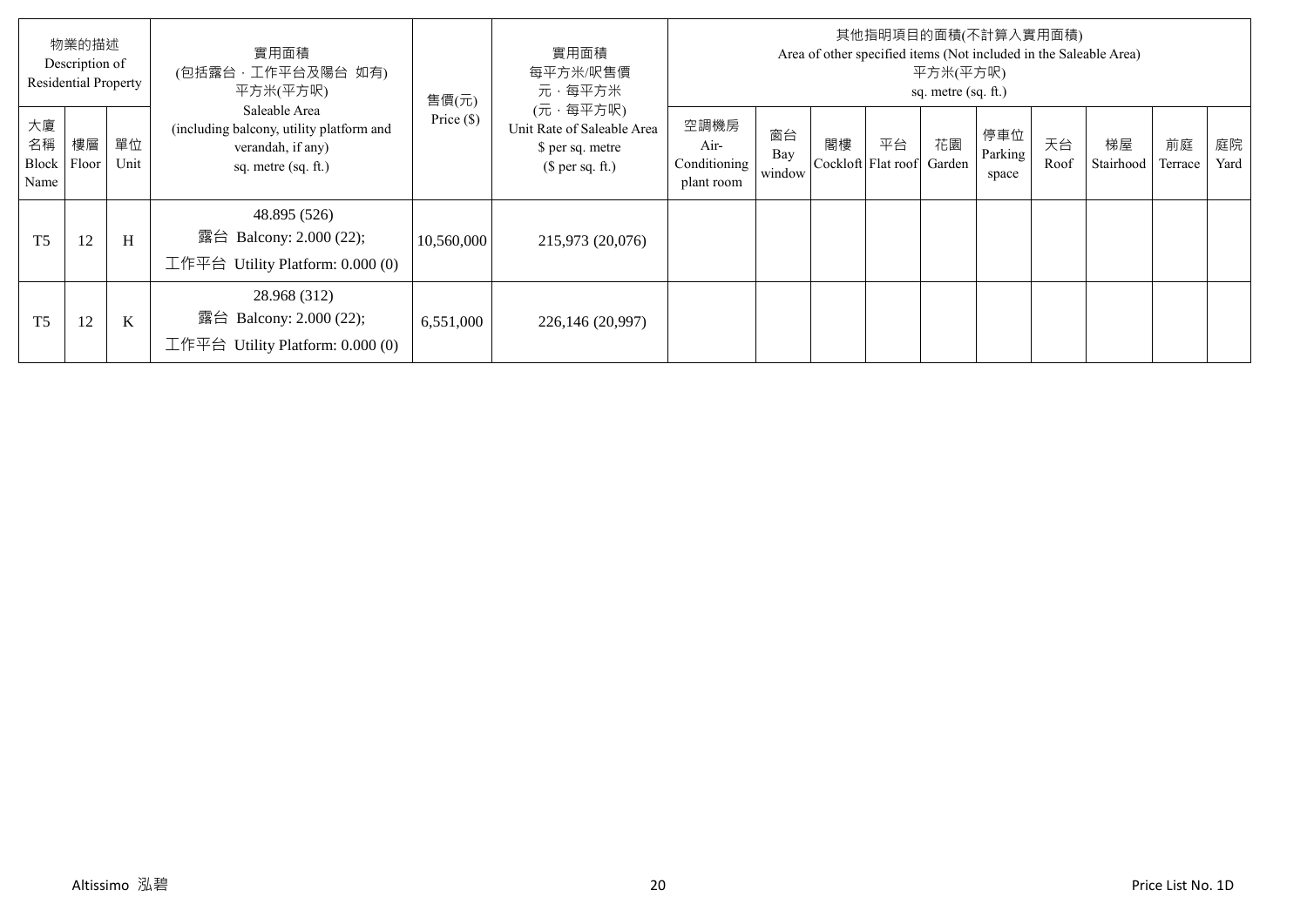|                           | 物業的描述<br>Description of<br><b>Residential Property</b> |            | 實用面積<br>(包括露台,工作平台及陽台 如有)<br>平方米(平方呎)                                                                 | 售價(元)        | 實用面積<br>每平方米/呎售價<br>元·每平方米                                                     |                                            |                     |                          |    | 平方米(平方呎)<br>sq. metre (sq. ft.) | 其他指明項目的面積(不計算入實用面積)     |            | Area of other specified items (Not included in the Saleable Area) |               |            |
|---------------------------|--------------------------------------------------------|------------|-------------------------------------------------------------------------------------------------------|--------------|--------------------------------------------------------------------------------|--------------------------------------------|---------------------|--------------------------|----|---------------------------------|-------------------------|------------|-------------------------------------------------------------------|---------------|------------|
| 大廈<br>名稱<br>Block<br>Name | 樓層<br>Floor                                            | 單位<br>Unit | Saleable Area<br>(including balcony, utility platform and<br>verandah, if any)<br>sq. metre (sq. ft.) | Price $(\$)$ | (元·每平方呎)<br>Unit Rate of Saleable Area<br>\$ per sq. metre<br>(\$ per sq. ft.) | 空調機房<br>Air-<br>Conditioning<br>plant room | 窗台<br>Bay<br>window | 閣樓<br>Cockloft Flat roof | 平台 | 花園<br>Garden                    | 停車位<br>Parking<br>space | 天台<br>Roof | 梯屋<br>Stairhood                                                   | 前庭<br>Terrace | 庭院<br>Yard |
| T <sub>5</sub>            | 12                                                     | H          | 48.895 (526)<br>露台 Balcony: 2.000 (22);<br>工作平台 Utility Platform: $0.000(0)$                          | 10,560,000   | 215,973 (20,076)                                                               |                                            |                     |                          |    |                                 |                         |            |                                                                   |               |            |
| T <sub>5</sub>            | 12                                                     | K          | 28.968 (312)<br>露台 Balcony: 2.000 (22);<br>工作平台<br>Utility Platform: 0.000 (0)                        | 6,551,000    | 226,146 (20,997)                                                               |                                            |                     |                          |    |                                 |                         |            |                                                                   |               |            |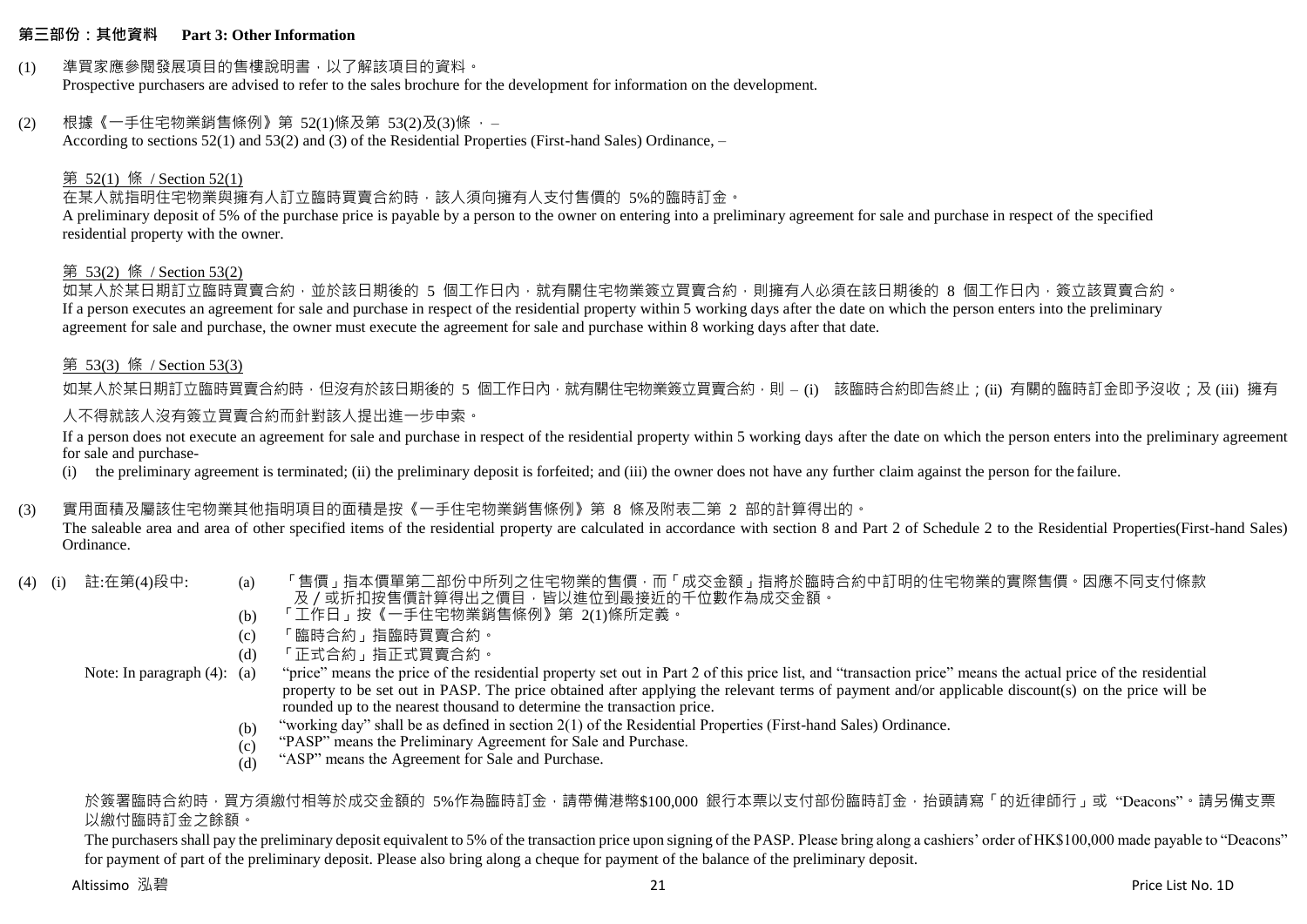#### **第三部份:其他資料 Part 3: Other Information**

#### (1) 準買家應參閱發展項目的售樓說明書,以了解該項目的資料。

Prospective purchasers are advised to refer to the sales brochure for the development for information on the development.

#### (2) 根據《一手住宅物業銷售條例》第 52(1)條及第 53(2)及(3)條 ,–

According to sections 52(1) and 53(2) and (3) of the Residential Properties (First-hand Sales) Ordinance, –

#### 第 52(1) 條 / Section 52(1)

在某人就指明住宅物業與擁有人訂立臨時買賣合約時,該人須向擁有人支付售價的 5%的臨時訂金。

A preliminary deposit of 5% of the purchase price is payable by a person to the owner on entering into a preliminary agreement for sale and purchase in respect of the specified residential property with the owner.

#### 第 53(2) 條 / Section 53(2)

如某人於某日期訂立臨時買賣合約,並於該日期後的 5 個工作日內,就有關住宅物業簽立買賣合約,則擁有人必須在該日期後的 8 個工作日內,簽立該買賣合約。 If a person executes an agreement for sale and purchase in respect of the residential property within 5 working days after the date on which the person enters into the preliminary agreement for sale and purchase, the owner must execute the agreement for sale and purchase within 8 working days after that date.

#### 第 53(3) 條 / Section 53(3)

如某人於某日期訂立臨時買賣合約時,但沒有於該日期後的 5 個工作日內,就有關住宅物業簽立買賣合約,則 – (i) 該臨時合約即告終止;(ii) 有關的臨時訂金即予沒收;及 (iii) 擁有 人不得就該人沒有簽立買賣合約而針對該人提出進一步申索。

If a person does not execute an agreement for sale and purchase in respect of the residential property within 5 working days after the date on which the person enters into the preliminary agreement for sale and purchase-

(i) the preliminary agreement is terminated; (ii) the preliminary deposit is forfeited; and (iii) the owner does not have any further claim against the person for the failure.

### (3) 實用面積及屬該住宅物業其他指明項目的面積是按《一手住宅物業銷售條例》第 8 條及附表二第 2 部的計算得出的。

The saleable area and area of other specified items of the residential property are calculated in accordance with section 8 and Part 2 of Schedule 2 to the Residential Properties(First-hand Sales) Ordinance.

- 
- (4) (i) 註:在第(4)段中: (a) 「售價」指本價單第二部份中所列之住宅物業的售價,而「成交金額」指將於臨時合約中訂明的住宅物業的實際售價。因應不同支付條款 及/或折扣按售價計算得出之價目,皆以進位到最接近的千位數作為成交金額。
	- (b) 「工作日」按《一手住宅物業銷售條例》第 2(1)條所定義。
	- (c) 「臨時合約」指臨時買賣合約。
	- (d) 「正式合約」指正式買賣合約。

Note: In paragraph (4): (a)

- "price" means the price of the residential property set out in Part 2 of this price list, and "transaction price" means the actual price of the residential property to be set out in PASP. The price obtained after applying the relevant terms of payment and/or applicable discount(s) on the price will be rounded up to the nearest thousand to determine the transaction price.
- (b) "working day" shall be as defined in section 2(1) of the Residential Properties (First-hand Sales) Ordinance.
- $(c)$ "PASP" means the Preliminary Agreement for Sale and Purchase.
- (d) "ASP" means the Agreement for Sale and Purchase.

### 於簽署臨時合約時,買方須繳付相等於成交金額的 5%作為臨時訂金,請帶備港幣\$100,000 銀行本票以支付部份臨時訂金,抬頭請寫「的折律師行」或"Deacons"。請另備支票 以繳付臨時訂金之餘額。

The purchasers shall pay the preliminary deposit equivalent to 5% of the transaction price upon signing of the PASP. Please bring along a cashiers' order of HK\$100,000 made payable to "Deacons" for payment of part of the preliminary deposit. Please also bring along a cheque for payment of the balance of the preliminary deposit.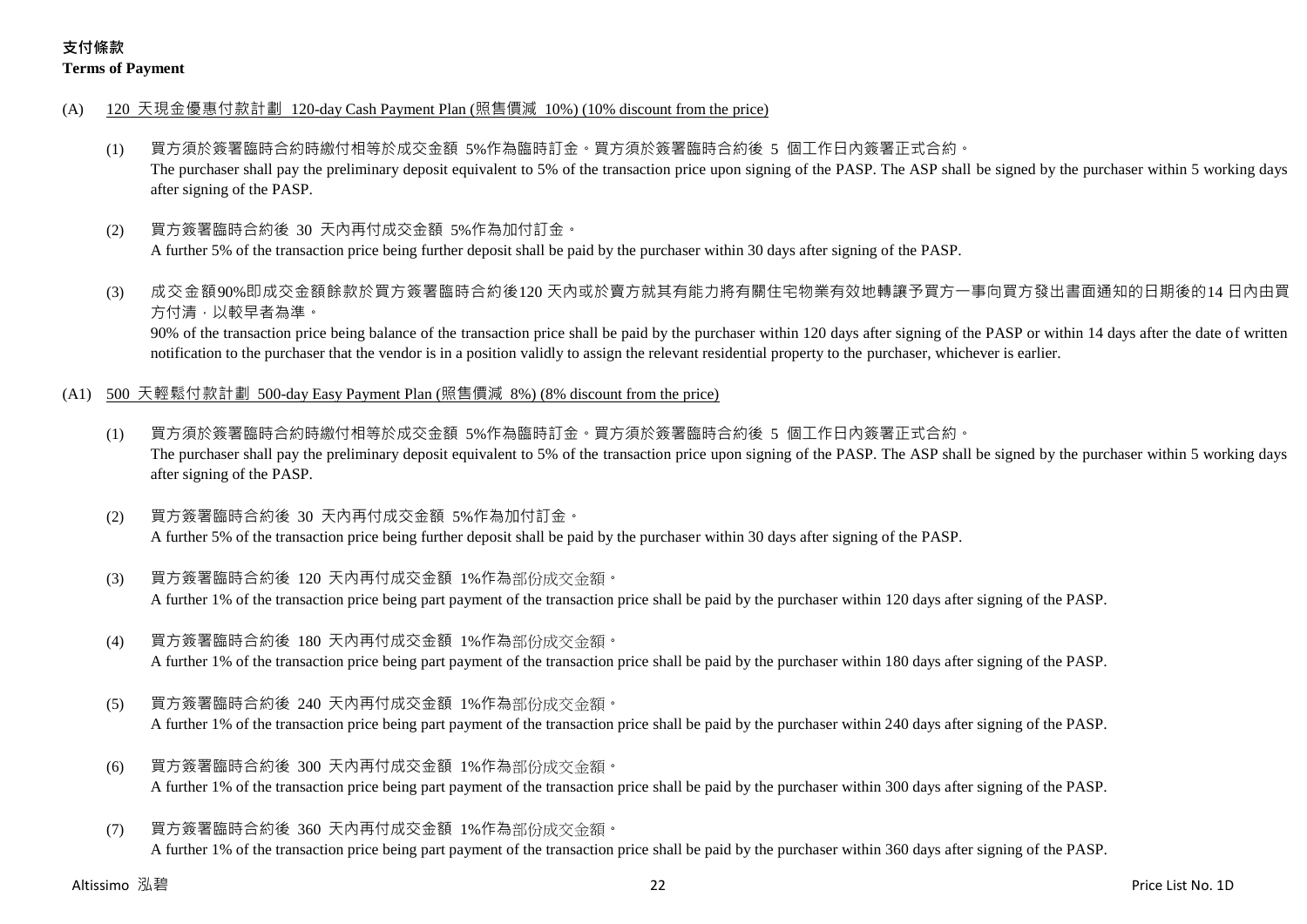### **支付條款 Terms of Payment**

- (A) 120 天現金優惠付款計劃 120-day Cash Payment Plan (照售價減 10%) (10% discount from the price)
	- (1) 買方須於簽署臨時合約時繳付相等於成交金額 5%作為臨時訂金。買方須於簽署臨時合約後 5 個工作日內簽署正式合約。 The purchaser shall pay the preliminary deposit equivalent to 5% of the transaction price upon signing of the PASP. The ASP shall be signed by the purchaser within 5 working days after signing of the PASP.
	- (2) 買方簽署臨時合約後 30 天內再付成交金額 5%作為加付訂金。

A further 5% of the transaction price being further deposit shall be paid by the purchaser within 30 days after signing of the PASP.

(3) 成交金額90%即成交金額餘款於買方簽署臨時合約後120 天內或於賣方就其有能力將有關住宅物業有效地轉讓予買方一事向買方發出書面通知的日期後的14 日內由買 方付清,以較早者為準。

90% of the transaction price being balance of the transaction price shall be paid by the purchaser within 120 days after signing of the PASP or within 14 days after the date of written notification to the purchaser that the vendor is in a position validly to assign the relevant residential property to the purchaser, whichever is earlier.

- (A1) 500 天輕鬆付款計劃 500-day Easy Payment Plan (照售價減 8%) (8% discount from the price)
	- (1) 買方須於簽署臨時合約時繳付相等於成交金額 5%作為臨時訂金。買方須於簽署臨時合約後 5 個工作日內簽署正式合約。 The purchaser shall pay the preliminary deposit equivalent to 5% of the transaction price upon signing of the PASP. The ASP shall be signed by the purchaser within 5 working days after signing of the PASP.
	- (2) 買方簽署臨時合約後 30 天內再付成交金額 5%作為加付訂金。 A further 5% of the transaction price being further deposit shall be paid by the purchaser within 30 days after signing of the PASP.
	- (3) 買方簽署臨時合約後 120 天內再付成交金額 1%作為部份成交金額。

A further 1% of the transaction price being part payment of the transaction price shall be paid by the purchaser within 120 days after signing of the PASP.

(4) 買方簽署臨時合約後 180 天內再付成交金額 1%作為部份成交金額。

A further 1% of the transaction price being part payment of the transaction price shall be paid by the purchaser within 180 days after signing of the PASP.

(5) 買方簽署臨時合約後 240 天內再付成交金額 1%作為部份成交金額。

A further 1% of the transaction price being part payment of the transaction price shall be paid by the purchaser within 240 days after signing of the PASP.

- (6) 買方簽署臨時合約後 300 天內再付成交金額 1%作為部份成交金額。 A further 1% of the transaction price being part payment of the transaction price shall be paid by the purchaser within 300 days after signing of the PASP.
- (7) 買方簽署臨時合約後 360 天內再付成交金額 1%作為部份成交金額。 A further 1% of the transaction price being part payment of the transaction price shall be paid by the purchaser within 360 days after signing of the PASP.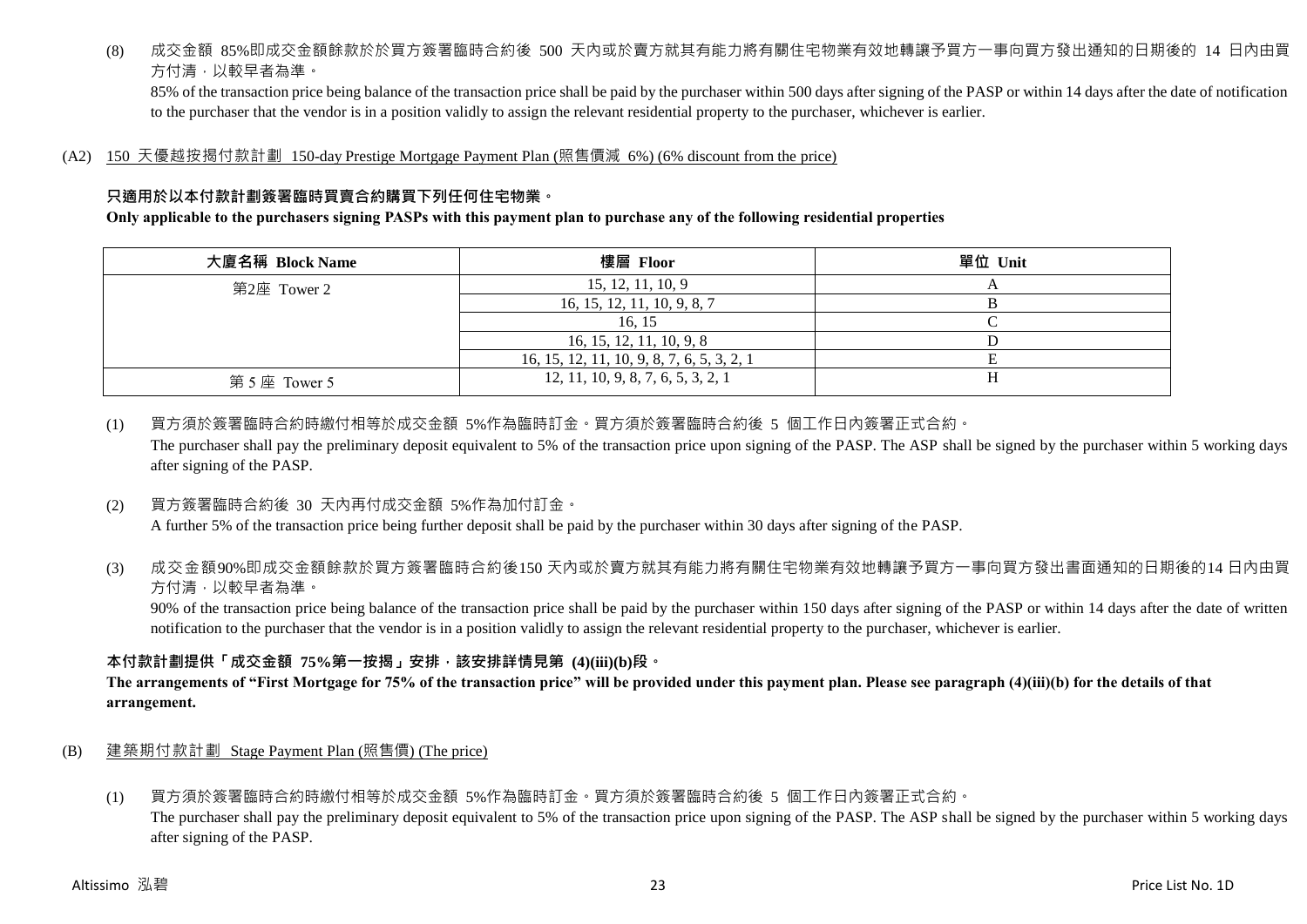(8) 成交金額 85%即成交金額餘款於於買方簽署臨時合約後 500 天內或於賣方就其有能力將有關住宅物業有效地轉讓予買方一事向買方發出通知的日期後的 14 日內由買 方付清,以較早者為準。

85% of the transaction price being balance of the transaction price shall be paid by the purchaser within 500 days after signing of the PASP or within 14 days after the date of notification to the purchaser that the vendor is in a position validly to assign the relevant residential property to the purchaser, whichever is earlier.

(A2) 150 天優越按揭付款計劃 150-day Prestige Mortgage Payment Plan (照售價減 6%) (6% discount from the price)

### **只適用於以本付款計劃簽署臨時買賣合約購買下列任何住宅物業。**

### **Only applicable to the purchasers signing PASPs with this payment plan to purchase any of the following residential properties**

| 大廈名稱 Block Name | 樓層 Floor                                   | 單位 Unit |
|-----------------|--------------------------------------------|---------|
| 第2座 Tower 2     | 15, 12, 11, 10, 9                          |         |
|                 | 16, 15, 12, 11, 10, 9, 8, 7                |         |
|                 | 16.15                                      |         |
|                 | 16, 15, 12, 11, 10, 9, 8                   |         |
|                 | 16, 15, 12, 11, 10, 9, 8, 7, 6, 5, 3, 2, 1 |         |
| 第5座 Tower 5     | 12, 11, 10, 9, 8, 7, 6, 5, 3, 2, 1         |         |

(1) 買方須於簽署臨時合約時繳付相等於成交金額 5%作為臨時訂金。買方須於簽署臨時合約後 5 個工作日內簽署正式合約。 The purchaser shall pay the preliminary deposit equivalent to 5% of the transaction price upon signing of the PASP. The ASP shall be signed by the purchaser within 5 working days after signing of the PASP.

(2) 買方簽署臨時合約後 30 天內再付成交金額 5%作為加付訂金。

A further 5% of the transaction price being further deposit shall be paid by the purchaser within 30 days after signing of the PASP.

(3) 成交金額90%即成交金額餘款於買方簽署臨時合約後150 天內或於賣方就其有能力將有關住宅物業有效地轉讓予買方一事向買方發出書面通知的日期後的14 日內由買 方付清,以較早者為準。

90% of the transaction price being balance of the transaction price shall be paid by the purchaser within 150 days after signing of the PASP or within 14 days after the date of written notification to the purchaser that the vendor is in a position validly to assign the relevant residential property to the purchaser, whichever is earlier.

### **本付款計劃提供「成交金額 75%第一按揭」安排,該安排詳情見第 (4)(iii)(b)段。**

**The arrangements of "First Mortgage for 75% of the transaction price" will be provided under this payment plan. Please see paragraph (4)(iii)(b) for the details of that arrangement.**

- (B) 建築期付款計劃 Stage Payment Plan (照售價) (The price)
	- (1) 買方須於簽署臨時合約時繳付相等於成交金額 5%作為臨時訂金。買方須於簽署臨時合約後 5 個工作日內簽署正式合約。

The purchaser shall pay the preliminary deposit equivalent to 5% of the transaction price upon signing of the PASP. The ASP shall be signed by the purchaser within 5 working days after signing of the PASP.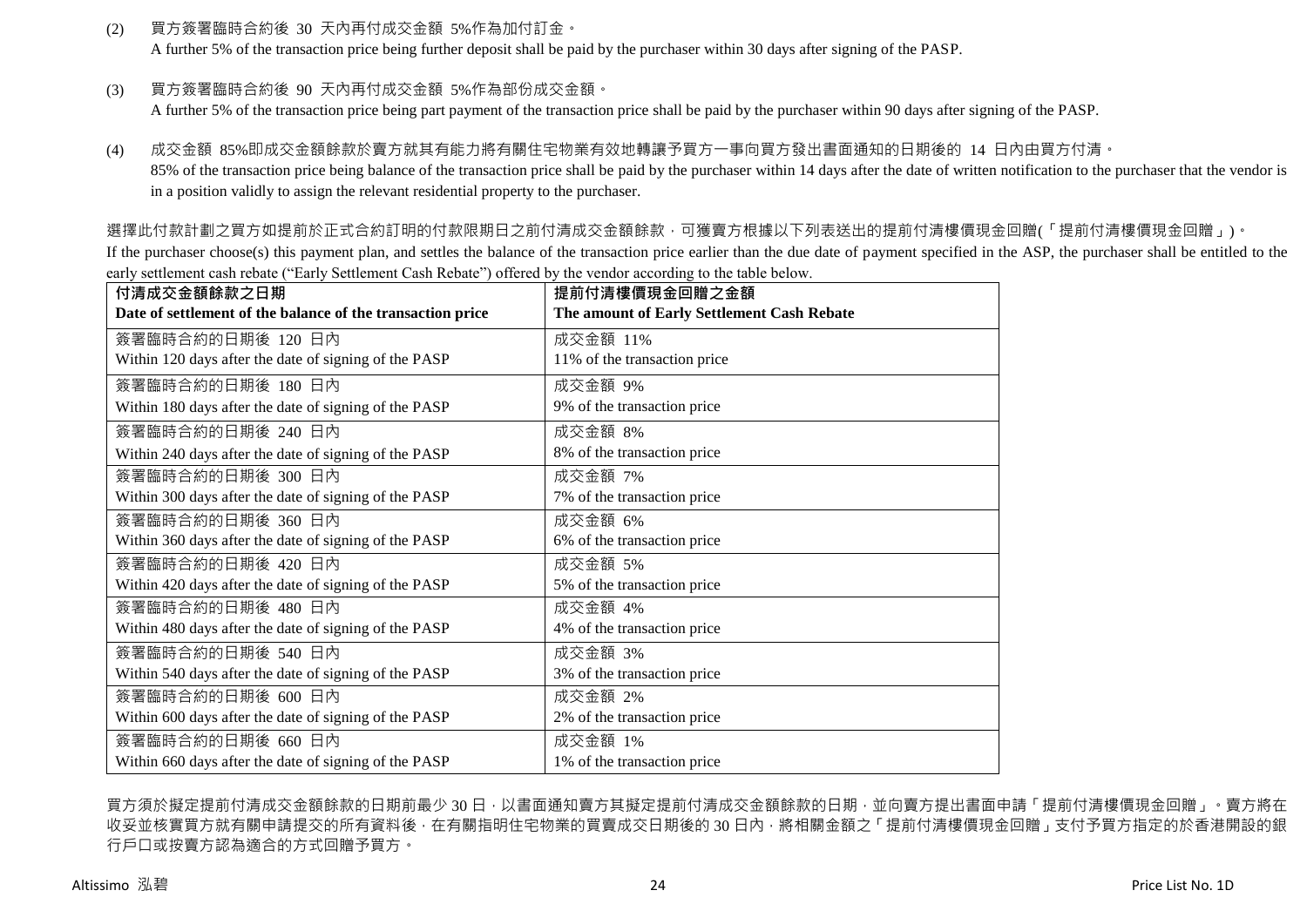(2) 買方簽署臨時合約後 30 天內再付成交金額 5%作為加付訂金。

A further 5% of the transaction price being further deposit shall be paid by the purchaser within 30 days after signing of the PASP.

(3) 買方簽署臨時合約後 90 天內再付成交金額 5%作為部份成交金額。

A further 5% of the transaction price being part payment of the transaction price shall be paid by the purchaser within 90 days after signing of the PASP.

(4) 成交金額 85%即成交金額餘款於賣方就其有能力將有關住宅物業有效地轉讓予買方一事向買方發出書面通知的日期後的 14 日內由買方付清。 85% of the transaction price being balance of the transaction price shall be paid by the purchaser within 14 days after the date of written notification to the purchaser that the vendor is in a position validly to assign the relevant residential property to the purchaser.

選擇此付款計劃之買方如提前於正式合約訂明的付款限期日之前付清成交金額餘款,可獲賣方根據以下列表送出的提前付清樓價現金回贈(「提前付清樓價現金回贈」)。

If the purchaser choose(s) this payment plan, and settles the balance of the transaction price earlier than the due date of payment specified in the ASP, the purchaser shall be entitled to the early settlement cash rebate ("Early Settlement Cash Rebate") offered by the vendor according to the table below.

| 付清成交金額餘款之日期                                                | 提前付清樓價現金回贈之金額                              |
|------------------------------------------------------------|--------------------------------------------|
| Date of settlement of the balance of the transaction price | The amount of Early Settlement Cash Rebate |
| 簽署臨時合約的日期後 120 日內                                          | 成交金額 11%                                   |
| Within 120 days after the date of signing of the PASP      | 11% of the transaction price               |
| 簽署臨時合約的日期後 180 日內                                          | 成交金額 9%                                    |
| Within 180 days after the date of signing of the PASP      | 9% of the transaction price                |
| 簽署臨時合約的日期後 240 日內                                          | 成交金額 8%                                    |
| Within 240 days after the date of signing of the PASP      | 8% of the transaction price                |
| 簽署臨時合約的日期後 300 日內                                          | 成交金額 7%                                    |
| Within 300 days after the date of signing of the PASP      | 7% of the transaction price                |
| 簽署臨時合約的日期後 360 日內                                          | 成交金額 6%                                    |
| Within 360 days after the date of signing of the PASP      | 6% of the transaction price                |
| 簽署臨時合約的日期後 420 日內                                          | 成交金額 5%                                    |
| Within 420 days after the date of signing of the PASP      | 5% of the transaction price                |
| 簽署臨時合約的日期後 480 日內                                          | 成交金額 4%                                    |
| Within 480 days after the date of signing of the PASP      | 4% of the transaction price                |
| 簽署臨時合約的日期後 540 日內                                          | 成交金額 3%                                    |
| Within 540 days after the date of signing of the PASP      | 3% of the transaction price                |
| 簽署臨時合約的日期後 600 日內                                          | 成交金額 2%                                    |
| Within 600 days after the date of signing of the PASP      | 2% of the transaction price                |
| 簽署臨時合約的日期後 660 日內                                          | 成交金額 1%                                    |
| Within 660 days after the date of signing of the PASP      | 1% of the transaction price                |

買方須於擬定提前付清成交金額餘款的日期前最少 30 日,以書面通知賣方其擬定提前付清成交金額餘款的日期,並向賣方提出書面申請「提前付清樓價現金回贈」。賣方將在 收妥並核實買方就有關申請提交的所有資料後,在有關指明住宅物業的買賣成交日期後的 30 日內,將相關金額之「提前付清樓價現金回贈」支付予買方指定的於香港開設的銀 行戶口或按賣方認為適合的方式回贈予買方。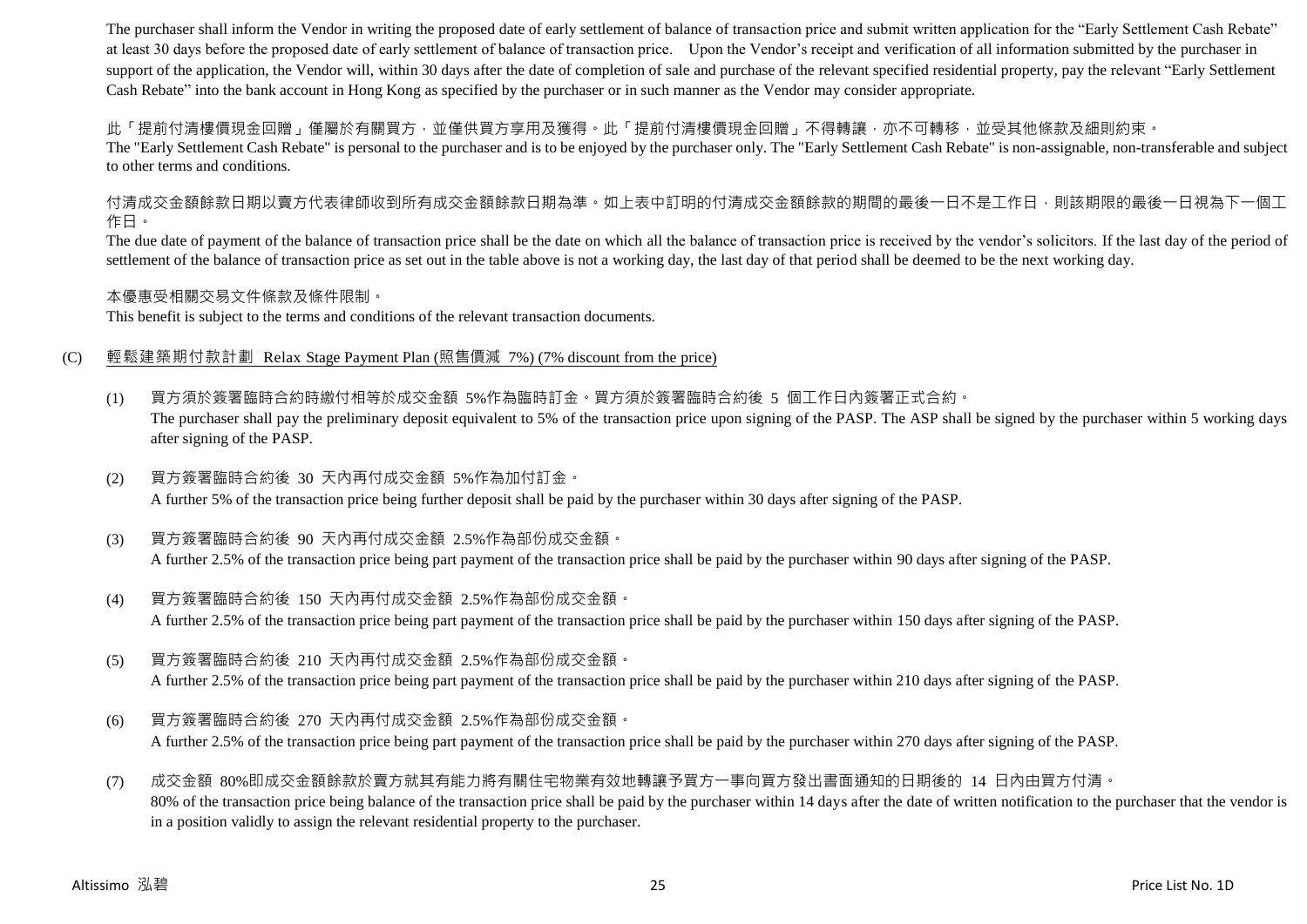The purchaser shall inform the Vendor in writing the proposed date of early settlement of balance of transaction price and submit written application for the "Early Settlement Cash Rebate" at least 30 days before the proposed date of early settlement of balance of transaction price. Upon the Vendor's receipt and verification of all information submitted by the purchaser in support of the application, the Vendor will, within 30 days after the date of completion of sale and purchase of the relevant specified residential property, pay the relevant "Early Settlement" Cash Rebate" into the bank account in Hong Kong as specified by the purchaser or in such manner as the Vendor may consider appropriate.

此「提前付清樓價現金回贈」僅屬於有關買方,並僅供買方享用及獲得。此「提前付清樓價現金回贈」不得轉讓,亦不可轉移,並受其他條款及細則約束。

The "Early Settlement Cash Rebate" is personal to the purchaser and is to be enjoyed by the purchaser only. The "Early Settlement Cash Rebate" is non-assignable, non-transferable and subject to other terms and conditions.

付清成交金額餘款日期以賣方代表律師收到所有成交金額餘款日期為準。如上表中訂明的付清成交金額餘款的期間的最後一日不是工作日,則該期限的最後一日視為下一個工 作日。

The due date of payment of the balance of transaction price shall be the date on which all the balance of transaction price is received by the vendor's solicitors. If the last day of the period of settlement of the balance of transaction price as set out in the table above is not a working day, the last day of that period shall be deemed to be the next working day.

本優惠受相關交易文件條款及條件限制。

This benefit is subject to the terms and conditions of the relevant transaction documents.

### (C) 輕鬆建築期付款計劃 Relax Stage Payment Plan (照售價減 7%) (7% discount from the price)

- (1) 買方須於簽署臨時合約時繳付相等於成交金額 5%作為臨時訂金。買方須於簽署臨時合約後 5 個工作日內簽署正式合約。 The purchaser shall pay the preliminary deposit equivalent to 5% of the transaction price upon signing of the PASP. The ASP shall be signed by the purchaser within 5 working days after signing of the PASP.
- (2) 買方簽署臨時合約後 30 天內再付成交金額 5%作為加付訂金。 A further 5% of the transaction price being further deposit shall be paid by the purchaser within 30 days after signing of the PASP.
- (3) 買方簽署臨時合約後 90 天內再付成交金額 2.5%作為部份成交金額。 A further 2.5% of the transaction price being part payment of the transaction price shall be paid by the purchaser within 90 days after signing of the PASP.
- (4) 買方簽署臨時合約後 150 天內再付成交金額 2.5%作為部份成交金額。 A further 2.5% of the transaction price being part payment of the transaction price shall be paid by the purchaser within 150 days after signing of the PASP.
- (5) 買方簽署臨時合約後 210 天內再付成交金額 2.5%作為部份成交金額。

A further 2.5% of the transaction price being part payment of the transaction price shall be paid by the purchaser within 210 days after signing of the PASP.

(6) 買方簽署臨時合約後 270 天內再付成交金額 2.5%作為部份成交金額。 A further 2.5% of the transaction price being part payment of the transaction price shall be paid by the purchaser within 270 days after signing of the PASP.

(7) 成交金額 80%即成交金額餘款於賣方就其有能力將有關住宅物業有效地轉讓予買方一事向買方發出書面通知的日期後的 14 日內由買方付清。 80% of the transaction price being balance of the transaction price shall be paid by the purchaser within 14 days after the date of written notification to the purchaser that the vendor is in a position validly to assign the relevant residential property to the purchaser.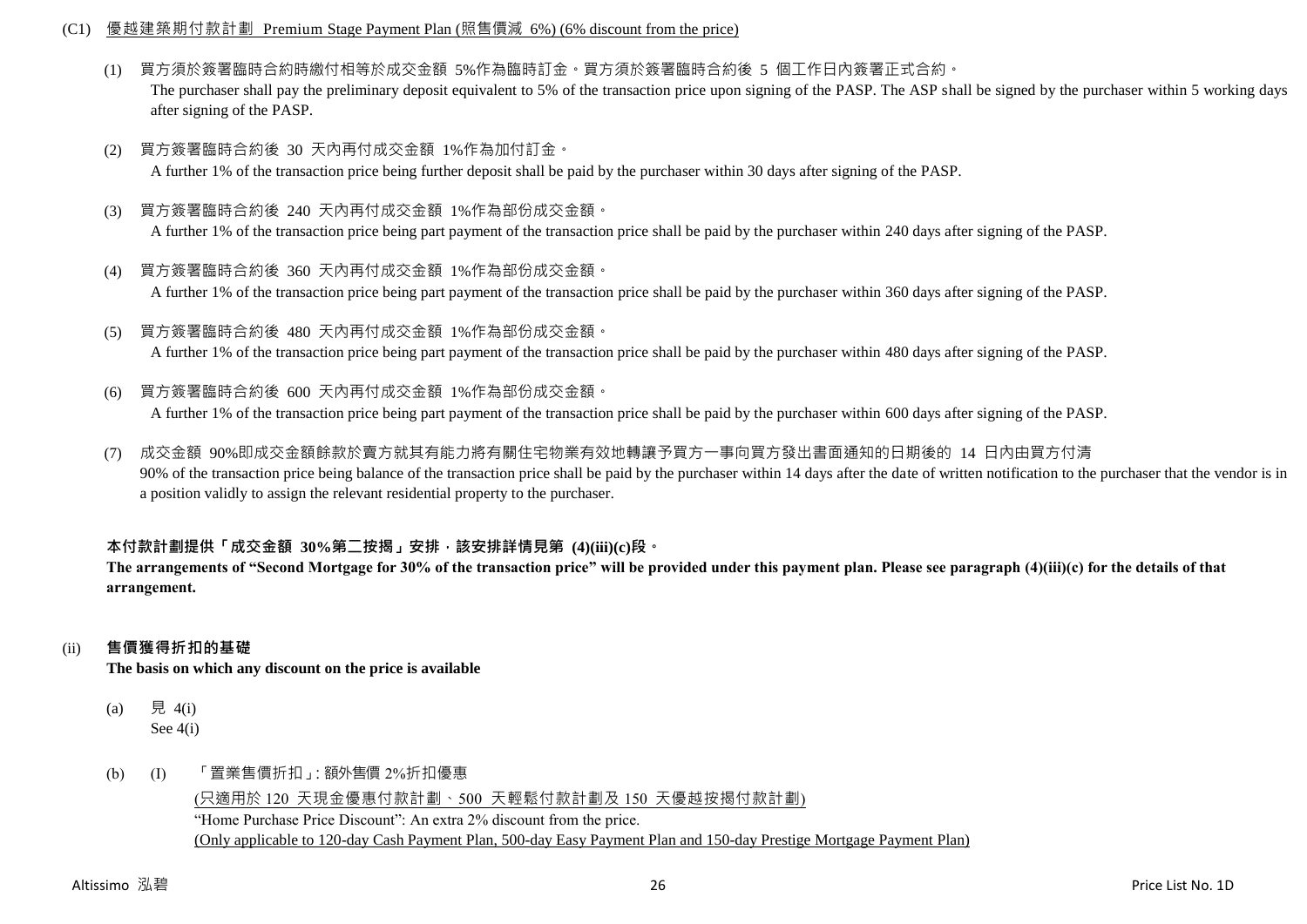#### (C1) 優越建築期付款計劃 Premium Stage Payment Plan (照售價減 6%) (6% discount from the price)

(1) 買方須於簽署臨時合約時繳付相等於成交金額 5%作為臨時訂金。買方須於簽署臨時合約後 5 個工作日內簽署正式合約。

The purchaser shall pay the preliminary deposit equivalent to 5% of the transaction price upon signing of the PASP. The ASP shall be signed by the purchaser within 5 working days after signing of the PASP.

- (2) 買方簽署臨時合約後 30 天內再付成交金額 1%作為加付訂金。 A further 1% of the transaction price being further deposit shall be paid by the purchaser within 30 days after signing of the PASP.
- (3) 買方簽署臨時合約後 240 天內再付成交金額 1%作為部份成交金額。 A further 1% of the transaction price being part payment of the transaction price shall be paid by the purchaser within 240 days after signing of the PASP.
- (4) 買方簽署臨時合約後 360 天內再付成交金額 1%作為部份成交金額。 A further 1% of the transaction price being part payment of the transaction price shall be paid by the purchaser within 360 days after signing of the PASP.
- (5) 買方簽署臨時合約後 480 天內再付成交金額 1%作為部份成交金額。 A further 1% of the transaction price being part payment of the transaction price shall be paid by the purchaser within 480 days after signing of the PASP.
- (6) 買方簽署臨時合約後 600 天內再付成交金額 1%作為部份成交金額。

A further 1% of the transaction price being part payment of the transaction price shall be paid by the purchaser within 600 days after signing of the PASP.

(7) 成交金額 90%即成交金額餘款於賣方就其有能力將有關住宅物業有效地轉讓予買方一事向買方發出書面通知的日期後的 14 日內由買方付清 90% of the transaction price being balance of the transaction price shall be paid by the purchaser within 14 days after the date of written notification to the purchaser that the vendor is in a position validly to assign the relevant residential property to the purchaser.

### **本付款計劃提供「成交金額 30%第二按揭」安排,該安排詳情見第 (4)(iii)(c)段。**

**The arrangements of "Second Mortgage for 30% of the transaction price" will be provided under this payment plan. Please see paragraph (4)(iii)(c) for the details of that arrangement.**

### (ii) **售價獲得折扣的基礎**

**The basis on which any discount on the price is available**

- (a) 見 4(i) See 4(i)
- (b) (I) 「置業售價折扣」:額外售價 2%折扣優惠

(只適用於 120 天現金優惠付款計劃、500 天輕鬆付款計劃及 150 天優越按揭付款計劃) "Home Purchase Price Discount": An extra 2% discount from the price. (Only applicable to 120-day Cash Payment Plan, 500-day Easy Payment Plan and 150-day Prestige Mortgage Payment Plan)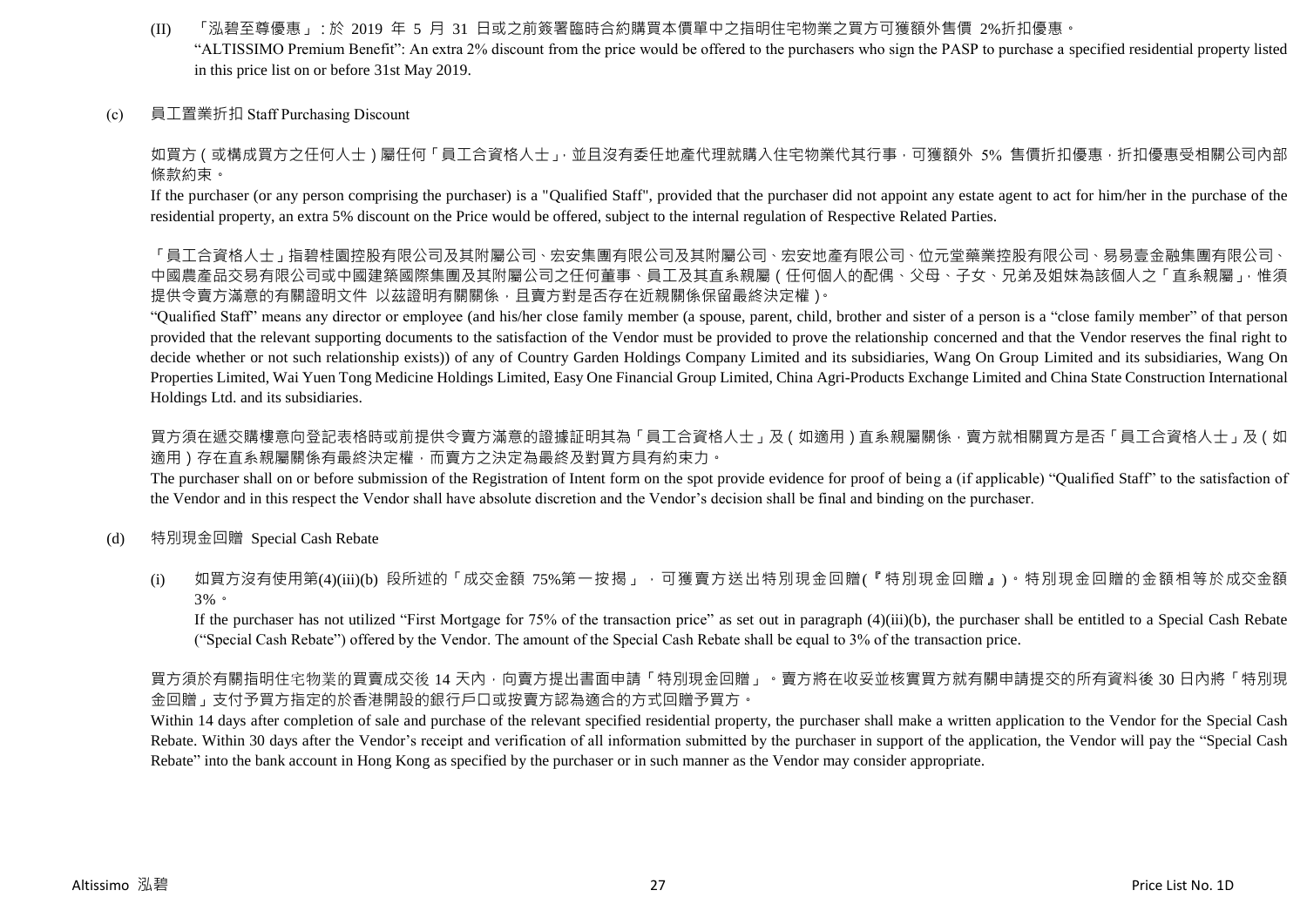- (II) 「泓碧至尊優惠」:於 2019 年 5 月 31 日或之前簽署臨時合約購買本價單中之指明住宅物業之買方可獲額外售價 2%折扣優惠。 "ALTISSIMO Premium Benefit": An extra 2% discount from the price would be offered to the purchasers who sign the PASP to purchase a specified residential property listed in this price list on or before 31st May 2019.
- (c) 員工置業折扣 Staff Purchasing Discount

如買方(或構成買方之任何人士)屬任何「員工合資格人士」,並且沒有委任地產代理就購入住宅物業代其行事,可獲額外 5% 售價折扣優惠,折扣優惠受相關公司內部 條款約束。

If the purchaser (or any person comprising the purchaser) is a "Qualified Staff", provided that the purchaser did not appoint any estate agent to act for him/her in the purchase of the residential property, an extra 5% discount on the Price would be offered, subject to the internal regulation of Respective Related Parties.

「員工合資格人士」指碧桂園控股有限公司及其附屬公司、宏安集團有限公司及其附屬公司、宏安地產有限公司、位元堂藥業控股有限公司、「易易壹金融集團有限公司、 中國農產品交易有限公司或中國建築國際集團及其附屬公司之任何董事、員工及其直系親屬(任何個人的配偶、父母、子女、兄弟及姐妹為該個人之「直系親屬」,惟須 提供令賣方滿意的有關證明文件 以茲證明有關關係,且賣方對是否存在近親關係保留最終決定權)。

"Qualified Staff" means any director or employee (and his/her close family member (a spouse, parent, child, brother and sister of a person is a "close family member" of that person provided that the relevant supporting documents to the satisfaction of the Vendor must be provided to prove the relationship concerned and that the Vendor reserves the final right to decide whether or not such relationship exists)) of any of Country Garden Holdings Company Limited and its subsidiaries, Wang On Group Limited and its subsidiaries, Wang On Properties Limited, Wai Yuen Tong Medicine Holdings Limited, Easy One Financial Group Limited, China Agri-Products Exchange Limited and China State Construction International Holdings Ltd. and its subsidiaries.

買方須在遞交購樓意向登記表格時或前提供令賣方滿意的證據証明其為「員工合資格人士」及(如適用)直系親屬關係,賣方就相關買方是否「員工合資格人士」及(如 適用)存在直系親屬關係有最終決定權,而賣方之決定為最終及對買方具有約束力。

The purchaser shall on or before submission of the Registration of Intent form on the spot provide evidence for proof of being a (if applicable) "Qualified Staff" to the satisfaction of the Vendor and in this respect the Vendor shall have absolute discretion and the Vendor's decision shall be final and binding on the purchaser.

- (d) 特別現金回贈 Special Cash Rebate
	- (i) 如買方沒有使用第(4)(iii)(b) 段所述的「成交金額 75%第一按揭」,可獲賣方送出特別現金回贈(『特別現金回贈』)。特別現金回贈的金額相等於成交金額 3%。

If the purchaser has not utilized "First Mortgage for 75% of the transaction price" as set out in paragraph (4)(iii)(b), the purchaser shall be entitled to a Special Cash Rebate ("Special Cash Rebate") offered by the Vendor. The amount of the Special Cash Rebate shall be equal to 3% of the transaction price.

買方須於有關指明住宅物業的買賣成交後 14 天內,向賣方提出書面申請「特別現金回贈」。賣方將在收妥並核實買方就有關申請提交的所有資料後 30 日內將「特別現 金回贈」支付予買方指定的於香港開設的銀行戶口或按賣方認為適合的方式回贈予買方。

Within 14 days after completion of sale and purchase of the relevant specified residential property, the purchaser shall make a written application to the Vendor for the Special Cash Rebate. Within 30 days after the Vendor's receipt and verification of all information submitted by the purchaser in support of the application, the Vendor will pay the "Special Cash Rebate" into the bank account in Hong Kong as specified by the purchaser or in such manner as the Vendor may consider appropriate.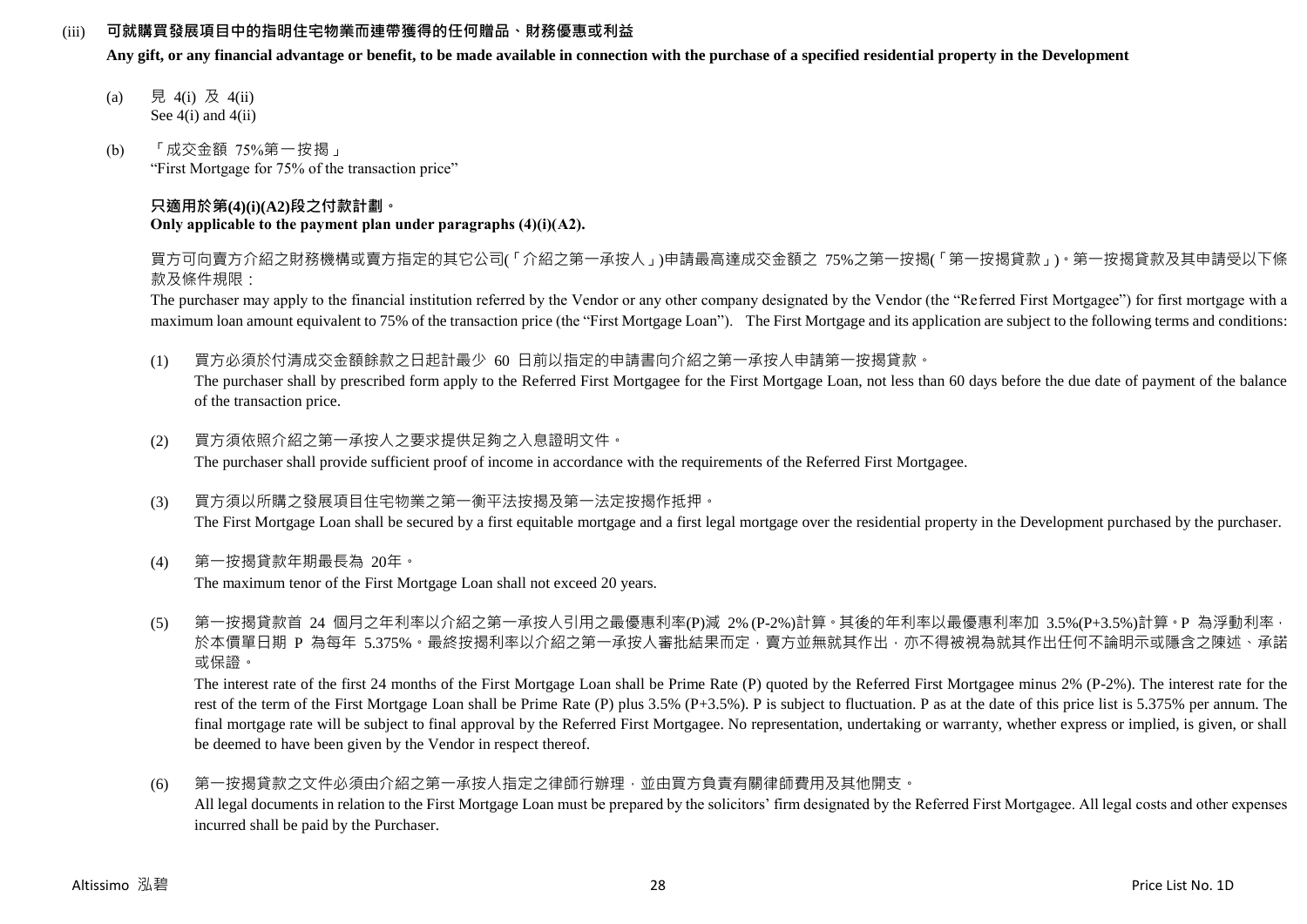### (iii) **可就購買發展項目中的指明住宅物業而連帶獲得的任何贈品、財務優惠或利益**

**Any gift, or any financial advantage or benefit, to be made available in connection with the purchase of a specified residential property in the Development**

- (a) 見 4(i) 及 4(ii) See  $4(i)$  and  $4(ii)$
- (b) 「成交金額 75%第一按揭」 "First Mortgage for 75% of the transaction price"

#### **只適用於第(4)(i)(A2)段之付款計劃。 Only applicable to the payment plan under paragraphs (4)(i)(A2).**

買方可向賣方介紹之財務機構或賣方指定的其它公司(「介紹之第一承按人」)申請最高達成交金額之 75%之第一按揭(「第一按揭貸款」)。第一按揭貸款及其申請受以下條 款及條件規限:

The purchaser may apply to the financial institution referred by the Vendor or any other company designated by the Vendor (the "Referred First Mortgagee") for first mortgage with a maximum loan amount equivalent to 75% of the transaction price (the "First Mortgage Loan"). The First Mortgage and its application are subject to the following terms and conditions:

(1) 買方必須於付清成交金額餘款之日起計最少 60 日前以指定的申請書向介紹之第一承按人申請第一按揭貸款。

The purchaser shall by prescribed form apply to the Referred First Mortgagee for the First Mortgage Loan, not less than 60 days before the due date of payment of the balance of the transaction price.

- (2) 買方須依照介紹之第一承按人之要求提供足夠之入息證明文件。 The purchaser shall provide sufficient proof of income in accordance with the requirements of the Referred First Mortgagee.
- (3) 買方須以所購之發展項目住宅物業之第一衡平法按揭及第一法定按揭作抵押。 The First Mortgage Loan shall be secured by a first equitable mortgage and a first legal mortgage over the residential property in the Development purchased by the purchaser.
- (4) 第一按揭貸款年期最長為 20年。 The maximum tenor of the First Mortgage Loan shall not exceed 20 years.
- (5) 第一按揭貸款首 24 個月之年利率以介紹之第一承按人引用之最優惠利率(P)減 2% (P-2%)計算。其後的年利率以最優惠利率加 3.5%(P+3.5%)計算。P 為浮動利率, 於本價單日期 P 為每年 5.375%。最終按揭利率以介紹之第一承按人審批結果而定,賣方並無就其作出,亦不得被視為就其作出任何不論明示或隱含之陳述、承諾 或保證。

The interest rate of the first 24 months of the First Mortgage Loan shall be Prime Rate (P) quoted by the Referred First Mortgagee minus 2% (P-2%). The interest rate for the rest of the term of the First Mortgage Loan shall be Prime Rate (P) plus 3.5% (P+3.5%). P is subject to fluctuation. P as at the date of this price list is 5.375% per annum. The final mortgage rate will be subject to final approval by the Referred First Mortgagee. No representation, undertaking or warranty, whether express or implied, is given, or shall be deemed to have been given by the Vendor in respect thereof.

(6) 第一按揭貸款之文件必須由介紹之第一承按人指定之律師行辦理,並由買方負責有關律師費用及其他開支。 All legal documents in relation to the First Mortgage Loan must be prepared by the solicitors' firm designated by the Referred First Mortgagee. All legal costs and other expenses incurred shall be paid by the Purchaser.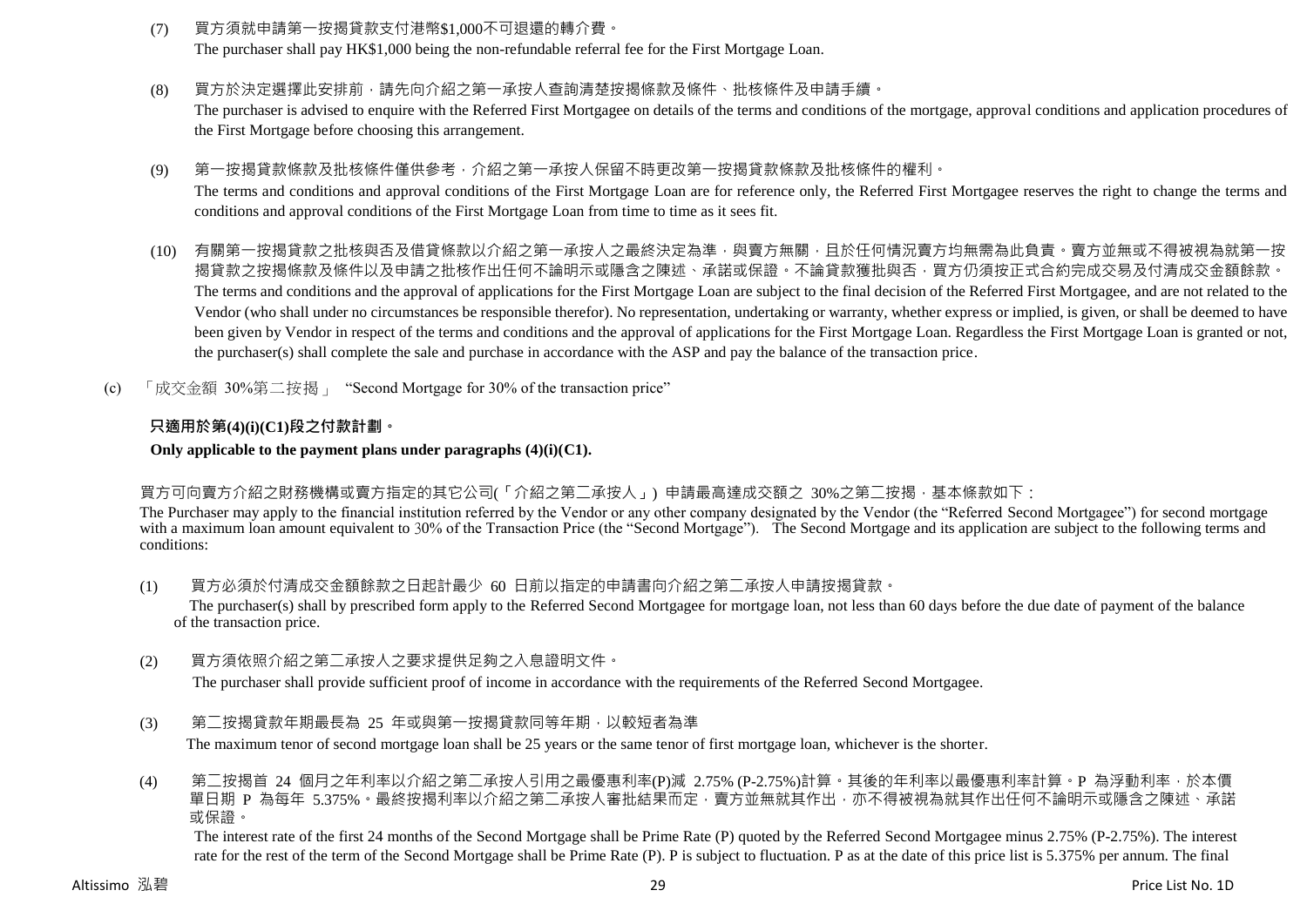- (7) 買方須就申請第一按揭貸款支付港幣\$1,000不可退還的轉介費。 The purchaser shall pay HK\$1,000 being the non-refundable referral fee for the First Mortgage Loan.
- (8) 買方於決定選擇此安排前,請先向介紹之第一承按人查詢清楚按揭條款及條件、批核條件及申請手續。 The purchaser is advised to enquire with the Referred First Mortgagee on details of the terms and conditions of the mortgage, approval conditions and application procedures of the First Mortgage before choosing this arrangement.
- (9) 第一按揭貸款條款及批核條件僅供參考,介紹之第一承按人保留不時更改第一按揭貸款條款及批核條件的權利。 The terms and conditions and approval conditions of the First Mortgage Loan are for reference only, the Referred First Mortgagee reserves the right to change the terms and conditions and approval conditions of the First Mortgage Loan from time to time as it sees fit.
- (10) 有關第一按揭貸款之批核與否及借貸條款以介紹之第一承按人之最終決定為準,與賣方無關,且於任何情況賣方均無需為此負責。賣方並無或不得被視為就第一按 揭貸款之按揭條款及條件以及申請之批核作出任何不論明示或隱含之陳述、承諾或保證。不論貸款獲批與否,買方仍須按正式合約完成交易及付清成交金額餘款。 The terms and conditions and the approval of applications for the First Mortgage Loan are subject to the final decision of the Referred First Mortgagee, and are not related to the Vendor (who shall under no circumstances be responsible therefor). No representation, undertaking or warranty, whether express or implied, is given, or shall be deemed to have been given by Vendor in respect of the terms and conditions and the approval of applications for the First Mortgage Loan. Regardless the First Mortgage Loan is granted or not, the purchaser(s) shall complete the sale and purchase in accordance with the ASP and pay the balance of the transaction price.
- (c) 「成交金額 30%第二按揭」 "Second Mortgage for 30% of the transaction price"

### **只適用於第(4)(i)(C1)段之付款計劃。**

### **Only applicable to the payment plans under paragraphs (4)(i)(C1).**

### 買方可向賣方介紹之財務機構或賣方指定的其它公司(「介紹之第二承按人」) 申請最高達成交額之 30%之第二按揭,基本條款如下:

The Purchaser may apply to the financial institution referred by the Vendor or any other company designated by the Vendor (the "Referred Second Mortgagee") for second mortgage with a maximum loan amount equivalent to 30% of the Transaction Price (the "Second Mortgage"). The Second Mortgage and its application are subject to the following terms and conditions:

(1) 買方必須於付清成交金額餘款之日起計最少 60 日前以指定的申請書向介紹之第二承按人申請按揭貸款。

The purchaser(s) shall by prescribed form apply to the Referred Second Mortgagee for mortgage loan, not less than 60 days before the due date of payment of the balance of the transaction price.

(2) 買方須依照介紹之第二承按人之要求提供足夠之入息證明文件。

The purchaser shall provide sufficient proof of income in accordance with the requirements of the Referred Second Mortgagee.

(3) 第二按揭貸款年期最長為 25 年或與第一按揭貸款同等年期,以較短者為準 The maximum tenor of second mortgage loan shall be 25 years or the same tenor of first mortgage loan, whichever is the shorter.

(4) 第二按揭首 24 個月之年利率以介紹之第二承按人引用之最優惠利率(P)減 2.75% (P-2.75%)計算。其後的年利率以最優惠利率計算。P 為浮動利率,於本價 單日期 P 為每年 5.375%。最終按揭利率以介紹之第二承按人審批結果而定,賣方並無就其作出,亦不得被視為就其作出任何不論明示或隱含之陳述、承諾 或保證。

The interest rate of the first 24 months of the Second Mortgage shall be Prime Rate (P) quoted by the Referred Second Mortgagee minus 2.75% (P-2.75%). The interest rate for the rest of the term of the Second Mortgage shall be Prime Rate (P). P is subject to fluctuation. P as at the date of this price list is 5.375% per annum. The final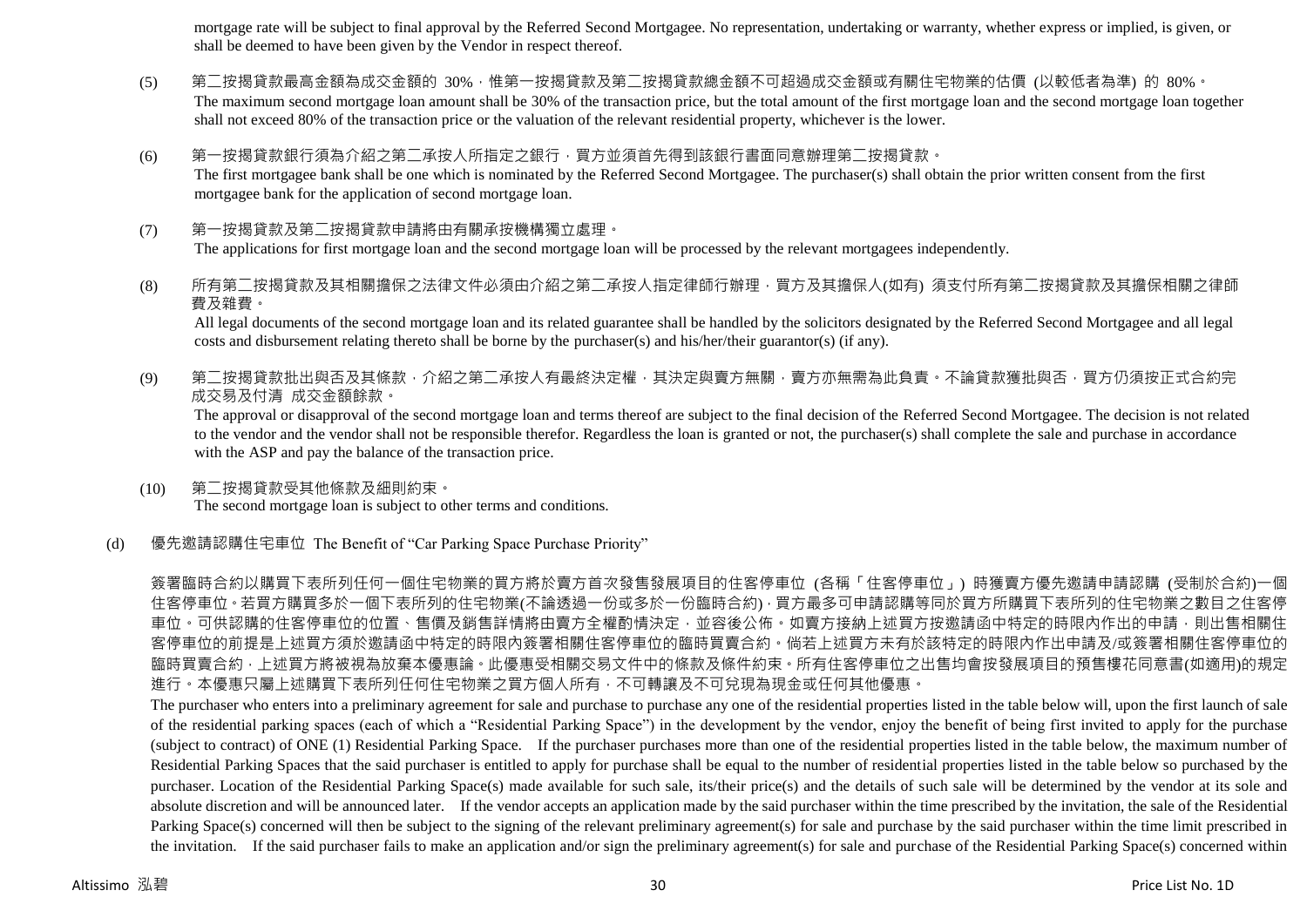mortgage rate will be subject to final approval by the Referred Second Mortgagee. No representation, undertaking or warranty, whether express or implied, is given, or shall be deemed to have been given by the Vendor in respect thereof.

- (5) 第二按揭貸款最高金額為成交金額的 30%,惟第一按揭貸款及第二按揭貸款總金額不可超過成交金額或有關住宅物業的估價 (以較低者為準) 的 80%。 The maximum second mortgage loan amount shall be 30% of the transaction price, but the total amount of the first mortgage loan and the second mortgage loan together shall not exceed 80% of the transaction price or the valuation of the relevant residential property, whichever is the lower.
- (6) 第一按揭貸款銀行須為介紹之第二承按人所指定之銀行,買方並須首先得到該銀行書面同意辦理第二按揭貸款。 The first mortgagee bank shall be one which is nominated by the Referred Second Mortgagee. The purchaser(s) shall obtain the prior written consent from the first mortgagee bank for the application of second mortgage loan.
- (7) 第一按揭貸款及第二按揭貸款申請將由有關承按機構獨立處理。 The applications for first mortgage loan and the second mortgage loan will be processed by the relevant mortgagees independently.
- (8) 所有第二按揭貸款及其相關擔保之法律文件必須由介紹之第二承按人指定律師行辦理,買方及其擔保人(如有) 須支付所有第二按揭貸款及其擔保相關之律師 費及雜費。

All legal documents of the second mortgage loan and its related guarantee shall be handled by the solicitors designated by the Referred Second Mortgagee and all legal costs and disbursement relating thereto shall be borne by the purchaser(s) and his/her/their guarantor(s) (if any).

(9) 第二按揭貸款批出與否及其條款,介紹之第二承按人有最終決定權,其決定與賣方無關,賣方亦無需為此負責。不論貸款獲批與否,買方仍須按正式合約完 成交易及付清 成交金額餘款。

The approval or disapproval of the second mortgage loan and terms thereof are subject to the final decision of the Referred Second Mortgagee. The decision is not related to the vendor and the vendor shall not be responsible therefor. Regardless the loan is granted or not, the purchaser(s) shall complete the sale and purchase in accordance with the ASP and pay the balance of the transaction price.

(10) 第二按揭貸款受其他條款及細則約束。 The second mortgage loan is subject to other terms and conditions.

### (d) 優先邀請認購住宅車位 The Benefit of "Car Parking Space Purchase Priority"

簽署臨時合約以購買下表所列任何一個住宅物業的買方將於賣方首次發售發展項目的住客停車位 (各稱「住客停車位」) 時獲賣方優先邀請申請認購 (受制於合約)一個 住客停車位。若買方購買多於一個下表所列的住宅物業(不論透過一份或多於一份臨時合約),買方最多可申請認購等同於買方所購買下表所列的住宅物業之數目之住客停 車位。可供認購的住客停車位的位置、售價及銷售詳情將由賣方全權酌情決定,並容後公佈。如賣方接納上述買方按邀請函中特定的時限內作出的申請,則出售相關住 客停車位的前提是上述買方須於邀請函中特定的時限內簽署相關住客停車位的臨時買賣合約。倘若上述買方未有於該特定的時限內作出申請及/或簽署相關住客停車位的 臨時買賣合約,上述買方將被視為放棄本優惠論。此優惠受相關交易文件中的條款及條件約束。所有住客停車位之出售均會按發展項目的預售樓花同意書(如適用)的規定 進行。本優惠只屬上述購買下表所列任何住宅物業之買方個人所有,不可轉讓及不可兌現為現金或任何其他優惠。

The purchaser who enters into a preliminary agreement for sale and purchase to purchase any one of the residential properties listed in the table below will, upon the first launch of sale of the residential parking spaces (each of which a "Residential Parking Space") in the development by the vendor, enjoy the benefit of being first invited to apply for the purchase (subject to contract) of ONE (1) Residential Parking Space. If the purchaser purchases more than one of the residential properties listed in the table below, the maximum number of Residential Parking Spaces that the said purchaser is entitled to apply for purchase shall be equal to the number of residential properties listed in the table below so purchased by the purchaser. Location of the Residential Parking Space(s) made available for such sale, its/their price(s) and the details of such sale will be determined by the vendor at its sole and absolute discretion and will be announced later. If the vendor accepts an application made by the said purchaser within the time prescribed by the invitation, the sale of the Residential Parking Space(s) concerned will then be subject to the signing of the relevant preliminary agreement(s) for sale and purchase by the said purchaser within the time limit prescribed in the invitation. If the said purchaser fails to make an application and/or sign the preliminary agreement(s) for sale and purchase of the Residential Parking Space(s) concerned within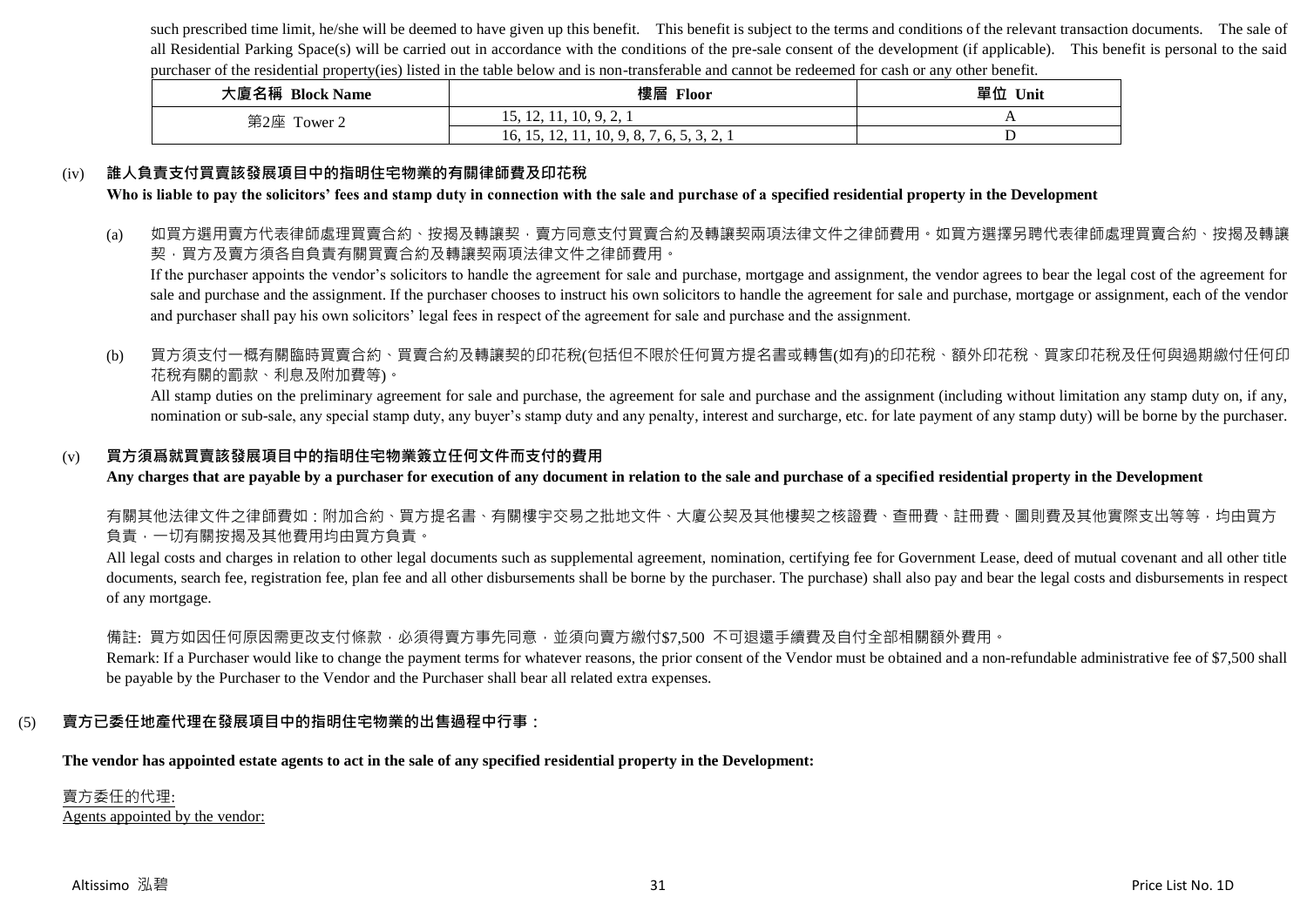such prescribed time limit, he/she will be deemed to have given up this benefit. This benefit is subject to the terms and conditions of the relevant transaction documents. The sale of all Residential Parking Space(s) will be carried out in accordance with the conditions of the pre-sale consent of the development (if applicable). This benefit is personal to the said purchaser of the residential property(ies) listed in the table below and is non-transferable and cannot be redeemed for cash or any other benefit.

| 大廈名稱 Block Name | 樓層<br>Floor                                                                                                        | 單位 Unit |
|-----------------|--------------------------------------------------------------------------------------------------------------------|---------|
| 第2座 Tower 2     | 15, 12, 11, 10, 9, 2, 1                                                                                            |         |
|                 | 11, 10, 9, 8, 7<br>16, 15,<br>-65<br>12,<br>$\mathbf{v}_1, \mathbf{v}_2, \mathbf{v}_3, \mathbf{v}_4, \mathbf{v}_5$ |         |

### (iv) **誰人負責支付買賣該發展項目中的指明住宅物業的有關律師費及印花稅**

**Who is liable to pay the solicitors' fees and stamp duty in connection with the sale and purchase of a specified residential property in the Development**

(a) 如買方選用賣方代表律師處理買賣合約、按揭及轉讓契‧賣方同意支付買賣合約及轉讓契兩項法律文件之律師費用。如買方選擇另聘代表律師處理買賣合約、按揭及轉讓 契,買方及賣方須各自負責有關買賣合約及轉讓契兩項法律文件之律師費用。

If the purchaser appoints the vendor's solicitors to handle the agreement for sale and purchase, mortgage and assignment, the vendor agrees to bear the legal cost of the agreement for sale and purchase and the assignment. If the purchaser chooses to instruct his own solicitors to handle the agreement for sale and purchase, mortgage or assignment, each of the vendor and purchaser shall pay his own solicitors' legal fees in respect of the agreement for sale and purchase and the assignment.

### (b) 買方須支付一概有關臨時買賣合約、買賣合約及轉讓契的印花稅(包括但不限於任何買方提名書或轉售(如有)的印花稅、額外印花稅、買家印花稅及任何與過期繳付任何印 花稅有關的罰款、利息及附加費等)。

All stamp duties on the preliminary agreement for sale and purchase, the agreement for sale and purchase and the assignment (including without limitation any stamp duty on, if any, nomination or sub-sale, any special stamp duty, any buyer's stamp duty and any penalty, interest and surcharge, etc. for late payment of any stamp duty) will be borne by the purchaser.

### (v) **買方須爲就買賣該發展項目中的指明住宅物業簽立任何文件而支付的費用**

**Any charges that are payable by a purchaser for execution of any document in relation to the sale and purchase of a specified residential property in the Development**

有關其他法律文件之律師費如:附加合約、買方提名書、有關樓宇交易之批地文件、大廈公契及其他樓契之核證費、查冊費、註冊費、圖則費及其他實際支出等等,均由買方 負責,一切有關按揭及其他費用均由買方負責。

All legal costs and charges in relation to other legal documents such as supplemental agreement, nomination, certifying fee for Government Lease, deed of mutual covenant and all other title documents, search fee, registration fee, plan fee and all other disbursements shall be borne by the purchaser. The purchase) shall also pay and bear the legal costs and disbursements in respect of any mortgage.

### 備註: 買方如因任何原因需更改支付條款,必須得賣方事先同意,並須向賣方繳付\$7,500 不可退還手續費及自付全部相關額外費用。

Remark: If a Purchaser would like to change the payment terms for whatever reasons, the prior consent of the Vendor must be obtained and a non-refundable administrative fee of \$7,500 shall be payable by the Purchaser to the Vendor and the Purchaser shall bear all related extra expenses.

### (5) **賣方已委任地產代理在發展項目中的指明住宅物業的出售過程中行事:**

**The vendor has appointed estate agents to act in the sale of any specified residential property in the Development:**

## 賣方委任的代理:

Agents appointed by the vendor: